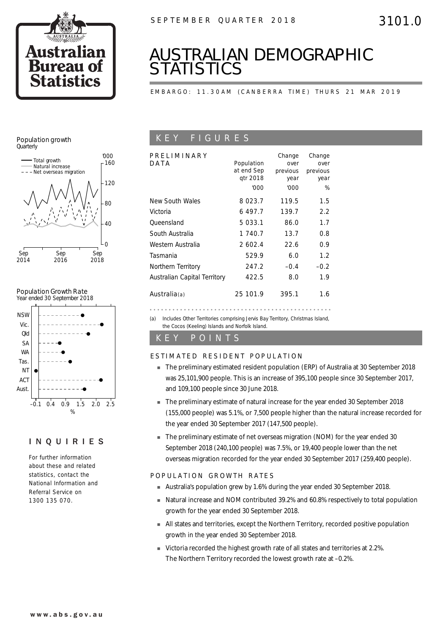

# *AUSTRALIAN DEMOGRAPHIC STATISTICS*

EMBARGO: 11.30AM (CANBERRA TIME) THURS 21 MAR 2019

### Population growth **Quarterly**



### Population Growth Rate



### INQUIRIES

For further information about these and related statistics, contact the National Information and Referral Service on 1300 135 070.

## K E Y F I G U R E S

| PRELIMINARY<br>DATA          | Population<br>at end Sep<br>atr 2018<br>'000 | Change<br>over<br>previous<br>year<br>'000 | Change<br>over<br>previous<br>year<br>% |
|------------------------------|----------------------------------------------|--------------------------------------------|-----------------------------------------|
| New South Wales              | 8 0 2 3 . 7                                  | 119.5                                      | 1.5                                     |
| Victoria                     | 6497.7                                       | 139.7                                      | 2.2                                     |
| Oueensland                   | 5 033.1                                      | 86.0                                       | 1.7                                     |
| South Australia              | 1 740.7                                      | 13.7                                       | 0.8                                     |
| Western Australia            | 2 602.4                                      | 22.6                                       | 0.9                                     |
| Tasmania                     | 529.9                                        | 6.0                                        | 1.2                                     |
| Northern Territory           | 247.2                                        | $-0.4$                                     | $-0.2$                                  |
| Australian Capital Territory | 422.5                                        | 8.0                                        | 1.9                                     |
| Australia $(a)$              | 25 101.9                                     | 395.1                                      | 1.6                                     |

(a) Includes Other Territories comprising Jervis Bay Territory, Christmas Island, the Cocos (Keeling) Islands and Norfolk Island.

### K E Y P O I N T S

### ESTIMATED RESIDENT POPULATION

- ! The preliminary estimated resident population (ERP) of Australia at 30 September 2018 was 25,101,900 people. This is an increase of 395,100 people since 30 September 2017, and 109,100 people since 30 June 2018.
- ! The preliminary estimate of natural increase for the year ended 30 September 2018 (155,000 people) was 5.1%, or 7,500 people higher than the natural increase recorded for the year ended 30 September 2017 (147,500 people).
- **The preliminary estimate of net overseas migration (NOM) for the year ended 30** September 2018 (240,100 people) was 7.5%, or 19,400 people lower than the net overseas migration recorded for the year ended 30 September 2017 (259,400 people).

### POPULATION GROWTH RATES

- ! Australia's population grew by 1.6% during the year ended 30 September 2018.
- ! Natural increase and NOM contributed 39.2% and 60.8% respectively to total population growth for the year ended 30 September 2018.
- ! All states and territories, except the Northern Territory, recorded positive population growth in the year ended 30 September 2018.
- ! Victoria recorded the highest growth rate of all states and territories at 2.2%. The Northern Territory recorded the lowest growth rate at –0.2%.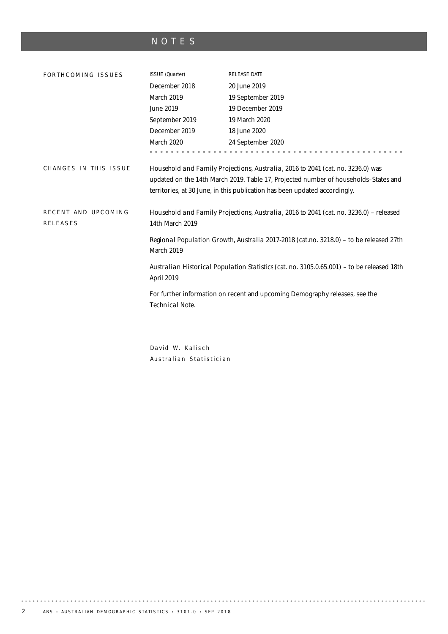# NOTES

| FORTHCOMING ISSUES                     | ISSUE (Quarter)                                                                                                                                                                                                                                      | RELEASE DATE                                                                               |  |  |  |
|----------------------------------------|------------------------------------------------------------------------------------------------------------------------------------------------------------------------------------------------------------------------------------------------------|--------------------------------------------------------------------------------------------|--|--|--|
|                                        | December 2018                                                                                                                                                                                                                                        | 20 June 2019                                                                               |  |  |  |
|                                        | March 2019                                                                                                                                                                                                                                           | 19 September 2019                                                                          |  |  |  |
|                                        | June 2019                                                                                                                                                                                                                                            | 19 December 2019                                                                           |  |  |  |
|                                        | September 2019                                                                                                                                                                                                                                       | 19 March 2020                                                                              |  |  |  |
|                                        | December 2019                                                                                                                                                                                                                                        | 18 June 2020                                                                               |  |  |  |
|                                        | March 2020                                                                                                                                                                                                                                           | 24 September 2020                                                                          |  |  |  |
|                                        |                                                                                                                                                                                                                                                      |                                                                                            |  |  |  |
| CHANGES IN THIS ISSUE                  | Household and Family Projections, Australia, 2016 to 2041 (cat. no. 3236.0) was<br>updated on the 14th March 2019. Table 17, Projected number of households-States and<br>territories, at 30 June, in this publication has been updated accordingly. |                                                                                            |  |  |  |
| RECENT AND UPCOMING<br><b>RELEASES</b> | 14th March 2019                                                                                                                                                                                                                                      | Household and Family Projections, Australia, 2016 to 2041 (cat. no. 3236.0) - released     |  |  |  |
|                                        | Regional Population Growth, Australia 2017-2018 (cat.no. 3218.0) - to be released 27th<br>March 2019                                                                                                                                                 |                                                                                            |  |  |  |
|                                        | April 2019                                                                                                                                                                                                                                           | Australian Historical Population Statistics (cat. no. 3105.0.65.001) - to be released 18th |  |  |  |
|                                        | Technical Note.                                                                                                                                                                                                                                      | For further information on recent and upcoming Demography releases, see the                |  |  |  |
|                                        |                                                                                                                                                                                                                                                      |                                                                                            |  |  |  |

David W. Kalisch Australian Statistician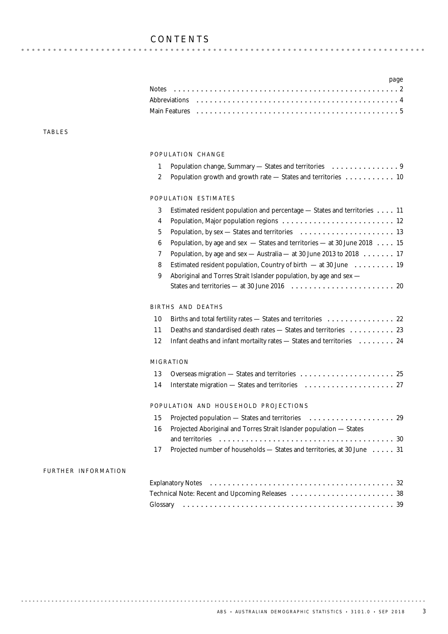|  |  |  | page |
|--|--|--|------|
|  |  |  |      |
|  |  |  |      |
|  |  |  |      |

### TABLES

### POPULATION CHANGE

| 1<br>$\overline{\mathbf{2}}$ | Population growth and growth rate - States and territories  10                                    |
|------------------------------|---------------------------------------------------------------------------------------------------|
|                              |                                                                                                   |
|                              | POPULATION ESTIMATES                                                                              |
| 3                            | Estimated resident population and percentage - States and territories 11                          |
| 4                            |                                                                                                   |
| 5                            |                                                                                                   |
| 6                            | Population, by age and sex - States and territories - at 30 June 2018 15                          |
| 7                            | Population, by age and sex $-$ Australia $-$ at 30 June 2013 to 2018 $\dots \dots$ 17             |
| 8                            | Estimated resident population, Country of birth - at 30 June  19                                  |
| 9                            | Aboriginal and Torres Strait Islander population, by age and sex -                                |
|                              |                                                                                                   |
|                              | BIRTHS AND DEATHS                                                                                 |
| 10                           | Births and total fertility rates — States and territories $\ldots \ldots \ldots \ldots \ldots$ 22 |
| 11                           | Deaths and standardised death rates - States and territories  23                                  |
| 12                           | Infant deaths and infant mortailty rates - States and territories  24                             |
|                              | MIGRATION                                                                                         |
| 13                           |                                                                                                   |
| 14                           |                                                                                                   |
|                              | POPULATION AND HOUSEHOLD PROJECTIONS                                                              |
| 15                           |                                                                                                   |
| 16                           | Projected Aboriginal and Torres Strait Islander population - States                               |
|                              |                                                                                                   |
| 17                           | Projected number of households - States and territories, at 30 June 31                            |
| FURTHER INFORMATION          |                                                                                                   |
|                              |                                                                                                   |
|                              |                                                                                                   |
|                              | Glossary                                                                                          |
|                              |                                                                                                   |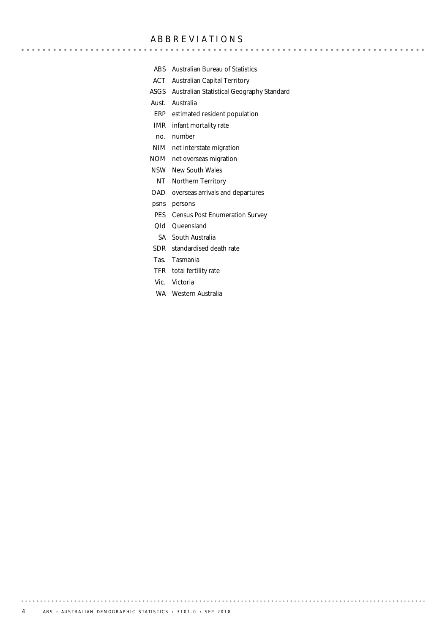### ABBREVIATIONS

- ABS Australian Bureau of Statistics
- ACT Australian Capital Territory
- ASGS Australian Statistical Geography Standard

Aust. Australia

- ERP estimated resident population
- IMR infant mortality rate
- no. number
- NIM net interstate migration
- NOM net overseas migration
- NSW New South Wales
- NT Northern Territory
- OAD overseas arrivals and departures
- psns persons
- PES Census Post Enumeration Survey
- Qld Queensland
- SA South Australia
- SDR standardised death rate
- Tas. Tasmania
- TFR total fertility rate
- Vic. Victoria
- WA Western Australia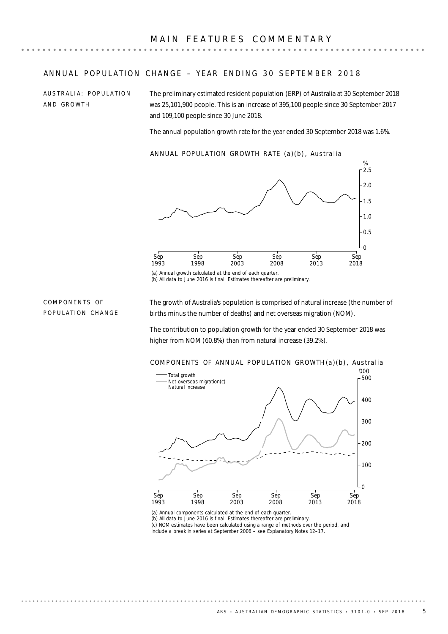### ANNUAL POPULATION CHANGE - YEAR ENDING 30 SEPTEMBER 2018

AUSTRALIA: POPULATION AND GROWTH

The preliminary estimated resident population (ERP) of Australia at 30 September 2018 was 25,101,900 people. This is an increase of 395,100 people since 30 September 2017 and 109,100 people since 30 June 2018.

The annual population growth rate for the year ended 30 September 2018 was 1.6%.

ANNUAL POPULATION GROWTH RATE (a)(b) , Australia



(a) Annual growth calculated at the end of each quarter. (b) All data to June 2016 is final. Estimates thereafter are preliminary.

COMPONENTS OF POPULATION CHANGE The growth of Australia's population is comprised of natural increase (the number of births minus the number of deaths) and net overseas migration (NOM).

The contribution to population growth for the year ended 30 September 2018 was higher from NOM (60.8%) than from natural increase (39.2%).



(a) Annual components calculated at the end of each quarter.

(b) All data to June 2016 is final. Estimates thereafter are preliminary. (c) NOM estimates have been calculated using a range of methods over the period, and include a break in series at September 2006 – see Explanatory Notes 12–17.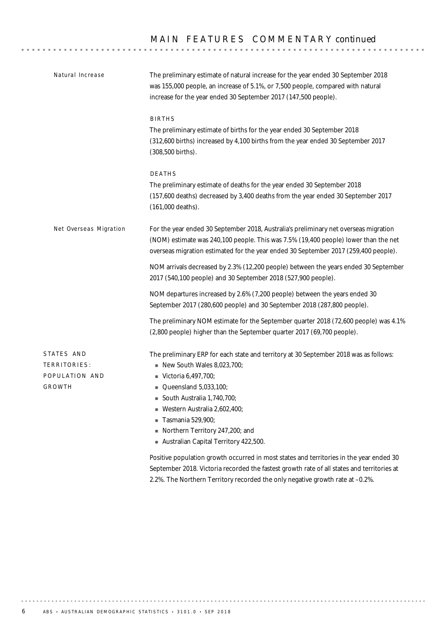| Natural Increase                                       | The preliminary estimate of natural increase for the year ended 30 September 2018<br>was 155,000 people, an increase of 5.1%, or 7,500 people, compared with natural<br>increase for the year ended 30 September 2017 (147,500 people).                                                                                                                          |  |  |  |  |  |
|--------------------------------------------------------|------------------------------------------------------------------------------------------------------------------------------------------------------------------------------------------------------------------------------------------------------------------------------------------------------------------------------------------------------------------|--|--|--|--|--|
|                                                        | <b>BIRTHS</b><br>The preliminary estimate of births for the year ended 30 September 2018<br>(312,600 births) increased by 4,100 births from the year ended 30 September 2017<br>(308,500 births).                                                                                                                                                                |  |  |  |  |  |
|                                                        | DEATHS<br>The preliminary estimate of deaths for the year ended 30 September 2018<br>(157,600 deaths) decreased by 3,400 deaths from the year ended 30 September 2017<br>(161,000 deaths).                                                                                                                                                                       |  |  |  |  |  |
| Net Overseas Migration                                 | For the year ended 30 September 2018, Australia's preliminary net overseas migration<br>(NOM) estimate was 240,100 people. This was 7.5% (19,400 people) lower than the net<br>overseas migration estimated for the year ended 30 September 2017 (259,400 people).                                                                                               |  |  |  |  |  |
|                                                        | NOM arrivals decreased by 2.3% (12,200 people) between the years ended 30 September<br>2017 (540,100 people) and 30 September 2018 (527,900 people).                                                                                                                                                                                                             |  |  |  |  |  |
|                                                        | NOM departures increased by 2.6% (7,200 people) between the years ended 30<br>September 2017 (280,600 people) and 30 September 2018 (287,800 people).                                                                                                                                                                                                            |  |  |  |  |  |
|                                                        | The preliminary NOM estimate for the September quarter 2018 (72,600 people) was 4.1%<br>(2,800 people) higher than the September quarter 2017 (69,700 people).                                                                                                                                                                                                   |  |  |  |  |  |
| STATES AND<br>TERRITORIES:<br>POPULATION AND<br>GROWTH | The preliminary ERP for each state and territory at 30 September 2018 was as follows:<br>$\blacksquare$ New South Wales 8,023,700;<br>Victoria 6,497,700;<br>$\blacksquare$ Queensland 5,033,100;<br>South Australia 1,740,700;<br>Western Australia 2,602,400;<br>Tasmania 529,900;<br>Northern Territory 247,200; and<br>Australian Capital Territory 422,500. |  |  |  |  |  |
|                                                        | Positive population growth occurred in most states and territories in the year ended 30<br>September 2018. Victoria recorded the fastest growth rate of all states and territories at<br>2.2%. The Northern Territory recorded the only negative growth rate at -0.2%.                                                                                           |  |  |  |  |  |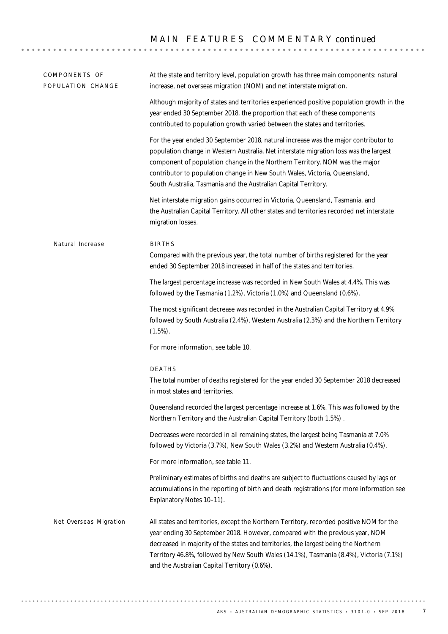## MAIN FEATURES COMMENTARY *continued*

| COMPONENTS OF<br>POPULATION CHANGE | At the state and territory level, population growth has three main components: natural<br>increase, net overseas migration (NOM) and net interstate migration.                                                                                                                                                                                                                                               |
|------------------------------------|--------------------------------------------------------------------------------------------------------------------------------------------------------------------------------------------------------------------------------------------------------------------------------------------------------------------------------------------------------------------------------------------------------------|
|                                    | Although majority of states and territories experienced positive population growth in the<br>year ended 30 September 2018, the proportion that each of these components<br>contributed to population growth varied between the states and territories.                                                                                                                                                       |
|                                    | For the year ended 30 September 2018, natural increase was the major contributor to<br>population change in Western Australia. Net interstate migration loss was the largest<br>component of population change in the Northern Territory. NOM was the major<br>contributor to population change in New South Wales, Victoria, Queensland,<br>South Australia, Tasmania and the Australian Capital Territory. |
|                                    | Net interstate migration gains occurred in Victoria, Queensland, Tasmania, and<br>the Australian Capital Territory. All other states and territories recorded net interstate<br>migration losses.                                                                                                                                                                                                            |
| Natural Increase                   | <b>BIRTHS</b><br>Compared with the previous year, the total number of births registered for the year<br>ended 30 September 2018 increased in half of the states and territories.                                                                                                                                                                                                                             |
|                                    | The largest percentage increase was recorded in New South Wales at 4.4%. This was<br>followed by the Tasmania (1.2%), Victoria (1.0%) and Queensland (0.6%).                                                                                                                                                                                                                                                 |
|                                    | The most significant decrease was recorded in the Australian Capital Territory at 4.9%<br>followed by South Australia (2.4%), Western Australia (2.3%) and the Northern Territory<br>$(1.5\%)$ .                                                                                                                                                                                                             |
|                                    | For more information, see table 10.                                                                                                                                                                                                                                                                                                                                                                          |
|                                    | DEATHS<br>The total number of deaths registered for the year ended 30 September 2018 decreased<br>in most states and territories.                                                                                                                                                                                                                                                                            |
|                                    | Queensland recorded the largest percentage increase at 1.6%. This was followed by the<br>Northern Territory and the Australian Capital Territory (both 1.5%).                                                                                                                                                                                                                                                |
|                                    | Decreases were recorded in all remaining states, the largest being Tasmania at 7.0%<br>followed by Victoria (3.7%), New South Wales (3.2%) and Western Australia (0.4%).                                                                                                                                                                                                                                     |
|                                    | For more information, see table 11.                                                                                                                                                                                                                                                                                                                                                                          |
|                                    | Preliminary estimates of births and deaths are subject to fluctuations caused by lags or<br>accumulations in the reporting of birth and death registrations (for more information see<br>Explanatory Notes 10-11).                                                                                                                                                                                           |
| Net Overseas Migration             | All states and territories, except the Northern Territory, recorded positive NOM for the<br>year ending 30 September 2018. However, compared with the previous year, NOM<br>decreased in majority of the states and territories, the largest being the Northern<br>Territory 46.8%, followed by New South Wales (14.1%), Tasmania (8.4%), Victoria (7.1%)<br>and the Australian Capital Territory (0.6%).    |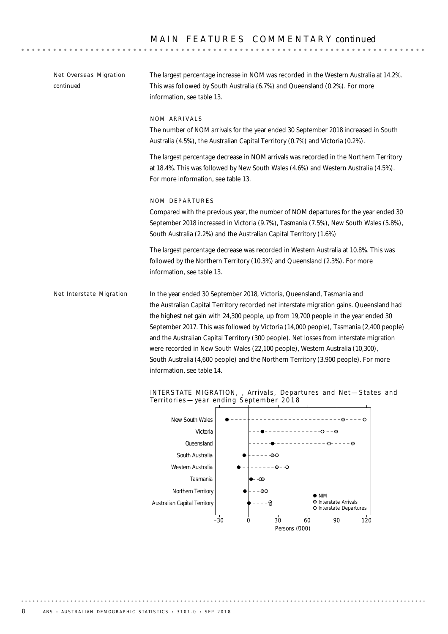$-1 - 1 - 1 - 1$ 

. . . . . . . . . .

| Net Overseas Migration<br>continued | The largest percentage increase in NOM was recorded in the Western Australia at 14.2%.<br>This was followed by South Australia (6.7%) and Queensland (0.2%). For more<br>information, see table 13.                                                                                                                                                                                                                                                                                                                                                                                                                                                  |  |  |  |  |  |
|-------------------------------------|------------------------------------------------------------------------------------------------------------------------------------------------------------------------------------------------------------------------------------------------------------------------------------------------------------------------------------------------------------------------------------------------------------------------------------------------------------------------------------------------------------------------------------------------------------------------------------------------------------------------------------------------------|--|--|--|--|--|
|                                     | NOM ARRIVALS<br>The number of NOM arrivals for the year ended 30 September 2018 increased in South<br>Australia (4.5%), the Australian Capital Territory (0.7%) and Victoria (0.2%).<br>The largest percentage decrease in NOM arrivals was recorded in the Northern Territory<br>at 18.4%. This was followed by New South Wales (4.6%) and Western Australia (4.5%).                                                                                                                                                                                                                                                                                |  |  |  |  |  |
|                                     | For more information, see table 13.<br>NOM DEPARTURES<br>Compared with the previous year, the number of NOM departures for the year ended 30                                                                                                                                                                                                                                                                                                                                                                                                                                                                                                         |  |  |  |  |  |
|                                     | September 2018 increased in Victoria (9.7%), Tasmania (7.5%), New South Wales (5.8%),<br>South Australia (2.2%) and the Australian Capital Territory (1.6%)<br>The largest percentage decrease was recorded in Western Australia at 10.8%. This was<br>followed by the Northern Territory (10.3%) and Queensland (2.3%). For more<br>information, see table 13.                                                                                                                                                                                                                                                                                      |  |  |  |  |  |
| Net Interstate Migration            | In the year ended 30 September 2018, Victoria, Queensland, Tasmania and<br>the Australian Capital Territory recorded net interstate migration gains. Queensland had<br>the highest net gain with 24,300 people, up from 19,700 people in the year ended 30<br>September 2017. This was followed by Victoria (14,000 people), Tasmania (2,400 people)<br>and the Australian Capital Territory (300 people). Net losses from interstate migration<br>were recorded in New South Wales (22,100 people), Western Australia (10,300),<br>South Australia (4,600 people) and the Northern Territory (3,900 people). For more<br>information, see table 14. |  |  |  |  |  |
|                                     | INTERSTATE MIGRATION, , Arrivals, Departures and Net-States and                                                                                                                                                                                                                                                                                                                                                                                                                                                                                                                                                                                      |  |  |  |  |  |



–30 0 30 60 90 120 Persons ('000)

Interstate Arrivals Interstate Departures

. . . . . . . .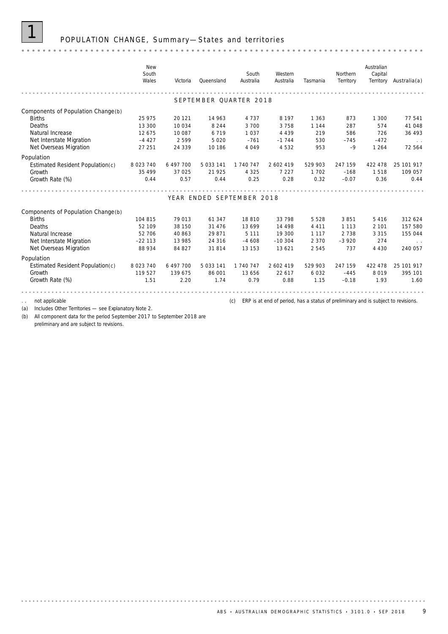### 1 POPULATION CHANGE, Summary —States and territories

### *New Australian South South Western Northern Capital Wales Australia Tasmania Territory Victoria Queensland Australia Australia*(a) *Territory* \*\*\*\*\*\*\*\*\*\*\*\*\*\*\*\*\*\*\* . . . . . . . . . . . . . . . . . . . . . . . . SEPTEMBER OUARTER 2018 Components of Population Change(b)<br>Births Births 25 975 20 121 14 963 4 737 8 197 1 363 873 1 300 77 541 Deaths 13 300 10 034 8 244 3 700 3 758 1 144 287 574 41 048 Natural Increase 12 675 10 087 6 719 1037 4 439 219 586 726 36 493 Net Overseas Migration 27 251 24 339 10 186 4 049 4 532 953 –9 1 264 72 564 Net Interstate Migration –  $4427$   $2599$   $5020$   $-761$   $-1744$   $530$   $-745$   $-472$ Population Estimated Resident Population(c) 8 023 740 6 497 700 5 033 141 1 740 747 2 602 419 529 903 247 159 422 478 25 101 917 Growth 35 499 37 025 21 925 4 325 7 227 1 702 –168 1 518 109 057 Growth Rate *(%)* 0.44 0.57 0.44 0.25 0.28 0.32 –0.07 0.36 0.44 . . . . . . . YEAR ENDED SEPTEMBER 2018 Components of Population Change(b) Births 104 815 79 013 61 347 18 810 33 798 5 528 3 851 5 416 312 624 Deaths 62 109 38 150 31 476 13 699 14 498 4 411 113 2 101 157 580 Natural Increase 2010 52 706 40 863 29 871 5 111 19 300 1 117 2 738 3 315 155 044 Net Interstate Migration –22 113 13 985 24 316 -4 608 -10 304 2 370 -3 920 274 Net Overseas Migration 88 934 84 827 31 814 13 153 13 621 2 545 737 4 430 240 057 Population Estimated Resident Population(c) 8 023 740 6 497 700 5 033 141 1 740 747 2 602 419 529 903 247 159 422 478 25 101 917 Growth 119 527 139 675 86 001 13 656 22 617 6 032 –445 8 019 395 101 Growth Rate *(%)* 1.51 2.20 1.74 0.79 0.88 1.15 –0.18 1.93 1.60 not applicable **the contract of the contract of period**, has a status of preliminary and is subject to revisions.

(a) Includes Other Territories — see Explanatory Note 2.

(b) All component data for the period September 2017 to September 2018 are preliminary and are subject to revisions.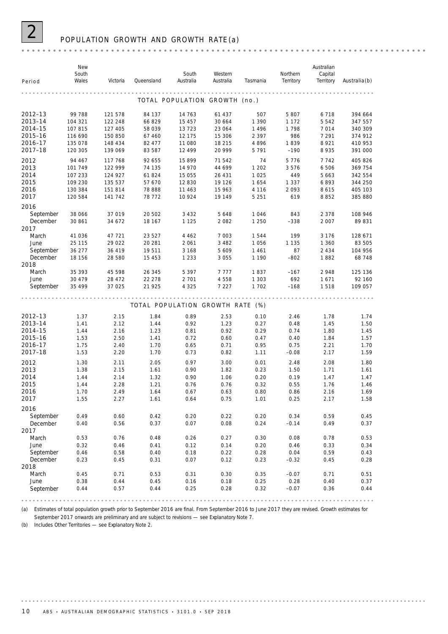

### 2 POPULATION GROWTH AND GROWTH RATE (a)

| Period                | New<br>South<br>Wales | Victoria | Queensland       | South<br>Australia               | Western<br>Australia | Tasmania | Northern<br>Territory | Australian<br>Capital<br>Territory | $A$ ustralia $(b)$ |
|-----------------------|-----------------------|----------|------------------|----------------------------------|----------------------|----------|-----------------------|------------------------------------|--------------------|
|                       |                       |          |                  |                                  |                      |          |                       |                                    |                    |
|                       |                       |          |                  | TOTAL POPULATION GROWTH (no.)    |                      |          |                       |                                    |                    |
| 2012-13               | 99 788                | 121 578  | 84 137           | 14 763                           | 61 437               | 507      | 5 8 0 7               | 6 7 1 8                            | 394 664            |
| 2013-14               | 104 321               | 122 248  | 66 829           | 15 45 7                          | 30 664               | 1 3 9 0  | 1 1 7 2               | 5 5 4 2                            | 347 557            |
| 2014-15               | 107 815               | 127 405  | 58 039           | 13723                            | 23 064               | 1 4 9 6  | 1798                  | 7014                               | 340 309            |
| 2015-16               | 116 690               | 150 850  | 67 460           | 12 175                           | 15 306               | 2 3 9 7  | 986                   | 7 2 9 1                            | 374 912            |
| 2016-17               | 135 078               | 148 434  | 82 477           | 11 080                           | 18 215               | 4896     | 1839                  | 8 9 2 1                            | 410 953            |
| 2017-18               | 120 305               | 139 069  | 83 587           | 12 499                           | 20 999               | 5 7 9 1  | $-190$                | 8 9 3 5                            | 391 000            |
| 2012                  | 94 467                | 117 768  | 92 655           | 15 8 9 9                         | 71542                | 74       | 5776                  | 7742                               | 405 826            |
| 2013                  | 101 749               | 122 999  | 74 135           | 14 970                           | 44 699               | 1 202    | 3576                  | 6 506                              | 369 754            |
| 2014                  | 107 233               | 124 927  | 61824            | 15 055                           | 26 431               | 1 0 2 5  | 449                   | 5 6 6 3                            | 342 554            |
| 2015                  | 109 230               | 135 537  | 57 670           | 12 830                           | 19 1 26              | 1654     | 1 3 3 7               | 6893                               | 344 250            |
| 2016                  | 130 384               | 151 814  | 78 888           | 11 4 6 3                         | 15 963               | 4 1 1 6  | 2093                  | 8615                               | 405 103            |
| 2017                  | 120 584               | 141 742  | 78 772           | 10 924                           | 19 149               | 5 2 5 1  | 619                   | 8852                               | 385 880            |
| 2016                  |                       |          |                  |                                  |                      |          |                       |                                    |                    |
| September             | 38 066                | 37 019   | 20 502           | 3 4 3 2                          | 5648                 | 1046     | 843                   | 2 3 7 8                            | 108 946            |
| December              | 30 861                | 34 672   | 18 167           | 1 1 2 5                          | 2082                 | 1 2 5 0  | $-338$                | 2 0 0 7                            | 89 831             |
| 2017                  |                       |          |                  |                                  |                      |          |                       |                                    |                    |
| March                 | 41 036                | 47 721   | 23 5 27          | 4 4 6 2                          | 7 0 0 3              | 1544     | 199                   | 3 1 7 6                            | 128 671            |
| June                  | 25 115                | 29 0 22  | 20 281           | 2 0 6 1                          | 3 4 8 2              | 1 0 5 6  | 1 1 3 5               | 1 360                              | 83 505             |
| September             | 36 277                | 36 419   | 19511            | 3 1 6 8                          | 5 6 0 9              | 1461     | 87                    | 2 4 3 4                            | 104 956            |
| December              | 18 156                | 28 580   | 15 4 5 3         | 1 2 3 3                          | 3 0 5 5              | 1 1 9 0  | $-802$                | 1882                               | 68 748             |
| 2018<br>March         | 35 393                | 45 598   |                  | 5 3 9 7                          | 7 7 7 7              | 1837     | $-167$                | 2948                               | 125 136            |
| June                  | 30 479                | 28 472   | 26 345<br>22 278 | 2 7 0 1                          | 4558                 | 1 3 0 3  | 692                   | 1671                               | 92 160             |
| September             | 35 499                | 37 0 25  | 21 9 25          | 4 3 2 5                          | 7 2 2 7              | 1 702    | $-168$                | 1518                               | 109 057            |
|                       |                       |          |                  |                                  |                      |          |                       |                                    |                    |
|                       |                       |          |                  | TOTAL POPULATION GROWTH RATE (%) |                      |          |                       |                                    |                    |
| 2012-13               | 1.37                  | 2.15     | 1.84             | 0.89                             | 2.53                 | 0.10     | 2.46                  | 1.78                               | 1.74               |
| 2013-14               | 1.41                  | 2.12     | 1.44             | 0.92                             | 1.23                 | 0.27     | 0.48                  | 1.45                               | 1.50               |
| 2014-15               | 1.44                  | 2.16     | 1.23             | 0.81                             | 0.92                 | 0.29     | 0.74                  | 1.80                               | 1.45               |
| 2015-16               | 1.53                  | 2.50     | 1.41             | 0.72                             | 0.60                 | 0.47     | 0.40                  | 1.84                               | 1.57               |
| 2016-17               | 1.75                  | 2.40     | 1.70             | 0.65                             | 0.71                 | 0.95     | 0.75                  | 2.21                               | 1.70               |
| 2017-18               | 1.53                  | 2.20     | 1.70             | 0.73                             | 0.82                 | 1.11     | $-0.08$               | 2.17                               | 1.59               |
| 2012                  | 1.30                  | 2.11     | 2.05             | 0.97                             | 3.00                 | 0.01     | 2.48                  | 2.08                               | 1.80               |
| 2013                  | 1.38                  | 2.15     | 1.61             | 0.90                             | 1.82                 | 0.23     | 1.50                  | 1.71                               | 1.61               |
| 2014                  | 1.44                  | 2.14     | 1.32             | 0.90                             | 1.06                 | 0.20     | 0.19                  | 1.47                               | 1.47               |
| 2015                  | 1.44                  | 2.28     | 1.21             | 0.76                             | 0.76                 | 0.32     | 0.55                  | 1.76                               | 1.46               |
| 2016                  | 1.70                  | 2.49     | 1.64             | 0.67                             | 0.63                 | 0.80     | 0.86                  | 2.16                               | 1.69               |
| 2017                  | 1.55                  | 2.27     | 1.61             | 0.64                             | 0.75                 | 1.01     | 0.25                  | 2.17                               | 1.58               |
| 2016                  |                       |          |                  |                                  |                      |          |                       |                                    |                    |
| September             | 0.49                  | 0.60     | 0.42             | 0.20                             | 0.22                 | 0.20     | 0.34                  | 0.59                               | 0.45               |
| December              | 0.40                  | 0.56     | 0.37             | 0.07                             | 0.08                 | 0.24     | $-0.14$               | 0.49                               | 0.37               |
| 2017                  |                       |          |                  |                                  |                      |          |                       |                                    |                    |
| March                 | 0.53                  | 0.76     | 0.48             | 0.26                             | 0.27                 | 0.30     | 0.08                  | 0.78                               | 0.53               |
| June                  | 0.32                  | 0.46     | 0.41             | 0.12                             | 0.14                 | 0.20     | 0.46                  | 0.33                               | 0.34               |
| September<br>December | 0.46                  | 0.58     | 0.40             | 0.18<br>0.07                     | 0.22                 | 0.28     | 0.04                  | 0.59                               | 0.43               |
| 2018                  | 0.23                  | 0.45     | 0.31             |                                  | 0.12                 | 0.23     | $-0.32$               | 0.45                               | 0.28               |
| March                 | 0.45                  | 0.71     | 0.53             | 0.31                             | 0.30                 | 0.35     | $-0.07$               | 0.71                               | 0.51               |
| June                  | 0.38                  | 0.44     | 0.45             | 0.16                             | 0.18                 | 0.25     | 0.28                  | 0.40                               | 0.37               |
| September             | 0.44                  | 0.57     | 0.44             | 0.25                             | 0.28                 | 0.32     | $-0.07$               | 0.36                               | 0.44               |
|                       |                       |          |                  |                                  |                      |          |                       |                                    |                    |

(a) Estimates of total population growth prior to September 2016 are final. From September 2016 to June 2017 they are revised. Growth estimates for

September 2017 onwards are preliminary and are subject to revisions — see Explanatory Note 7.

(b) Includes Other Territories — see Explanatory Note 2.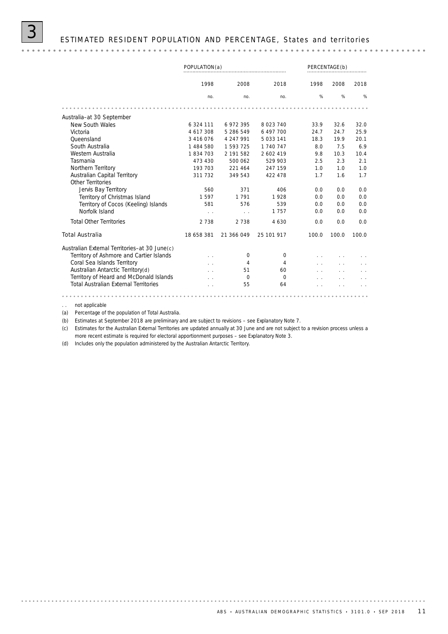

|                                                          | POPULATION(a) |                           |             |       | PERCENTAGE(b) |       |
|----------------------------------------------------------|---------------|---------------------------|-------------|-------|---------------|-------|
|                                                          | 1998          | 2008                      | 2018        | 1998  | 2008          | 2018  |
|                                                          | no.           | no.                       | no.         | %     | %             | %     |
|                                                          |               |                           |             |       |               |       |
| Australia-at 30 September                                |               |                           |             |       |               |       |
| New South Wales                                          | 6 324 111     | 6 972 395                 | 8 0 23 7 40 | 33.9  | 32.6          | 32.0  |
| Victoria                                                 | 4 617 308     | 5 286 549                 | 6 497 700   | 24.7  | 24.7          | 25.9  |
| Queensland                                               | 3 4 1 6 0 7 6 | 4 247 991                 | 5 033 141   | 18.3  | 19.9          | 20.1  |
| South Australia                                          | 1 484 580     | 1 593 725                 | 1 740 747   | 8.0   | 7.5           | 6.9   |
| Western Australia                                        | 1834703       | 2 191 582                 | 2 602 419   | 9.8   | 10.3          | 10.4  |
| Tasmania                                                 | 473 430       | 500 062                   | 529 903     | 2.5   | 2.3           | 2.1   |
| Northern Territory                                       | 193 703       | 221 464                   | 247 159     | 1.0   | 1.0           | 1.0   |
| <b>Australian Capital Territory</b><br>Other Territories | 311 732       | 349 543                   | 422 478     | 1.7   | 1.6           | 1.7   |
| Jervis Bay Territory                                     | 560           | 371                       | 406         | 0.0   | 0.0           | 0.0   |
| Territory of Christmas Island                            | 1597          | 1 7 9 1                   | 1928        | 0.0   | 0.0           | 0.0   |
| Territory of Cocos (Keeling) Islands                     | 581           | 576                       | 539         | 0.0   | 0.0           | 0.0   |
| Norfolk Island                                           |               | $\mathcal{L}=\mathcal{L}$ | 1757        | 0.0   | 0.0           | 0.0   |
| <b>Total Other Territories</b>                           | 2 7 3 8       | 2 738                     | 4 6 3 0     | 0.0   | 0.0           | 0.0   |
| <b>Total Australia</b>                                   | 18 658 381    | 21 366 049                | 25 101 917  | 100.0 | 100.0         | 100.0 |
| Australian External Territories-at 30 June(c)            |               |                           |             |       |               |       |
| Territory of Ashmore and Cartier Islands                 |               | $\Omega$                  | $\Omega$    |       |               |       |
| Coral Sea Islands Territory                              |               | 4                         | 4           |       |               |       |
| Australian Antarctic Territory(d)                        |               | 51                        | 60          |       |               |       |
| Territory of Heard and McDonald Islands                  |               | $\Omega$                  | $\Omega$    |       |               |       |
| <b>Total Australian External Territories</b>             |               | 55                        | 64          |       |               |       |
|                                                          |               |                           |             |       |               |       |

. . not applicable

(a) Percentage of the population of Total Australia.

(b) Estimates at September 2018 are preliminary and are subject to revisions – see Explanatory Note 7.

(c) Estimates for the Australian External Territories are updated annually at 30 June and are not subject to a revision process unless a more recent estimate is required for electoral apportionment purposes – see Explanatory Note 3.

(d) Includes only the population administered by the Australian Antarctic Territory.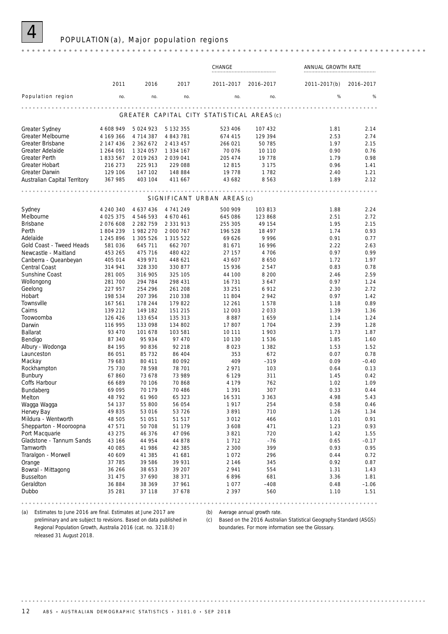

### POPULATION (a), Major population regions

|                              |              |               |               | CHANGE                                    |           | ANNUAL GROWTH RATE |           |  |
|------------------------------|--------------|---------------|---------------|-------------------------------------------|-----------|--------------------|-----------|--|
|                              | 2011         | 2016          | 2017          | 2011-2017                                 | 2016-2017 | 2011-2017(b)       | 2016-2017 |  |
| Population region            | no.          | no.           | no.           | no.                                       | no.       | %                  | %         |  |
|                              |              |               |               | GREATER CAPITAL CITY STATISTICAL AREAS(c) |           |                    |           |  |
| <b>Greater Sydney</b>        | 4 608 949    | 5 0 24 9 23   | 5 132 355     | 523 406                                   | 107 432   | 1.81               | 2.14      |  |
| Greater Melbourne            | 4 169 366    | 4 7 1 4 3 8 7 | 4 843 781     | 674 415                                   | 129 394   | 2.53               | 2.74      |  |
| Greater Brisbane             | 2 147 436    | 2 3 6 2 6 7 2 | 2 413 457     | 266 021                                   | 50 785    | 1.97               | 2.15      |  |
| Greater Adelaide             | 1 264 091    | 1 324 057     | 1 334 167     | 70 0 76                                   | 10 110    | 0.90               | 0.76      |  |
| <b>Greater Perth</b>         | 1833567      | 2019263       | 2 0 3 9 0 4 1 | 205 474                                   | 19778     | 1.79               | 0.98      |  |
| Greater Hobart               | 216 273      | 225 913       | 229 088       | 12815                                     | 3 1 7 5   | 0.96               | 1.41      |  |
| <b>Greater Darwin</b>        | 129 106      | 147 102       | 148 884       | 19 7 78                                   | 1782      | 2.40               | 1.21      |  |
| Australian Capital Territory | 367 985      | 403 104       | 411 667       | 43 682                                    | 8563      | 1.89               | 2.12      |  |
|                              |              |               |               | SIGNIFICANT URBAN AREAS(c)                |           |                    |           |  |
| Sydney                       | 4 240 340    | 4 637 436     | 4 741 249     | 500 909                                   | 103 813   | 1.88               | 2.24      |  |
| Melbourne                    | 4 0 25 3 7 5 | 4 546 593     | 4 670 461     | 645 086                                   | 123 868   | 2.51               | 2.72      |  |
| <b>Brisbane</b>              | 2076 608     | 2 2 8 2 7 5 9 | 2 3 3 1 9 1 3 | 255 305                                   | 49 154    | 1.95               | 2.15      |  |
| Perth                        | 1804239      | 1982 270      | 2 000 767     | 196 528                                   | 18 497    | 1.74               | 0.93      |  |
| Adelaide                     | 1 245 896    | 1 305 526     | 1 315 522     | 69 626                                    | 9996      | 0.91               | 0.77      |  |
| Gold Coast - Tweed Heads     | 581 036      | 645 711       | 662 707       | 81 671                                    | 16 996    | 2.22               | 2.63      |  |
| Newcastle - Maitland         | 453 265      | 475 716       | 480 422       | 27 157                                    | 4 706     | 0.97               | 0.99      |  |
| Canberra - Queanbeyan        | 405 014      | 439 971       | 448 621       | 43 607                                    | 8 6 5 0   | 1.72               | 1.97      |  |
| Central Coast                | 314 941      | 328 330       | 330 877       | 15 9 36                                   | 2547      | 0.83               | 0.78      |  |
| Sunshine Coast               | 281 005      | 316 905       | 325 105       | 44 100                                    | 8 2 0 0   | 2.46               | 2.59      |  |
| Wollongong                   | 281 700      | 294 784       | 298 431       | 16 731                                    | 3647      | 0.97               | 1.24      |  |
| Geelong                      | 227 957      | 254 296       | 261 208       | 33 251                                    | 6912      | 2.30               | 2.72      |  |
| Hobart                       | 198 534      | 207 396       | 210 338       | 11 804                                    | 2942      | 0.97               | 1.42      |  |
| Townsville                   | 167 561      | 178 244       | 179 822       | 12 261                                    | 1578      | 1.18               | 0.89      |  |
| Cairns                       | 139 212      | 149 182       | 151 215       | 12 003                                    | 2 0 3 3   | 1.39               | 1.36      |  |
| Toowoomba                    | 126 426      | 133 654       | 135 313       | 8887                                      | 1659      | 1.14               | 1.24      |  |
| Darwin                       | 116 995      | 133 098       | 134 802       | 17807                                     | 1 7 0 4   | 2.39               | 1.28      |  |
| Ballarat                     | 93 470       | 101 678       | 103 581       | 10 111                                    | 1 903     | 1.73               | 1.87      |  |
| Bendigo                      | 87 340       | 95 934        | 97 470        | 10 130                                    | 1536      | 1.85               | 1.60      |  |
| Albury - Wodonga             | 84 195       | 90 836        | 92 218        | 8 0 2 3                                   | 1 3 8 2   | 1.53               | 1.52      |  |
| Launceston                   | 86 051       | 85 732        | 86 404        | 353                                       | 672       | 0.07               | 0.78      |  |
| Mackay                       | 79 683       | 80 411        | 80 092        | 409                                       | $-319$    | 0.09               | $-0.40$   |  |
| Rockhampton                  | 75 730       | 78 598        | 78 701        | 2 9 7 1                                   | 103       | 0.64               | 0.13      |  |
| <b>Bunbury</b>               | 67860        | 73 678        | 73 989        | 6 1 2 9                                   | 311       | 1.45               | 0.42      |  |
| Coffs Harbour                | 66 689       | 70 106        | 70 868        | 4 1 7 9                                   | 762       | 1.02               | 1.09      |  |
| Bundaberg                    | 69 095       | 70 179        | 70 486        | 1 3 9 1                                   | 307       | 0.33               | 0.44      |  |
| Melton                       | 48 792       | 61 960        | 65 323        | 16 531                                    | 3 3 6 3   | 4.98               | 5.43      |  |
| Wagga Wagga                  | 54 137       | 55 800        | 56 054        | 1917                                      | 254       | 0.58               | 0.46      |  |
| Hervey Bay                   | 49835        | 53 016        | 53 726        | 3891                                      | 710       | 1.26               | 1.34      |  |
| Mildura - Wentworth          | 48 505       | 51 051        | 51 517        | 3 0 1 2                                   | 466       | 1.01               | 0.91      |  |
| Shepparton - Mooroopna       | 47 571       | 50 708        | 51 179        | 3 6 0 8                                   | 471       | 1.23               | 0.93      |  |
| Port Macquarie               | 43 275       | 46 376        | 47 096        | 3 8 2 1                                   | 720       | 1.42               | 1.55      |  |
| Gladstone - Tannum Sands     | 43 166       | 44 954        | 44 878        | 1 7 1 2                                   | -76       | 0.65               | $-0.17$   |  |
| Tamworth                     | 40 085       | 41 986        | 42 385        | 2 3 0 0                                   | 399       | 0.93               | 0.95      |  |
| Traralgon - Morwell          | 40 609       | 41 385        | 41 681        | 1072                                      | 296       | 0.44               | 0.72      |  |
| Orange                       | 37 785       | 39 586        | 39 931        | 2 1 4 6                                   | 345       | 0.92               | 0.87      |  |
| Bowral - Mittagong           | 36 266       | 38 653        | 39 207        | 2 9 4 1                                   | 554       | 1.31               | 1.43      |  |
| <b>Busselton</b>             | 31 475       | 37 690        | 38 371        | 6896                                      | 681       | 3.36               | 1.81      |  |
| Geraldton                    | 36 884       | 38 369        | 37 961        | 1 0 7 7                                   | $-408$    | 0.48               | $-1.06$   |  |
| Dubbo                        | 35 281       | 37 118        | 37 678        | 2 3 9 7                                   | 560       | 1.10               | 1.51      |  |

(b) Average annual growth rate.

(a) Estimates to June 2016 are final. Estimates at June 2017 are preliminary and are subject to revisions. Based on data published in Regional Population Growth, Australia 2016 (cat. no. 3218.0)

(c) Based on the 2016 Australian Statistical Geography Standard (ASGS) boundaries. For more information see the Glossary.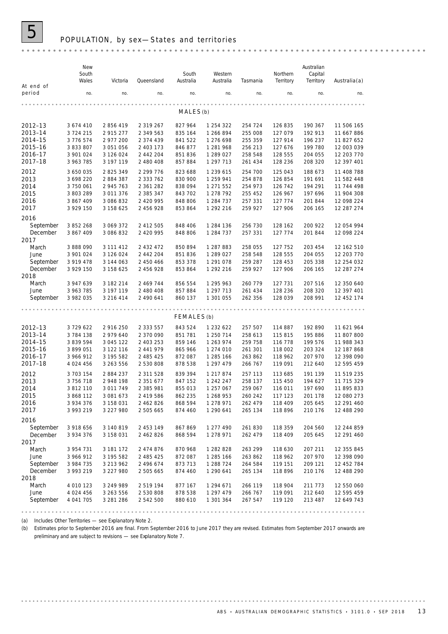

### POPULATION, by sex-States and territories

| At end of                                                      | New<br>South<br>Wales                                                          | Victoria                                                                   | Queensland                                                                     | South<br>Australia                                             | Western<br>Australia                                                       | Tasmania                                                       | Northern<br>Territory                                          | Australian<br>Capital<br>Territory                             | Australia(a)                                                                     |
|----------------------------------------------------------------|--------------------------------------------------------------------------------|----------------------------------------------------------------------------|--------------------------------------------------------------------------------|----------------------------------------------------------------|----------------------------------------------------------------------------|----------------------------------------------------------------|----------------------------------------------------------------|----------------------------------------------------------------|----------------------------------------------------------------------------------|
| period                                                         | no.                                                                            | no.                                                                        | no.                                                                            | no.                                                            | no.                                                                        | no.                                                            | no.                                                            | no.                                                            | no.                                                                              |
|                                                                |                                                                                |                                                                            |                                                                                | MALES(b)                                                       |                                                                            |                                                                |                                                                |                                                                |                                                                                  |
| 2012-13<br>2013-14<br>2014-15<br>2015–16                       | 3 674 410<br>3 7 2 4 2 1 5<br>3 776 574<br>3 833 807                           | 2 856 419<br>2 915 277<br>2 977 200<br>3 051 056                           | 2 319 267<br>2 349 563<br>2 374 439<br>2 403 173                               | 827 964<br>835 164<br>841 522<br>846 877                       | 1 254 322<br>1 266 894<br>1 276 698<br>1 281 968                           | 254 724<br>255 008<br>255 359<br>256 213                       | 126 835<br>127 079<br>127 914<br>127 676                       | 190 367<br>192 913<br>196 237<br>199 780                       | 11 506 165<br>11 667 886<br>11 827 652<br>12 003 039                             |
| 2016-17<br>2017–18                                             | 3 901 024<br>3 963 785                                                         | 3 126 024<br>3 197 119                                                     | 2 442 204<br>2 480 408                                                         | 851 836<br>857 884                                             | 1 289 027<br>1 297 713                                                     | 258 548<br>261 434                                             | 128 555<br>128 236                                             | 204 055<br>208 320                                             | 12 203 770<br>12 397 401                                                         |
| 2012<br>2013<br>2014<br>2015<br>2016<br>2017                   | 3 650 035<br>3 698 220<br>3 750 061<br>3 803 289<br>3 867 409<br>3 929 150     | 2 825 349<br>2 884 387<br>2 945 763<br>3 011 376<br>3 086 832<br>3 158 625 | 2 299 776<br>2 3 3 7 6 2<br>2 361 282<br>2 385 347<br>2 420 995<br>2 456 928   | 823 688<br>830 900<br>838 094<br>843 702<br>848 806<br>853 864 | 1 239 615<br>1 259 941<br>1 271 552<br>1 278 792<br>1 284 737<br>1 292 216 | 254 700<br>254 878<br>254 973<br>255 452<br>257 331<br>259 927 | 125 043<br>126 854<br>126 742<br>126 967<br>127 774<br>127 906 | 188 673<br>191 691<br>194 291<br>197 696<br>201 844<br>206 165 | 11 408 788<br>11 582 448<br>11 744 498<br>11 904 308<br>12 098 224<br>12 287 274 |
| 2016<br>September<br>December                                  | 3 852 268<br>3 867 409                                                         | 3 069 372<br>3 086 832                                                     | 2 412 505<br>2 420 995                                                         | 848 406<br>848 806                                             | 1 284 136<br>1 284 737                                                     | 256 730<br>257 331                                             | 128 162<br>127 774                                             | 200 922<br>201 844                                             | 12 054 994<br>12 098 224                                                         |
| 2017<br>March<br>June<br>September<br>December                 | 3 888 090<br>3 901 024<br>3 919 478<br>3 929 150                               | 3 111 412<br>3 126 024<br>3 144 063<br>3 158 625                           | 2 4 3 2 4 7 2<br>2 442 204<br>2 450 466<br>2 456 928                           | 850 894<br>851 836<br>853 378<br>853 864                       | 1 287 883<br>1 289 027<br>1 291 078<br>1 292 216                           | 258 055<br>258 548<br>259 287<br>259 927                       | 127 752<br>128 555<br>128 453<br>127 906                       | 203 454<br>204 055<br>205 338<br>206 165                       | 12 162 510<br>12 203 770<br>12 254 032<br>12 287 274                             |
| 2018<br>March<br>June<br>September                             | 3 947 639<br>3 963 785<br>3 982 035                                            | 3 182 214<br>3 197 119<br>3 216 414                                        | 2 469 744<br>2 480 408<br>2 490 641                                            | 856 554<br>857 884<br>860 137                                  | 1 295 963<br>1 297 713<br>1 301 055                                        | 260 779<br>261 434<br>262 356                                  | 127 731<br>128 236<br>128 039                                  | 207 516<br>208 320<br>208 991                                  | 12 350 640<br>12 397 401<br>12 452 174                                           |
|                                                                |                                                                                |                                                                            |                                                                                | .<br>FEMALES(b)                                                |                                                                            |                                                                |                                                                |                                                                |                                                                                  |
| 2012-13<br>2013-14<br>2014–15<br>2015–16<br>2016–17<br>2017-18 | 3729622<br>3 784 138<br>3 839 594<br>3 899 051<br>3 966 912<br>4 0 24 4 5 6    | 2 916 250<br>2 979 640<br>3 045 122<br>3 122 116<br>3 195 582<br>3 263 556 | 2 3 3 5 5 5 7<br>2 370 090<br>2 403 253<br>2 441 979<br>2 485 425<br>2 530 808 | 843 524<br>851 781<br>859 146<br>865 966<br>872 087<br>878 538 | 1 232 622<br>1 250 714<br>1 263 974<br>1 274 010<br>1 285 166<br>1 297 479 | 257 507<br>258 613<br>259 758<br>261 301<br>263 862<br>266 767 | 114 887<br>115 815<br>116 778<br>118 002<br>118 962<br>119 091 | 192 890<br>195 886<br>199 576<br>203 324<br>207 970<br>212 640 | 11 621 964<br>11 807 800<br>11 988 343<br>12 187 868<br>12 398 090<br>12 595 459 |
| 2012<br>2013<br>2014<br>2015<br>2016<br>2017                   | 3 703 154<br>3 756 718<br>3 812 110<br>3 868 112<br>3 9 3 4 3 7 6<br>3 993 219 | 2 884 237<br>2 948 198<br>3 011 749<br>3 081 673<br>3 158 031<br>3 227 980 | 2 311 528<br>2 351 677<br>2 385 981<br>2 419 586<br>2 462 826<br>2 505 665     | 839 394<br>847 152<br>855 013<br>862 235<br>868 594<br>874 460 | 1 217 874<br>1 242 247<br>1 257 067<br>1 268 953<br>1 278 971<br>1 290 641 | 257 113<br>258 137<br>259 067<br>260 242<br>262 479<br>265 134 | 113 685<br>115 450<br>116 011<br>117 123<br>118 409<br>118 896 | 191 139<br>194 627<br>197 690<br>201 178<br>205 645<br>210 176 | 11 519 235<br>11 715 329<br>11 895 833<br>12 080 273<br>12 291 460<br>12 488 290 |
| 2016                                                           |                                                                                |                                                                            |                                                                                |                                                                |                                                                            |                                                                |                                                                |                                                                |                                                                                  |
| September<br>December<br>2017                                  | 3 918 656<br>3 934 376                                                         | 3 140 819<br>3 158 031                                                     | 2 453 149<br>2 462 826                                                         | 867869<br>868 594                                              | 1 277 490<br>1 278 971                                                     | 261 830<br>262 479                                             | 118 359<br>118 409                                             | 204 560<br>205 645                                             | 12 244 859<br>12 291 460                                                         |
| March<br>June<br>September<br>December<br>2018                 | 3 954 731<br>3 966 912<br>3 984 735<br>3 993 219                               | 3 181 172<br>3 195 582<br>3 213 962<br>3 227 980                           | 2 474 876<br>2 485 425<br>2 496 674<br>2 505 665                               | 870 968<br>872 087<br>873 713<br>874 460                       | 1 282 828<br>1 285 166<br>1 288 7 24<br>1 290 641                          | 263 299<br>263 862<br>264 584<br>265 134                       | 118 630<br>118 962<br>119 151<br>118 896                       | 207 211<br>207 970<br>209 121<br>210 176                       | 12 355 845<br>12 398 090<br>12 452 784<br>12 488 290                             |
| March<br>June<br>September                                     | 4 010 123<br>4 0 24 4 5 6<br>4 041 705                                         | 3 249 989<br>3 263 556<br>3 281 286                                        | 2 519 194<br>2 530 808<br>2 542 500                                            | 877 167<br>878 538<br>880 610                                  | 1 294 671<br>1 297 479<br>1 301 364                                        | 266 119<br>266 767<br>267 547                                  | 118 904<br>119 091<br>119 120                                  | 211 773<br>212 640<br>213 487                                  | 12 550 060<br>12 595 459<br>12 649 743                                           |

(a) Includes Other Territories — see Explanatory Note 2.

(b) Estimates prior to September 2016 are final. From September 2016 to June 2017 they are revised. Estimates from September 2017 onwards are preliminary and are subject to revisions — see Explanatory Note 7.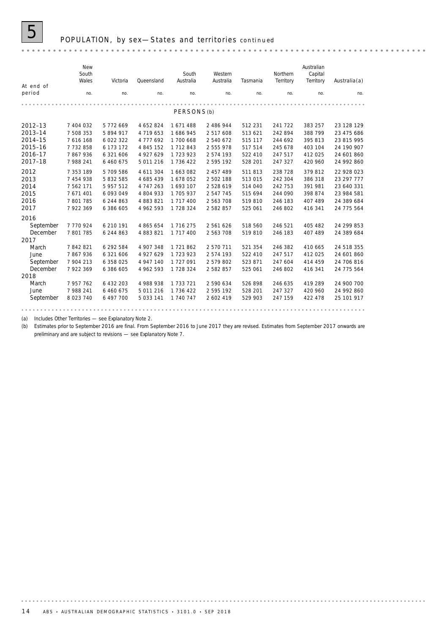

| At end of | New<br>South<br>Wales | Victoria  | Queensland | South<br>Australia     | Western<br>Australia | Tasmania | Northern<br>Territory | Australian<br>Capital<br>Territory | Australia(a) |
|-----------|-----------------------|-----------|------------|------------------------|----------------------|----------|-----------------------|------------------------------------|--------------|
| period    | no.                   | no.       | no.        | no.                    | no.                  | no.      | no.                   | no.                                | no.          |
|           |                       |           |            |                        |                      |          |                       |                                    |              |
|           |                       |           |            | PERSONS <sub>(b)</sub> |                      |          |                       |                                    |              |
| 2012-13   | 7 404 032             | 5772669   | 4 652 824  | 1671488                | 2 486 944            | 512 231  | 241 722               | 383 257                            | 23 128 129   |
| 2013-14   | 7 508 353             | 5 894 917 | 4 719 653  | 1 686 945              | 2 517 608            | 513 621  | 242 894               | 388 799                            | 23 475 686   |
| 2014-15   | 7 616 168             | 6 022 322 | 4777692    | 1 700 668              | 2 540 672            | 515 117  | 244 692               | 395 813                            | 23 815 995   |
| 2015-16   | 7732858               | 6 173 172 | 4 845 152  | 1 712 843              | 2 555 978            | 517 514  | 245 678               | 403 104                            | 24 190 907   |
| 2016-17   | 7867936               | 6 321 606 | 4 927 629  | 1 723 923              | 2574193              | 522 410  | 247 517               | 412 025                            | 24 601 860   |
| 2017-18   | 7 988 241             | 6 460 675 | 5 011 216  | 1 736 422              | 2 595 192            | 528 201  | 247 327               | 420 960                            | 24 992 860   |
| 2012      | 7 353 189             | 5 709 586 | 4 611 304  | 1 663 082              | 2 457 489            | 511813   | 238 728               | 379812                             | 22 928 023   |
| 2013      | 7 454 938             | 5 832 585 | 4 685 439  | 1678052                | 2 502 188            | 513 015  | 242 304               | 386 318                            | 23 297 777   |
| 2014      | 7 562 171             | 5 957 512 | 4 747 263  | 1693107                | 2528619              | 514 040  | 242 753               | 391 981                            | 23 640 331   |
| 2015      | 7 671 401             | 6 093 049 | 4 804 933  | 1 705 937              | 2547745              | 515 694  | 244 090               | 398 874                            | 23 984 581   |
| 2016      | 7801785               | 6 244 863 | 4 883 821  | 1 717 400              | 2 5 6 3 7 0 8        | 519810   | 246 183               | 407 489                            | 24 389 684   |
| 2017      | 7 922 369             | 6 386 605 | 4 962 593  | 1 728 324              | 2 582 857            | 525 061  | 246 802               | 416 341                            | 24 775 564   |
| 2016      |                       |           |            |                        |                      |          |                       |                                    |              |
| September | 7770924               | 6 210 191 | 4 865 654  | 1 716 275              | 2 561 626            | 518 560  | 246 521               | 405 482                            | 24 299 853   |
| December  | 7 801 785             | 6 244 863 | 4 883 821  | 1 717 400              | 2 563 708            | 519 810  | 246 183               | 407 489                            | 24 389 684   |
| 2017      |                       |           |            |                        |                      |          |                       |                                    |              |
| March     | 7842821               | 6 292 584 | 4 907 348  | 1 721 862              | 2 570 711            | 521 354  | 246 382               | 410 665                            | 24 518 355   |
| June      | 7867936               | 6 321 606 | 4 927 629  | 1 723 923              | 2 574 193            | 522 410  | 247 517               | 412 025                            | 24 601 860   |
| September | 7 904 213             | 6 358 025 | 4 947 140  | 1727091                | 2 579 802            | 523 871  | 247 604               | 414 459                            | 24 706 816   |
| December  | 7 922 369             | 6 386 605 | 4 962 593  | 1 728 324              | 2 582 857            | 525 061  | 246 802               | 416 341                            | 24 775 564   |
| 2018      |                       |           |            |                        |                      |          |                       |                                    |              |
| March     | 7 957 762             | 6 432 203 | 4 988 938  | 1 733 721              | 2 590 634            | 526 898  | 246 635               | 419 289                            | 24 900 700   |
| June      | 7 988 241             | 6 460 675 | 5 011 216  | 1 736 422              | 2 595 192            | 528 201  | 247 327               | 420 960                            | 24 992 860   |
| September | 8 0 23 7 40           | 6 497 700 | 5 033 141  | 1 740 747              | 2 602 419            | 529 903  | 247 159               | 422 478                            | 25 101 917   |
|           |                       |           |            |                        |                      |          |                       |                                    |              |

(a) Includes Other Territories — see Explanatory Note 2.

(b) Estimates prior to September 2016 are final. From September 2016 to June 2017 they are revised. Estimates from September 2017 onwards are preliminary and are subject to revisions — see Explanatory Note 7.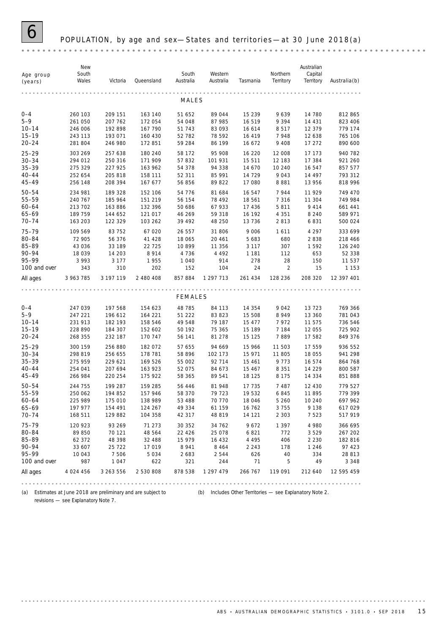### POPULATION, by age and sex-States and territories-at 30 June 2018(a)

revisions — see Explanatory Note 7.

(a) Estimates at June 2018 are preliminary and are subject to (b) Includes Other Territories — see Explanatory Note 2.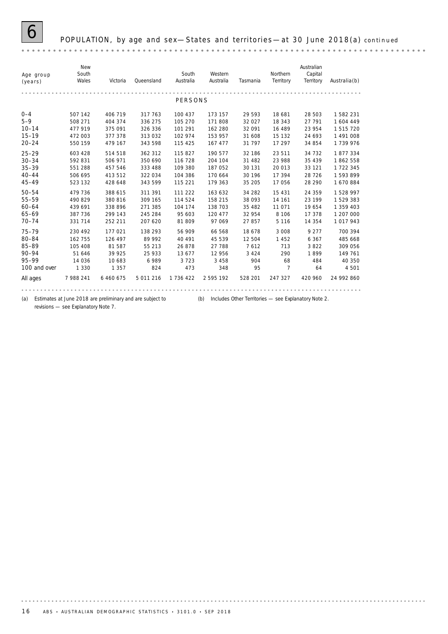

| Age group<br>(years) | New<br>South<br>Wales | Victoria  | Queensland | South<br>Australia | Western<br>Australia | Tasmania | Northern<br>Territory | Australian<br>Capital<br>Territory | $A$ ustralia $(b)$ |
|----------------------|-----------------------|-----------|------------|--------------------|----------------------|----------|-----------------------|------------------------------------|--------------------|
|                      |                       |           |            | PERSONS            |                      |          |                       |                                    |                    |
| $0 - 4$              | 507 142               | 406 719   | 317 763    | 100 437            | 173 157              | 29 5 9 3 | 18 681                | 28 503                             | 1582231            |
| $5 - 9$              | 508 271               | 404 374   | 336 275    | 105 270            | 171 808              | 32 0 27  | 18 343                | 27 791                             | 1604 449           |
| $10 - 14$            | 477 919               | 375 091   | 326 336    | 101 291            | 162 280              | 32 091   | 16 489                | 23 954                             | 1 515 720          |
| $15 - 19$            | 472 003               | 377 378   | 313 032    | 102 974            | 153 957              | 31 608   | 15 132                | 24 693                             | 1 491 008          |
| $20 - 24$            | 550 159               | 479 167   | 343 598    | 115 425            | 167 477              | 31 797   | 17 297                | 34 854                             | 1739976            |
| $25 - 29$            | 603 428               | 514 518   | 362 312    | 115 827            | 190 577              | 32 186   | 23 511                | 34 7 32                            | 1877334            |
| $30 - 34$            | 592 831               | 506 971   | 350 690    | 116 728            | 204 104              | 31 482   | 23 988                | 35 439                             | 1862558            |
| $35 - 39$            | 551 288               | 457 546   | 333 488    | 109 380            | 187 052              | 30 131   | 20 013                | 33 1 21                            | 1 722 345          |
| $40 - 44$            | 506 695               | 413 512   | 322 034    | 104 386            | 170 664              | 30 196   | 17 394                | 28 7 26                            | 1593899            |
| $45 - 49$            | 523 132               | 428 648   | 343 599    | 115 221            | 179 363              | 35 205   | 17 056                | 28 290                             | 1670884            |
| $50 - 54$            | 479 736               | 388 615   | 311 391    | 111 222            | 163 632              | 34 282   | 15 4 31               | 24 3 5 9                           | 1 528 997          |
| 55-59                | 490 829               | 380 816   | 309 165    | 114 524            | 158 215              | 38 093   | 14 161                | 23 199                             | 1529383            |
| $60 - 64$            | 439 691               | 338 896   | 271 385    | 104 174            | 138 703              | 35 482   | 11 071                | 19 654                             | 1 359 403          |
| $65 - 69$            | 387 736               | 299 143   | 245 284    | 95 603             | 120 477              | 32 954   | 8 1 0 6               | 17 378                             | 1 207 000          |
| $70 - 74$            | 331 714               | 252 211   | 207 620    | 81 809             | 97 069               | 27 857   | 5 1 1 6               | 14 3 5 4                           | 1 017 943          |
| $75 - 79$            | 230 492               | 177 021   | 138 293    | 56 909             | 66 568               | 18 678   | 3 0 0 8               | 9 2 7 7                            | 700 394            |
| 80-84                | 162 755               | 126 497   | 89 992     | 40 491             | 45 539               | 12 504   | 1 452                 | 6 3 6 7                            | 485 668            |
| 85-89                | 105 408               | 81 587    | 55 213     | 26 878             | 27 788               | 7612     | 713                   | 3822                               | 309 056            |
| $90 - 94$            | 51 646                | 39 925    | 25 933     | 13 677             | 12 956               | 3 4 2 4  | 290                   | 1899                               | 149 761            |
| 95-99                | 14 0 36               | 10 683    | 6989       | 3723               | 3 4 5 8              | 904      | 68                    | 484                                | 40 350             |
| 100 and over         | 1 3 3 0               | 1 3 5 7   | 824        | 473                | 348                  | 95       | $\overline{7}$        | 64                                 | 4 5 0 1            |
| All ages             | 7 988 241             | 6 460 675 | 5 011 216  | 1 736 422          | 2595192              | 528 201  | 247 327               | 420 960                            | 24 992 860         |
|                      |                       |           |            |                    |                      |          |                       |                                    |                    |

(a) Estimates at June 2018 are preliminary and are subject to (b) Includes Other Territories — see Explanatory Note 2. revisions — see Explanatory Note 7.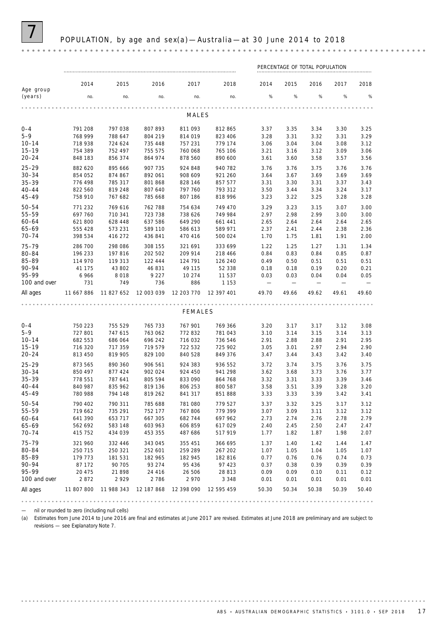|                        | PERCENTAGE OF TOTAL POPULATION |                    |                    |                    |                    |                          |                          |              |              |              |
|------------------------|--------------------------------|--------------------|--------------------|--------------------|--------------------|--------------------------|--------------------------|--------------|--------------|--------------|
|                        | 2014                           | 2015               | 2016               | 2017               | 2018               | 2014                     | 2015                     | 2016         | 2017         | 2018         |
| Age group<br>(years)   | no.                            | no.                | no.                | no.                | no.                | %                        | %                        | %            | %            | $\%$         |
|                        |                                |                    |                    |                    |                    |                          |                          |              |              |              |
|                        |                                |                    |                    | MALES              |                    |                          |                          |              |              |              |
| $0 - 4$                | 791 208                        | 797 038            | 807 893            | 811 093            | 812 865            | 3.37                     | 3.35                     | 3.34         | 3.30         | 3.25         |
| $5 - 9$                | 768 999                        | 788 647            | 804 219            | 814 019            | 823 406            | 3.28                     | 3.31                     | 3.32         | 3.31         | 3.29         |
| $10 - 14$              | 718 938                        | 724 624            | 735 448            | 757 231            | 779 174            | 3.06                     | 3.04                     | 3.04         | 3.08         | 3.12         |
| $15 - 19$              | 754 389                        | 752 497            | 755 575            | 760 068            | 765 106            | 3.21                     | 3.16                     | 3.12         | 3.09         | 3.06         |
| $20 - 24$              | 848 183                        | 856 374            | 864 974            | 878 560            | 890 600            | 3.61                     | 3.60                     | 3.58         | 3.57         | 3.56         |
| $25 - 29$              | 882 620                        | 895 666            | 907 735            | 924 848            | 940 782            | 3.76                     | 3.76                     | 3.75         | 3.76         | 3.76         |
| $30 - 34$              | 854 052                        | 874 867            | 892 061            | 908 609            | 921 260            | 3.64                     | 3.67                     | 3.69         | 3.69         | 3.69         |
| $35 - 39$              | 776 498                        | 785 317            | 801 868            | 828 146            | 857 577            | 3.31                     | 3.30                     | 3.31         | 3.37         | 3.43         |
| $40 - 44$              | 822 560                        | 819 248            | 807 640            | 797 760            | 793 312            | 3.50                     | 3.44                     | 3.34         | 3.24         | 3.17         |
| $45 - 49$              | 758 910                        | 767 682            | 785 668            | 807 186            | 818 996            | 3.23                     | 3.22                     | 3.25         | 3.28         | 3.28         |
| $50 - 54$              | 771 232                        | 769 616            | 762 788            | 754 634            | 749 470            | 3.29                     | 3.23                     | 3.15         | 3.07         | 3.00         |
| 55-59                  | 697 760                        | 710 341            | 723 738            | 738 626            | 749 984            | 2.97                     | 2.98                     | 2.99         | 3.00         | 3.00         |
| $60 - 64$<br>$65 - 69$ | 621 800<br>555 428             | 628 448            | 637 586<br>589 110 | 649 290            | 661 441            | 2.65                     | 2.64                     | 2.64         | 2.64         | 2.65<br>2.36 |
| $70 - 74$              | 398 534                        | 573 231<br>416 272 | 436 841            | 586 613<br>470 416 | 589 971<br>500 024 | 2.37<br>1.70             | 2.41<br>1.75             | 2.44<br>1.81 | 2.38<br>1.91 | 2.00         |
|                        |                                |                    |                    |                    |                    |                          |                          |              |              |              |
| $75 - 79$<br>80-84     | 286 700                        | 298 086<br>197 816 | 308 155            | 321 691            | 333 699            | 1.22                     | 1.25                     | 1.27         | 1.31         | 1.34<br>0.87 |
| 85-89                  | 196 233<br>114 970             | 119 313            | 202 502<br>122 444 | 209 914<br>124 791 | 218 466<br>126 240 | 0.84<br>0.49             | 0.83<br>0.50             | 0.84<br>0.51 | 0.85<br>0.51 | 0.51         |
| $90 - 94$              | 41 175                         | 43 802             | 46 831             | 49 115             | 52 338             | 0.18                     | 0.18                     | 0.19         | 0.20         | 0.21         |
| 95-99                  | 6966                           | 8018               | 9 2 2 7            | 10 274             | 11 537             | 0.03                     | 0.03                     | 0.04         | 0.04         | 0.05         |
| 100 and over           | 731                            | 749                | 736                | 886                | 1 1 5 3            | $\overline{\phantom{0}}$ | $\overline{\phantom{0}}$ |              |              |              |
| All ages               | 11 667 886                     | 11 827 652         | 12 003 039         | 12 203 770         | 12 397 401         | 49.70                    | 49.66                    | 49.62        | 49.61        | 49.60        |
|                        |                                |                    |                    |                    |                    |                          |                          |              |              |              |
|                        |                                |                    |                    | <b>FEMALES</b>     |                    |                          |                          |              |              |              |
| $0 - 4$                | 750 223                        | 755 529            | 765 733            | 767 901            | 769 366            | 3.20                     | 3.17                     | 3.17         | 3.12         | 3.08         |
| $5 - 9$                | 727 801                        | 747 615            | 763 062            | 772 832            | 781 043            | 3.10                     | 3.14                     | 3.15         | 3.14         | 3.13         |
| $10 - 14$              | 682 553                        | 686 064            | 696 242            | 716 032            | 736 546            | 2.91                     | 2.88                     | 2.88         | 2.91         | 2.95         |
| $15 - 19$              | 716 320                        | 717 359            | 719 579            | 722 532            | 725 902            | 3.05                     | 3.01                     | 2.97         | 2.94         | 2.90         |
| $20 - 24$              | 813 450                        | 819 905            | 829 100            | 840 528            | 849 376            | 3.47                     | 3.44                     | 3.43         | 3.42         | 3.40         |
| $25 - 29$              | 873 565                        | 890 360            | 906 561            | 924 383            | 936 552            | 3.72                     | 3.74                     | 3.75         | 3.76         | 3.75         |
| $30 - 34$              | 850 497                        | 877 424            | 902 024            | 924 450            | 941 298            | 3.62                     | 3.68                     | 3.73         | 3.76         | 3.77         |
| $35 - 39$              | 778 551                        | 787 641            | 805 594            | 833 090            | 864 768            | 3.32                     | 3.31                     | 3.33         | 3.39         | 3.46         |
| $40 - 44$              | 840 987                        | 835 962            | 819 136            | 806 253            | 800 587            | 3.58                     | 3.51                     | 3.39         | 3.28         | 3.20         |
| $45 - 49$              | 780 988                        | 794 148            | 819 262            | 841 317            | 851 888            | 3.33                     | 3.33                     | 3.39         | 3.42         | 3.41         |
| 50–54                  | 790 402                        | 790 311            | 785 688            | 781 080            | 779 527            | 3.37                     | 3.32                     | 3.25         | 3.17         | 3.12         |
| 55-59                  | 719 662                        | 735 291            | 752 177            | 767 806            | 779 399            | 3.07                     | 3.09                     | 3.11         | 3.12         | 3.12         |
| $60 - 64$              | 641 390                        | 653 717            | 667 305            | 682 744            | 697 962            | 2.73                     | 2.74                     | 2.76         | 2.78         | 2.79         |
| 65-69                  | 562 692                        | 583 148            | 603 963            | 606 859            | 617029             | 2.40                     | 2.45                     | 2.50         | 2.47         | 2.47         |
| $70 - 74$              | 415 752                        | 434 039            | 453 355            | 487 686            | 517 919            | 1.77                     | 1.82                     | 1.87         | 1.98         | 2.07         |
| $75 - 79$              | 321 960                        | 332 446            | 343 045            | 355 451            | 366 695            | 1.37                     | 1.40                     | 1.42         | 1.44         | 1.47         |
| 80-84                  | 250 715                        | 250 321            | 252 601            | 259 289            | 267 202            | 1.07                     | 1.05                     | 1.04         | 1.05         | 1.07         |
| 85-89                  | 179 773                        | 181 531            | 182 965            | 182 945            | 182 816            | 0.77                     | 0.76                     | 0.76         | 0.74         | 0.73         |
| $90 - 94$              | 87 172                         | 90 705             | 93 274             | 95 436             | 97 423             | 0.37                     | 0.38                     | 0.39         | 0.39         | 0.39         |
| 95-99                  | 20 475                         | 21 898             | 24 4 16            | 26 506             | 28 813             | 0.09                     | 0.09                     | 0.10         | 0.11         | 0.12         |
| 100 and over           | 2872                           | 2929               | 2786               | 2 9 7 0            | 3 3 4 8            | 0.01                     | 0.01                     | 0.01         | 0.01         | 0.01         |
| All ages               | 11 807 800                     | 11 988 343         | 12 187 868         | 12 398 090         | 12 595 459         | 50.30                    | 50.34                    | 50.38        | 50.39        | 50.40        |

— nil or rounded to zero (including null cells)

(a) Estimates from June 2014 to June 2016 are final and estimates at June 2017 are revised. Estimates at June 2018 are preliminary and are subject to revisions — see Explanatory Note 7.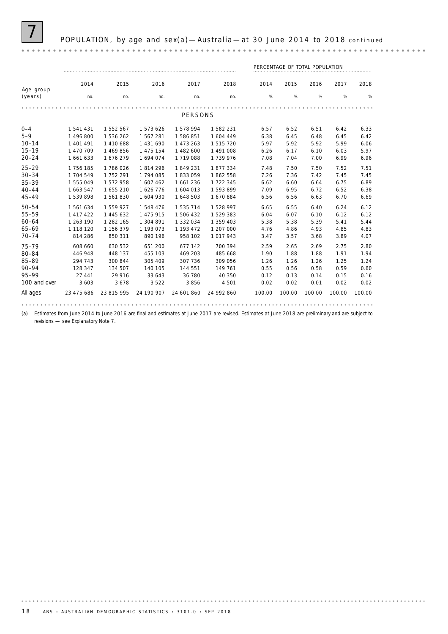

7 POPULATION, by age and sex(a) —Australia —at 30 June 2014 to 2018 *continued*

|              |            |            |            |            |            | PERCENTAGE OF TOTAL POPULATION |        |        |        |        |
|--------------|------------|------------|------------|------------|------------|--------------------------------|--------|--------|--------|--------|
|              | 2014       | 2015       | 2016       | 2017       | 2018       | 2014                           | 2015   | 2016   | 2017   | 2018   |
| Age group    |            |            |            |            |            |                                |        |        |        |        |
| (years)      | no.        | no.        | no.        | no.        | no.        | %                              | %      | %      | %      | %      |
|              |            |            |            |            |            |                                |        |        |        |        |
|              |            |            |            | PERSONS    |            |                                |        |        |        |        |
| $0 - 4$      | 1 541 431  | 1552567    | 1573626    | 1578994    | 1582231    | 6.57                           | 6.52   | 6.51   | 6.42   | 6.33   |
| $5 - 9$      | 1 496 800  | 1536262    | 1567281    | 1586851    | 1 604 449  | 6.38                           | 6.45   | 6.48   | 6.45   | 6.42   |
| $10 - 14$    | 1 401 491  | 1410688    | 1 431 690  | 1 473 263  | 1515720    | 5.97                           | 5.92   | 5.92   | 5.99   | 6.06   |
| $15 - 19$    | 1 470 709  | 1 469 856  | 1 475 154  | 1 482 600  | 1 491 008  | 6.26                           | 6.17   | 6.10   | 6.03   | 5.97   |
| $20 - 24$    | 1 661 633  | 1676279    | 1694074    | 1719088    | 1739976    | 7.08                           | 7.04   | 7.00   | 6.99   | 6.96   |
| $25 - 29$    | 1 756 185  | 1786026    | 1814296    | 1849231    | 1877334    | 7.48                           | 7.50   | 7.50   | 7.52   | 7.51   |
| $30 - 34$    | 1 704 549  | 1 752 291  | 1 794 085  | 1833059    | 1862558    | 7.26                           | 7.36   | 7.42   | 7.45   | 7.45   |
| $35 - 39$    | 1555049    | 1572958    | 1 607 462  | 1661236    | 1 722 345  | 6.62                           | 6.60   | 6.64   | 6.75   | 6.89   |
| $40 - 44$    | 1 663 547  | 1655210    | 1626776    | 1 604 013  | 1593899    | 7.09                           | 6.95   | 6.72   | 6.52   | 6.38   |
| $45 - 49$    | 1539898    | 1561830    | 1 604 930  | 1 648 503  | 1670884    | 6.56                           | 6.56   | 6.63   | 6.70   | 6.69   |
| $50 - 54$    | 1561634    | 1559927    | 1548476    | 1 535 714  | 1528997    | 6.65                           | 6.55   | 6.40   | 6.24   | 6.12   |
| 55-59        | 1 417 422  | 1 445 632  | 1 475 915  | 1506432    | 1529383    | 6.04                           | 6.07   | 6.10   | 6.12   | 6.12   |
| $60 - 64$    | 1 263 190  | 1 282 165  | 1 304 891  | 1 332 034  | 1 359 403  | 5.38                           | 5.38   | 5.39   | 5.41   | 5.44   |
| 65-69        | 1 118 120  | 1 156 379  | 1 193 073  | 1 193 472  | 1 207 000  | 4.76                           | 4.86   | 4.93   | 4.85   | 4.83   |
| $70 - 74$    | 814 286    | 850 311    | 890 196    | 958 102    | 1017943    | 3.47                           | 3.57   | 3.68   | 3.89   | 4.07   |
| $75 - 79$    | 608 660    | 630 532    | 651 200    | 677 142    | 700 394    | 2.59                           | 2.65   | 2.69   | 2.75   | 2.80   |
| 80-84        | 446 948    | 448 137    | 455 103    | 469 203    | 485 668    | 1.90                           | 1.88   | 1.88   | 1.91   | 1.94   |
| 85-89        | 294 743    | 300 844    | 305 409    | 307 736    | 309 056    | 1.26                           | 1.26   | 1.26   | 1.25   | 1.24   |
| $90 - 94$    | 128 347    | 134 507    | 140 105    | 144 551    | 149 761    | 0.55                           | 0.56   | 0.58   | 0.59   | 0.60   |
| 95-99        | 27 441     | 29 916     | 33 643     | 36 780     | 40 350     | 0.12                           | 0.13   | 0.14   | 0.15   | 0.16   |
| 100 and over | 3 6 0 3    | 3678       | 3522       | 3856       | 4 5 0 1    | 0.02                           | 0.02   | 0.01   | 0.02   | 0.02   |
| All ages     | 23 475 686 | 23 815 995 | 24 190 907 | 24 601 860 | 24 992 860 | 100.00                         | 100.00 | 100.00 | 100.00 | 100.00 |
|              |            |            |            |            |            |                                |        |        |        |        |

(a) Estimates from June 2014 to June 2016 are final and estimates at June 2017 are revised. Estimates at June 2018 are preliminary and are subject to revisions — see Explanatory Note 7.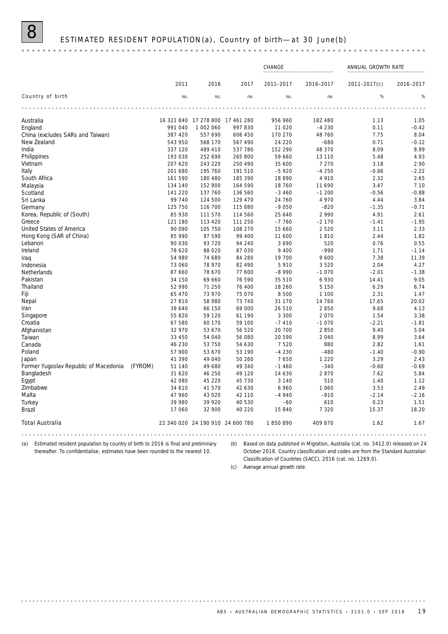## ESTIMATED RESIDENT POPULATION (a), Country of birth-at 30 June(b)

|                                       |         |            |                                  |            | CHANGE    |           | ANNUAL GROWTH RATE |           |
|---------------------------------------|---------|------------|----------------------------------|------------|-----------|-----------|--------------------|-----------|
|                                       |         | 2011       | 2016                             | 2017       | 2011-2017 | 2016-2017 | 2011-2017(c)       | 2016-2017 |
| Country of birth                      |         | no.        | no.                              | no.        | no.       | no.       | %                  | %         |
|                                       |         |            |                                  |            |           |           |                    |           |
| Australia                             |         | 16 321 840 | 17 278 800                       | 17 461 280 | 956 960   | 182 480   | 1.13               | 1.05      |
| England                               |         | 991 040    | 1 002 060                        | 997 830    | 11 0 20   | $-4230$   | 0.11               | $-0.42$   |
| China (excludes SARs and Taiwan)      |         | 387 420    | 557 690                          | 606 450    | 170 270   | 48 760    | 7.75               | 8.04      |
| New Zealand                           |         | 543 950    | 568 170                          | 567 490    | 24 220    | $-680$    | 0.71               | $-0.12$   |
| India                                 |         | 337 120    | 489 410                          | 537 780    | 152 290   | 48 370    | 8.09               | 8.99      |
| Philippines                           |         | 193 030    | 252 690                          | 265 800    | 59 660    | 13 110    | 5.48               | 4.93      |
| Vietnam                               |         | 207 620    | 243 220                          | 250 490    | 35 600    | 7 2 7 0   | 3.18               | 2.90      |
| Italy                                 |         | 201 680    | 195 760                          | 191 510    | $-5920$   | $-4250$   | $-0.86$            | $-2.22$   |
| South Africa                          |         | 161 590    | 180 480                          | 185 390    | 18 890    | 4 9 1 0   | 2.32               | 2.65      |
| Malaysia                              |         | 134 140    | 152 900                          | 164 590    | 18 760    | 11 690    | 3.47               | 7.10      |
| Scotland                              |         | 141 220    | 137 760                          | 136 560    | $-3460$   | $-1200$   | $-0.56$            | $-0.88$   |
| Sri Lanka                             |         | 99 740     | 124 500                          | 129 470    | 24 760    | 4 9 7 0   | 4.44               | 3.84      |
| Germany                               |         | 125 750    | 116 700                          | 115 880    | $-9050$   | $-820$    | $-1.35$            | $-0.71$   |
| Korea, Republic of (South)            |         | 85 930     | 111 570                          | 114 560    | 25 640    | 2 9 9 0   | 4.91               | 2.61      |
| Greece                                |         | 121 180    | 113 420                          | 111 250    | $-7760$   | $-2170$   | $-1.41$            | $-1.95$   |
| United States of America              |         | 90 090     | 105 750                          | 108 270    | 15 660    | 2 5 2 0   | 3.11               | 2.33      |
| Hong Kong (SAR of China)              |         | 85 990     | 97 590                           | 99 400     | 11 600    | 1810      | 2.44               | 1.82      |
| Lebanon                               |         | 90 030     | 93 7 20                          | 94 240     | 3690      | 520       | 0.76               | 0.55      |
| Ireland                               |         | 78 620     | 88 0 20                          | 87 030     | 9 4 0 0   | $-990$    | 1.71               | $-1.14$   |
| Iraq                                  |         | 54 980     | 74 680                           | 84 280     | 19 700    | 9 600     | 7.38               | 11.39     |
| Indonesia                             |         | 73 060     | 78 970                           | 82 490     | 5910      | 3520      | 2.04               | 4.27      |
| Netherlands                           |         | 87 660     | 78 670                           | 77 600     | $-8990$   | $-1070$   | $-2.01$            | $-1.38$   |
| Pakistan                              |         | 34 150     | 69 660                           | 76 590     | 35 510    | 6 9 3 0   | 14.41              | 9.05      |
| Thailand                              |         | 52 990     | 71 250                           | 76 400     | 18 260    | 5 1 5 0   | 6.29               | 6.74      |
| Fiji                                  |         | 65 470     | 73 970                           | 75 070     | 8 500     | 1 100     | 2.31               | 1.47      |
| Nepal                                 |         | 27810      | 58 980                           | 73 740     | 31 170    | 14 760    | 17.65              | 20.02     |
| Iran                                  |         | 39 640     | 66 150                           | 69 000     | 26 510    | 2850      | 9.68               | 4.13      |
| Singapore                             |         | 55 820     | 59 120                           | 61 190     | 3 3 0 0   | 2 0 7 0   | 1.54               | 3.38      |
| Croatia                               |         | 67 580     | 60 170                           | 59 100     | $-7410$   | $-1070$   | $-2.21$            | $-1.81$   |
| Afghanistan                           |         | 32 970     | 53 670                           | 56 520     | 20 700    | 2850      | 9.40               | 5.04      |
| Taiwan                                |         | 33 450     | 54 040                           | 56 080     | 20 590    | 2 0 4 0   | 8.99               | 3.64      |
| Canada                                |         | 46 230     | 53 750                           | 54 630     | 7520      | 880       | 2.82               | 1.61      |
| Poland                                |         | 57 900     | 53 670                           | 53 190     | $-4230$   | $-480$    | $-1.40$            | $-0.90$   |
| Japan                                 |         | 41 390     | 49 040                           | 50 260     | 7650      | 1 2 2 0   | 3.29               | 2.43      |
| Former Yugoslav Republic of Macedonia | (FYROM) | 51 140     | 49 680                           | 49 340     | $-1460$   | $-340$    | $-0.60$            | $-0.69$   |
| Bangladesh                            |         | 31 620     | 46 250                           | 49 1 20    | 14 630    | 2870      | 7.62               | 5.84      |
| Egypt                                 |         | 42 080     | 45 2 20                          | 45 730     | 3 1 4 0   | 510       | 1.40               | 1.12      |
| Zimbabwe                              |         | 34 610     | 41570                            | 42 630     | 6 9 6 0   | 1 0 6 0   | 3.53               | 2.49      |
| Malta                                 |         | 47 960     | 43 0 20                          | 42 110     | $-4940$   | $-910$    | $-2.14$            | $-2.16$   |
| Turkey                                |         | 39 980     | 39 9 20                          | 40 530     | $-60$     | 610       | 0.23               | 1.51      |
| <b>Brazil</b>                         |         | 17 060     | 32 900                           | 40 2 20    | 15 840    | 7 3 2 0   | 15.37              | 18.20     |
| <b>Total Australia</b>                |         |            | 22 340 020 24 190 910 24 600 780 |            | 1850890   | 409 870   | 1.62               | 1.67      |

. . . . . . . . . .

(a) Estimated resident population by country of birth to 2016 is final and preliminary thereafter. To confidentialise, estimates have been rounded to the nearest 10.

(b) Based on data published in Migration, Australia (cat. no. 3412.0) released on 24 October 2018. Country classification and codes are from the Standard Australian Classification of Countries (SACC), 2016 (cat. no. 1269.0).

(c) Average annual growth rate.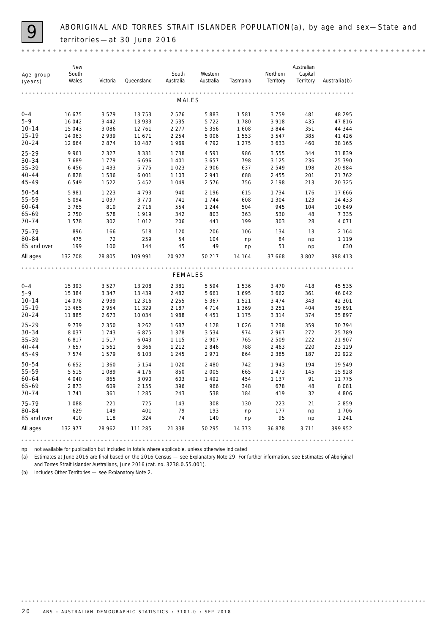ABORIGINAL AND TORRES STRAIT ISLANDER POPULATION(a), by age and sex-State and territories —at 30 June 2016

|                      | New            |          |            |                    |                      |          |                       | Australian           |                    |
|----------------------|----------------|----------|------------|--------------------|----------------------|----------|-----------------------|----------------------|--------------------|
| Age group<br>(years) | South<br>Wales | Victoria | Queensland | South<br>Australia | Western<br>Australia | Tasmania | Northern<br>Territory | Capital<br>Territory | $A$ ustralia $(b)$ |
|                      |                |          |            |                    |                      |          |                       |                      |                    |
|                      |                |          |            | MALES              |                      |          |                       |                      |                    |
| $0 - 4$              | 16 675         | 3579     | 13 753     | 2576               | 5883                 | 1581     | 3759                  | 481                  | 48 295             |
| $5 - 9$              | 16 042         | 3 4 4 2  | 13 933     | 2 5 3 5            | 5722                 | 1780     | 3 9 1 8               | 435                  | 47816              |
| $10 - 14$            | 15 043         | 3 0 8 6  | 12 761     | 2 2 7 7            | 5 3 5 6              | 1 608    | 3844                  | 351                  | 44 344             |
| $15 - 19$            | 14 063         | 2939     | 11 671     | 2 2 5 4            | 5 0 0 6              | 1 5 5 3  | 3547                  | 385                  | 41 4 26            |
| $20 - 24$            | 12 664         | 2874     | 10 487     | 1969               | 4792                 | 1 2 7 5  | 3 6 3 3               | 460                  | 38 165             |
| $25 - 29$            | 9961           | 2 3 2 7  | 8 3 3 1    | 1738               | 4591                 | 986      | 3 5 5 5               | 344                  | 31839              |
| $30 - 34$            | 7689           | 1779     | 6696       | 1 4 0 1            | 3 6 5 7              | 798      | 3 1 2 5               | 236                  | 25 390             |
| $35 - 39$            | 6 4 5 6        | 1 4 3 3  | 5 7 7 5    | 1023               | 2 9 0 6              | 637      | 2549                  | 198                  | 20 984             |
| $40 - 44$            | 6828           | 1536     | 6 0 0 1    | 1 1 0 3            | 2941                 | 688      | 2 4 5 5               | 201                  | 21 762             |
| $45 - 49$            | 6549           | 1522     | 5 4 5 2    | 1049               | 2576                 | 756      | 2 1 9 8               | 213                  | 20 3 25            |
| $50 - 54$            | 5 981          | 1 2 2 3  | 4793       | 940                | 2 1 9 6              | 615      | 1 7 3 4               | 176                  | 17 666             |
| 55-59                | 5094           | 1037     | 3 7 7 0    | 741                | 1744                 | 608      | 1 3 0 4               | 123                  | 14 4 3 3           |
| $60 - 64$            | 3765           | 810      | 2 7 1 6    | 554                | 1 2 4 4              | 504      | 945                   | 104                  | 10 649             |
| 65-69                | 2 7 5 0        | 578      | 1919       | 342                | 803                  | 363      | 530                   | 48                   | 7 3 3 5            |
| $70 - 74$            | 1578           | 302      | 1012       | 206                | 441                  | 199      | 303                   | 28                   | 4 0 7 1            |
| $75 - 79$            | 896            | 166      | 518        | 120                | 206                  | 106      | 134                   | 13                   | 2 1 6 4            |
| 80-84                | 475            | 72       | 259        | 54                 | 104                  | np       | 84                    | np                   | 1 1 1 9            |
| 85 and over          | 199            | 100      | 144        | 45                 | 49                   | np       | 51                    | np                   | 630                |
| All ages             | 132 708        | 28 805   | 109 991    | 20 9 27            | 50 217               | 14 164   | 37 668                | 3 802                | 398 413            |
|                      |                |          |            |                    |                      |          |                       |                      |                    |
|                      |                |          |            | FEMALES            |                      |          |                       |                      |                    |
| $0 - 4$              | 15 393         | 3527     | 13 208     | 2 3 8 1            | 5 5 9 4              | 1536     | 3 4 7 0               | 418                  | 45 535             |
| $5 - 9$              | 15 384         | 3 3 4 7  | 13 4 3 9   | 2 4 8 2            | 5 6 6 1              | 1695     | 3 6 6 2               | 361                  | 46 042             |
| $10 - 14$            | 14 078         | 2939     | 12 3 16    | 2 2 5 5            | 5 3 6 7              | 1521     | 3 4 7 4               | 343                  | 42 301             |
| $15 - 19$            | 13 4 65        | 2954     | 11 329     | 2 1 8 7            | 4 7 1 4              | 1 3 6 9  | 3 2 5 1               | 404                  | 39 691             |
| $20 - 24$            | 11885          | 2673     | 10 0 34    | 1988               | 4 4 5 1              | 1 1 7 5  | 3 3 1 4               | 374                  | 35 897             |
| $25 - 29$            | 9739           | 2 3 5 0  | 8 2 6 2    | 1687               | 4 1 2 8              | 1 0 2 6  | 3 2 3 8               | 359                  | 30 794             |
| $30 - 34$            | 8037           | 1743     | 6875       | 1 3 7 8            | 3534                 | 974      | 2 9 6 7               | 272                  | 25 789             |
| $35 - 39$            | 6817           | 1517     | 6043       | 1 1 1 5            | 2 9 0 7              | 765      | 2 5 0 9               | 222                  | 21 907             |
| $40 - 44$            | 7657           | 1561     | 6 3 6 6    | 1 2 1 2            | 2846                 | 788      | 2 4 6 3               | 220                  | 23 129             |
| $45 - 49$            | 7574           | 1579     | 6 1 0 3    | 1 2 4 5            | 2971                 | 864      | 2 3 8 5               | 187                  | 22 9 22            |
| $50 - 54$            | 6 6 5 2        | 1 360    | 5 1 5 4    | 1 0 2 0            | 2 4 8 0              | 742      | 1943                  | 194                  | 19549              |
| 55-59                | 5515           | 1 0 8 9  | 4 1 7 6    | 850                | 2 0 0 5              | 665      | 1 473                 | 145                  | 15 928             |
| $60 - 64$            | 4 0 4 0        | 865      | 3 0 9 0    | 603                | 1 4 9 2              | 454      | 1 1 3 7               | 91                   | 11 7 7 5           |
| 65-69                | 2873           | 609      | 2 1 5 5    | 396                | 966                  | 348      | 678                   | 48                   | 8081               |
| $70 - 74$            | 1741           | 361      | 1 2 8 5    | 243                | 538                  | 184      | 419                   | 32                   | 4806               |
| $75 - 79$            | 1 0 8 8        | 221      | 725        | 143                | 308                  | 130      | 223                   | 21                   | 2859               |
| 80-84                | 629            | 149      | 401        | 79                 | 193                  | np       | 177                   | np                   | 1706               |
| 85 and over          | 410            | 118      | 324        | 74                 | 140                  | np       | 95                    | np                   | 1 2 4 1            |
| All ages             | 132 977        | 28 962   | 111 285    | 21 338             | 50 295               | 14 373   | 36878                 | 3 7 1 1              | 399 952            |

np not available for publication but included in totals where applicable, unless otherwise indicated

(a) Estimates at June 2016 are final based on the 2016 Census — see Explanatory Note 29. For further information, see *Estimates of Aboriginal and Torres Strait Islander Australians, June 2016* (cat. no. 3238.0.55.001).

(b) Includes Other Territories — see Explanatory Note 2.

. . . . . . . . .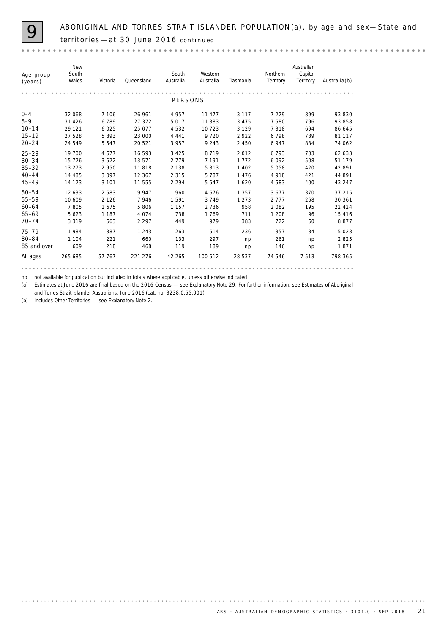ABORIGINAL AND TORRES STRAIT ISLANDER POPULATION(a), by age and sex—State and territories —at 30 June 2016 *continued* 

*New Australian South Western Northern South Capital Age group Territory (years) Wales Victoria Queensland Australia Australia Tasmania Territory Australia*(b) . . . . . . . . . . . . . . PERSONS 0–4 32 068 7 106 26 961 4 957 11 477 3 117 7 229 899 93 830 5–9 31 426 6 789 27 372 5 017 11 383 3 475 7 580 796 93 858 10–14 29 121 6 025 25 077 4 532 10 723 3 129 7 318 694 86 645 15–19 27 528 5 893 23 000 4 441 9 720 2 922 6 798 789 81 117 20–24 24 549 5 547 20 521 3 957 9 243 2 450 6 947 834 74 062 25–29 19 700 4 677 16 593 3 425 8 719 2 012 6 793 703 6**2 633** 30–34 15 726 3 522 13 571 2 779 7 191 1 772 6 092 508 51 179 35–39 13 273 2 950 11 818 2 138 5 813 1 402 5 058 420 42 891 40–44 14 485 3 097 12 367 2 315 5 787 1476 4978 421 **44 891** 45–49 14 123 3 101 11 555 2 294 5 547 1 620 4 583 400 43 247 50–54 12 633 2 583 9 947 1 960 4 676 1 357 3 677 370 37 215 55–59 10 609 2 126 7 946 1 591 3 749 1 273 2 777 268 30 361 60–64 7 805 1 675 5 806 1 157 2 736 958 2 082 195 22 424 65–69 5 623 1 187 4 074 738 1 769 711 1 208 96 15 416 70–74 3 319 663 2 297 449 979 383 722 60 8 877 75–79 1 984 387 1 243 263 514 236 357 34 5 023 80–84 1 104 221 660 133 297 np 261 np **2 825** 85 and over 609 218 468 119 189 np 146 np **1871** All ages 265 685 57 767 221 276 42 265 100 512 28 537 74 546 7 513 **798 365** 

np not available for publication but included in totals where applicable, unless otherwise indicated

(a) Estimates at June 2016 are final based on the 2016 Census — see Explanatory Note 29. For further information, see *Estimates of Aboriginal and Torres Strait Islander Australians, June 2016* (cat. no. 3238.0.55.001).

(b) Includes Other Territories — see Explanatory Note 2.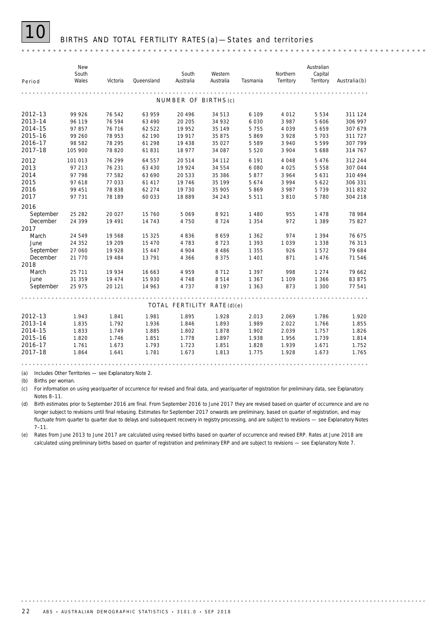### BIRTHS AND TOTAL FERTILITY RATES (a) - States and territories

|             | New<br>South |          |            | South                      | Western   |          | Northern  | Australian<br>Capital |                    |
|-------------|--------------|----------|------------|----------------------------|-----------|----------|-----------|-----------------------|--------------------|
| Period      | Wales        | Victoria | Queensland | Australia                  | Australia | Tasmania | Territory | Territory             | $A$ ustralia $(b)$ |
|             |              |          |            |                            |           |          |           |                       |                    |
|             |              |          |            | NUMBER OF BIRTHS(c)        |           |          |           |                       |                    |
| $2012 - 13$ | 99 926       | 76 542   | 63 959     | 20 4 9 6                   | 34 513    | 6 109    | 4 0 1 2   | 5 5 3 4               | 311 124            |
| 2013-14     | 96 119       | 76 594   | 63 490     | 20 20 5                    | 34 932    | 6 0 3 0  | 3 9 8 7   | 5 606                 | 306 997            |
| 2014-15     | 97 857       | 76 716   | 62 522     | 19 952                     | 35 149    | 5 7 5 5  | 4 0 3 9   | 5 6 5 9               | 307 679            |
| 2015-16     | 99 260       | 78 953   | 62 190     | 19 917                     | 35 875    | 5869     | 3 9 2 8   | 5 7 0 3               | 311 727            |
| 2016-17     | 98 582       | 78 295   | 61 298     | 19 438                     | 35 0 27   | 5 5 8 9  | 3 9 4 0   | 5 5 9 9               | 307 799            |
| 2017-18     | 105 900      | 78 820   | 61831      | 18 977                     | 34 087    | 5 5 2 0  | 3 9 0 4   | 5 6 8 8               | 314 767            |
| 2012        | 101 013      | 76 299   | 64 557     | 20 5 14                    | 34 112    | 6 1 9 1  | 4 0 4 8   | 5 4 7 6               | 312 244            |
| 2013        | 97 213       | 76 231   | 63 430     | 19 9 24                    | 34 554    | 6 0 8 0  | 4 0 2 5   | 5 5 5 8               | 307 044            |
| 2014        | 97 798       | 77 582   | 63 690     | 20 533                     | 35 386    | 5877     | 3 9 6 4   | 5 6 3 1               | 310 494            |
| 2015        | 97 618       | 77 033   | 61 417     | 19 7 46                    | 35 199    | 5674     | 3 9 9 4   | 5 6 2 2               | 306 331            |
| 2016        | 99 451       | 78 838   | 62 274     | 19 730                     | 35 905    | 5869     | 3 9 8 7   | 5 7 3 9               | 311832             |
| 2017        | 97 731       | 78 189   | 60 033     | 18889                      | 34 243    | 5 5 1 1  | 3810      | 5780                  | 304 218            |
| 2016        |              |          |            |                            |           |          |           |                       |                    |
| September   | 25 28 2      | 20 027   | 15 760     | 5069                       | 8921      | 1 4 8 0  | 955       | 1478                  | 78 984             |
| December    | 24 399       | 19 491   | 14 743     | 4 7 5 0                    | 8724      | 1 3 5 4  | 972       | 1 3 8 9               | 75827              |
| 2017        |              |          |            |                            |           |          |           |                       |                    |
| March       | 24 549       | 19 568   | 15 3 25    | 4 8 3 6                    | 8659      | 1 3 6 2  | 974       | 1 3 9 4               | 76 675             |
| June        | 24 35 2      | 19 20 9  | 15 4 7 0   | 4 7 8 3                    | 8723      | 1 3 9 3  | 1039      | 1 3 3 8               | 76 313             |
| September   | 27 060       | 19 928   | 15 4 4 7   | 4 9 0 4                    | 8 4 8 6   | 1 3 5 5  | 926       | 1572                  | 79 684             |
| December    | 21 770       | 19 4 84  | 13791      | 4 3 6 6                    | 8 3 7 5   | 1 4 0 1  | 871       | 1476                  | 71 546             |
| 2018        |              |          |            |                            |           |          |           |                       |                    |
| March       | 25 7 11      | 19 934   | 16 663     | 4 9 5 9                    | 8712      | 1 3 9 7  | 998       | 1 2 7 4               | 79 662             |
| June        | 31 359       | 19 4 7 4 | 15 930     | 4 7 4 8                    | 8514      | 1 3 6 7  | 1 1 0 9   | 1 3 6 6               | 83 875             |
| September   | 25 975       | 20 121   | 14 963     | 4 7 3 7                    | 8 1 9 7   | 1 3 6 3  | 873       | 1 300                 | 77 541             |
|             |              |          |            |                            |           |          |           |                       |                    |
|             |              |          |            | TOTAL FERTILITY RATE(d)(e) |           |          |           |                       |                    |
| $2012 - 13$ | 1.943        | 1.841    | 1.981      | 1.895                      | 1.928     | 2.013    | 2.069     | 1.786                 | 1.920              |
| 2013-14     | 1.835        | 1.792    | 1.936      | 1.846                      | 1.893     | 1.989    | 2.022     | 1.766                 | 1.855              |
| 2014-15     | 1.833        | 1.749    | 1.885      | 1.802                      | 1.878     | 1.902    | 2.039     | 1.757                 | 1.826              |
| 2015-16     | 1.820        | 1.746    | 1.851      | 1.778                      | 1.897     | 1.938    | 1.956     | 1.739                 | 1.814              |
| 2016-17     | 1.761        | 1.673    | 1.793      | 1.723                      | 1.851     | 1.828    | 1.939     | 1.671                 | 1.752              |
| 2017-18     | 1.864        | 1.641    | 1.781      | 1.673                      | 1.813     | 1.775    | 1.928     | 1.673                 | 1.765              |
|             |              |          |            |                            |           |          |           |                       |                    |

(a) Includes Other Territories — see Explanatory Note 2.

(b) Births per woman.

(c) For information on using year/quarter of occurrence for revised and final data, and year/quarter of registration for preliminary data, see Explanatory Notes 8–11.

(d) Birth estimates prior to September 2016 are final. From September 2016 to June 2017 they are revised based on quarter of occurrence and are no longer subject to revisions until final rebasing. Estimates for September 2017 onwards are preliminary, based on quarter of registration, and may fluctuate from quarter to quarter due to delays and subsequent recovery in registry processing, and are subject to revisions — see Explanatory Notes 7–11.

(e) Rates from June 2013 to June 2017 are calculated using revised births based on quarter of occurrence and revised ERP. Rates at June 2018 are calculated using preliminary births based on quarter of registration and preliminary ERP and are subject to revisions — see Explanatory Note 7.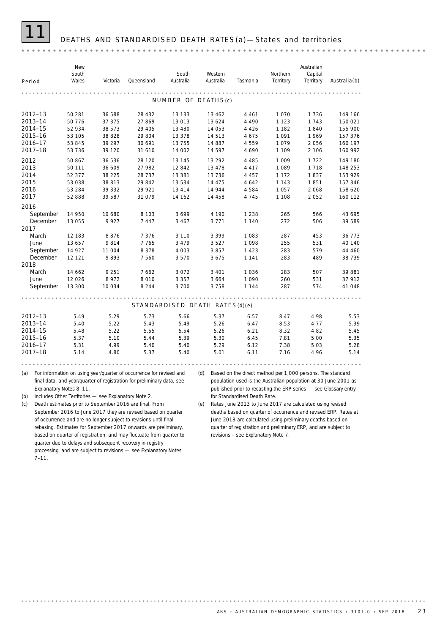### DEATHS AND STANDARDISED DEATH RATES (a) - States and territories

*New Australian South Northern South Western Capital Period Wales Tasmania Territory Territory Victoria Queensland Australia Australia Australia*(b) . . . . . . . . . NUMBER OF DEATHS(c) **2012–13** 50 281 36 588 28 432 13 133 13 462 4 461 1 070 1 736 149 166 **2013–14** 50 776 37 375 27 869 13 013 13 624 4 490 1 123 1 743 **150 021 2014–15** 52 934 38 573 29 405 13 480 14 053 4 426 1 182 1 840 155 900 **2015–16** 53 105 38 828 29 804 13 378 14 513 4 675 1 091 1 969 **157 376 2016–17** 53 845 39 297 30 691 13 755 14 887 4 559 1 079 2 056 160 197 **2017–18** 53 736 39 120 31 610 14 002 14 597 4 690 1 109 2 106 **160 992 2012** 50 867 36 536 28 120 13 145 13 292 4 485 1 009 1 722 149 180 **2013** 50 111 36 609 27 982 12 842 13 478 4 417 1 089 1 1718 148 253 **2014** 52 377 38 225 28 737 13 381 13 736 4 457 1 172 1 837 153 929 **2015** 53 038 38 813 29 842 13 534 14 475 4 642 1 143 1 851 157 346 **2016** 53 284 39 332 29 921 13 414 14 944 4 584 1057 2 068 158 620 **2017** 52 888 39 587 31 079 14 162 14 458 4 745 1 108 2 052 160 112 2016 September 14 950 10 680 8 103 3 699 4 190 1 238 265 566 **43 695** December 13 055 9 927 7 447 3 467 3 771 1 140 272 506 39 589 2017 March 12 183 8 876 7 376 3 110 3 399 1 083 287 453 **36 773** June 13 657 9 814 7 765 3 479 3 527 1 098 255 531 40 140 September 14 927 11 004 8 378 4 003 3 857 1 423 283 579 44 460 December 12 121 9 893 7 560 3 570 3 675 1 141 283 489 38 739 2018 March 14 662 9 251 7 662 3 072 3 401 1 036 283 507 39 881 June 12 026 8 972 8 010 3 357 3 664 1 090 260 531 37 912 September 13 300 10 034 8 244 3 700 3 758 1 144 287 574 **41 048** STANDARDISED DEATH RATES(d)(e) **2012–13** 5.49 5.29 5.73 5.66 5.37 6.57 8.47 4.98 5.53 **2013–14** 5.40 5.22 5.43 5.49 5.26 6.47 8.53 4.77 5.39 **2014–15** 5.48 5.22 5.55 5.54 5.26 6.21 8.32 4.82 5.45 **2015–16** 5.37 5.10 5.44 5.39 5.30 6.45 7.81 5.00 5.35 **2016–17** 5.31 4.99 5.40 5.40 5.29 6.12 7.38 5.03 5.28 **2017–18** 5.14 4.80 5.37 5.40 5.01 6.11 7.16 4.96 5.14 (a) For information on using year/quarter of occurrence for revised and (d) Based on the direct method per 1,000 persons. The standard final data, and year/quarter of registration for preliminary data, see population used is the Australian population at 30 June 2001 as published prior to recasting the ERP series — see Glossary entry Explanatory Notes 8–11. (b) Includes Other Territories — see Explanatory Note 2. for Standardised Death Rate. (c) Death estimates prior to September 2016 are final. From

(e) Rates June 2013 to June 2017 are calculated using revised deaths based on quarter of occurrence and revised ERP. Rates at June 2018 are calculated using preliminary deaths based on quarter of registration and preliminary ERP, and are subject to revisions – see Explanatory Note 7.

September 2016 to June 2017 they are revised based on quarter of occurrence and are no longer subject to revisions until final rebasing. Estimates for September 2017 onwards are preliminary, based on quarter of registration, and may fluctuate from quarter to quarter due to delays and subsequent recovery in registry processing, and are subject to revisions — see Explanatory Notes 7–11.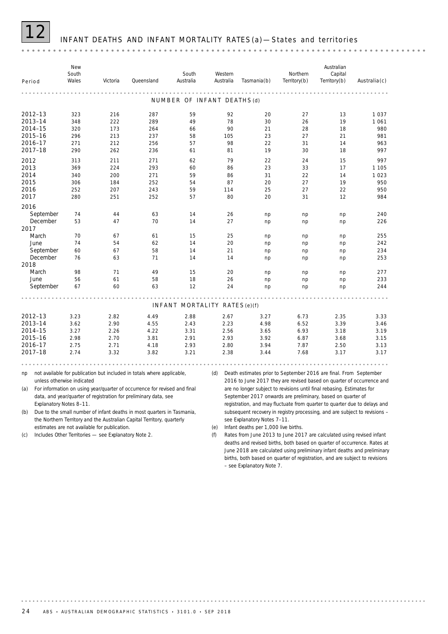# INFANT DEATHS AND INFANT MORTALITY RATES (a) -States and territories

| Period                                                         |                                                       | New<br>South<br>Wales                         | Victoria                                      | Queensland                                                                                                                                                                                                              | South<br>Australia<br>.                      | Australia | Western                                      | Tasmania(b)                                                                                                                                                                                                                                                                                                                                                      | Northern<br>Territory(b)                     | Australian<br>Capital<br>Territory(b)        | $A$ ustralia $(c)$                                    |
|----------------------------------------------------------------|-------------------------------------------------------|-----------------------------------------------|-----------------------------------------------|-------------------------------------------------------------------------------------------------------------------------------------------------------------------------------------------------------------------------|----------------------------------------------|-----------|----------------------------------------------|------------------------------------------------------------------------------------------------------------------------------------------------------------------------------------------------------------------------------------------------------------------------------------------------------------------------------------------------------------------|----------------------------------------------|----------------------------------------------|-------------------------------------------------------|
|                                                                |                                                       |                                               |                                               |                                                                                                                                                                                                                         | NUMBER OF INFANT DEATHS (d)                  |           |                                              |                                                                                                                                                                                                                                                                                                                                                                  |                                              |                                              |                                                       |
| 2012-13<br>2013-14<br>2014-15<br>2015-16<br>2016-17            |                                                       | 323<br>348<br>320<br>296<br>271               | 216<br>222<br>173<br>213<br>212               | 287<br>289<br>264<br>237<br>256                                                                                                                                                                                         | 59<br>49<br>66<br>58<br>57                   |           | 92<br>78<br>90<br>105<br>98                  | 20<br>30<br>21<br>23<br>22                                                                                                                                                                                                                                                                                                                                       | 27<br>26<br>28<br>27<br>31                   | 13<br>19<br>18<br>21<br>14                   | 1037<br>1 0 6 1<br>980<br>981<br>963                  |
| 2017-18<br>2012<br>2013<br>2014<br>2015<br>2016<br>2017        |                                                       | 290<br>313<br>369<br>340<br>306<br>252<br>280 | 262<br>211<br>224<br>200<br>184<br>207<br>251 | 236<br>271<br>293<br>271<br>252<br>243<br>252                                                                                                                                                                           | 61<br>62<br>60<br>59<br>54<br>59<br>57       |           | 81<br>79<br>86<br>86<br>87<br>114<br>80      | 19<br>22<br>23<br>31<br>20<br>25<br>20                                                                                                                                                                                                                                                                                                                           | 30<br>24<br>33<br>22<br>27<br>27<br>31       | 18<br>15<br>17<br>14<br>19<br>22<br>12       | 997<br>997<br>1 1 0 5<br>1 0 2 3<br>950<br>950<br>984 |
| 2016<br>2017                                                   | September<br>December                                 | 74<br>53                                      | 44<br>47                                      | 63<br>70                                                                                                                                                                                                                | 14<br>14                                     |           | 26<br>27                                     | np<br>np                                                                                                                                                                                                                                                                                                                                                         | np<br>np                                     | np<br>np                                     | 240<br>226                                            |
| March<br>June                                                  | September<br>December                                 | 70<br>74<br>60<br>76                          | 67<br>54<br>67<br>63                          | 61<br>62<br>58<br>71                                                                                                                                                                                                    | 15<br>14<br>14<br>14                         |           | 25<br>20<br>21<br>14                         | np<br>np<br>np<br>np                                                                                                                                                                                                                                                                                                                                             | np<br>np<br>np<br>np                         | np<br>np<br>np<br>np                         | 255<br>242<br>234<br>253                              |
| 2018<br>March<br>June                                          | September                                             | 98<br>56<br>67                                | 71<br>61<br>60                                | 49<br>58<br>63                                                                                                                                                                                                          | 15<br>18<br>12                               |           | 20<br>26<br>24                               | np<br>np<br>np                                                                                                                                                                                                                                                                                                                                                   | np<br>np<br>np                               | np<br>np<br>np                               | 277<br>233<br>244                                     |
|                                                                |                                                       |                                               |                                               |                                                                                                                                                                                                                         | INFANT MORTALITY RATES(e)(f)                 |           |                                              |                                                                                                                                                                                                                                                                                                                                                                  |                                              |                                              |                                                       |
| 2012-13<br>2013-14<br>2014-15<br>2015-16<br>2016-17<br>2017-18 |                                                       | 3.23<br>3.62<br>3.27<br>2.98<br>2.75<br>2.74  | 2.82<br>2.90<br>2.26<br>2.70<br>2.71<br>3.32  | 4.49<br>4.55<br>4.22<br>3.81<br>4.18<br>3.82                                                                                                                                                                            | 2.88<br>2.43<br>3.31<br>2.91<br>2.93<br>3.21 |           | 2.67<br>2.23<br>2.56<br>2.93<br>2.80<br>2.38 | 3.27<br>4.98<br>3.65<br>3.92<br>3.94<br>3.44                                                                                                                                                                                                                                                                                                                     | 6.73<br>6.52<br>6.93<br>6.87<br>7.87<br>7.68 | 2.35<br>3.39<br>3.18<br>3.68<br>2.50<br>3.17 | 3.33<br>3.46<br>3.19<br>3.15<br>3.13<br>3.17          |
|                                                                |                                                       |                                               |                                               |                                                                                                                                                                                                                         |                                              |           |                                              |                                                                                                                                                                                                                                                                                                                                                                  |                                              |                                              |                                                       |
| np<br>(a)                                                      | unless otherwise indicated<br>Explanatory Notes 8-11. |                                               |                                               | not available for publication but included in totals where applicable,<br>For information on using year/quarter of occurrence for revised and final<br>data, and year/quarter of registration for preliminary data, see |                                              | (d)       |                                              | Death estimates prior to September 2016 are final. From September<br>2016 to June 2017 they are revised based on quarter of occurrence and<br>are no longer subject to revisions until final rebasing. Estimates for<br>September 2017 onwards are preliminary, based on quarter of<br>registration, and may fluctuate from quarter to quarter due to delays and |                                              |                                              |                                                       |
| (b)                                                            |                                                       |                                               | estimates are not available for publication.  | Due to the small number of infant deaths in most quarters in Tasmania,<br>the Northern Territory and the Australian Capital Territory, quarterly                                                                        |                                              | (e)       |                                              | subsequent recovery in registry processing, and are subject to revisions -<br>see Explanatory Notes 7-11.<br>Infant deaths per 1,000 live births.                                                                                                                                                                                                                |                                              |                                              |                                                       |

(c) Includes Other Territories — see Explanatory Note 2.

(f) Rates from June 2013 to June 2017 are calculated using revised infant deaths and revised births, both based on quarter of occurrence. Rates at June 2018 are calculated using preliminary infant deaths and preliminary births, both based on quarter of registration, and are subject to revisions – see Explanatory Note 7.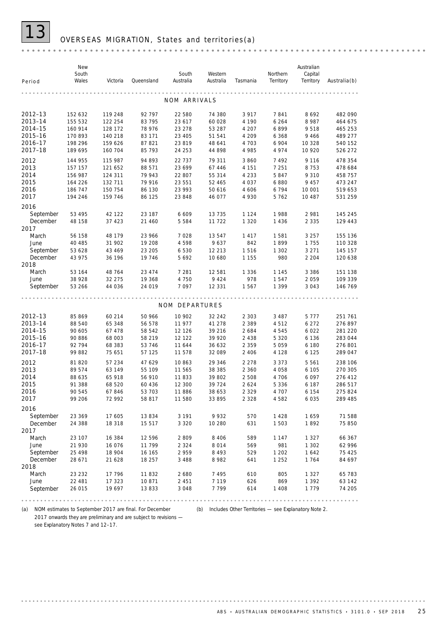## 13 OVERSEAS MIGRATION, States and territories(a)

|             |           | New<br>South<br>Wales | Victoria         | Queensland | South<br>Australia | Western<br>Australia | Tasmania       | Northern<br>Territory | Australian<br>Capital<br>Territory | <b>Australia(b)</b> |
|-------------|-----------|-----------------------|------------------|------------|--------------------|----------------------|----------------|-----------------------|------------------------------------|---------------------|
|             | Period    |                       |                  |            |                    |                      |                |                       |                                    |                     |
|             |           |                       |                  |            | NOM ARRIVALS       |                      |                |                       |                                    |                     |
|             | 2012-13   | 152 632               | 119 248          | 92 797     | 22 580             | 74 380               | 3 9 1 7        | 7841                  | 8692                               | 482 090             |
|             | 2013-14   | 155 532               | 122 254          | 83 795     | 23 617             | 60 028               | 4 1 9 0        | 6 2 6 4               | 8987                               | 464 675             |
|             | 2014-15   | 160 914               | 128 172          | 78 976     | 23 278             | 53 287               | 4 207          | 6899                  | 9518                               | 465 253             |
|             | 2015-16   | 170 893               | 140 218          | 83 171     | 23 4 05            | 51 541               | 4 209          | 6 3 6 8               | 9466                               | 489 277             |
|             | 2016-17   | 198 296               | 159 626          | 87 821     | 23 819             | 48 641               | 4 7 0 3        | 6 904                 | 10 3 28                            | 540 152             |
|             | 2017-18   | 189 695               | 160 704          | 85 793     | 24 253             | 44 898               | 4 9 8 5        | 4 9 7 4               | 10 9 20                            | 526 272             |
| 2012        |           | 144 955               | 115 987          | 94 893     | 22 7 3 7           | 79 311               | 3 8 6 0        | 7492                  | 9 1 1 6                            | 478 354             |
| 2013        |           | 157 157               | 121 652          | 88 571     | 23 699             | 67 446               | 4 1 5 1        | 7 2 5 1               | 8753                               | 478 684             |
| 2014        |           | 156 987               | 124 311          | 79 943     | 22 807             | 55 314               | 4 2 3 3        | 5847                  | 9 3 1 0                            | 458 757             |
| 2015        |           | 164 226               | 132 711          | 79 916     | 23 551             | 52 465               | 4 0 3 7        | 6880                  | 9 4 5 7                            | 473 247             |
| 2016        |           | 186 747               | 150 754          | 86 130     | 23 993             | 50 616               | 4 6 0 6        | 6794                  | 10 001                             | 519 653             |
| 2017        |           | 194 246               | 159 746          | 86 125     | 23 848             | 46 077               | 4 9 3 0        | 5762                  | 10 487                             | 531 259             |
| 2016        |           |                       |                  |            |                    |                      |                |                       |                                    |                     |
|             | September | 53 495                | 42 122           | 23 187     | 6 609              | 13 7 35              | 1 1 2 4        | 1988                  | 2981                               | 145 245             |
|             | December  | 48 158                | 37 423           | 21 460     | 5 5 8 4            | 11 722               | 1 3 2 0        | 1 4 3 6               | 2 3 3 5                            | 129 443             |
| 2017        |           |                       |                  |            |                    |                      |                |                       |                                    |                     |
|             | March     | 56 158                | 48 179           | 23 966     | 7028               | 13547                | 1417           | 1581                  | 3 2 5 7                            | 155 136             |
|             | June      | 40 485                | 31 902           | 19 208     | 4598               | 9637                 | 842            | 1899                  | 1755                               | 110 328             |
|             | September | 53 628                | 43 4 6 9         | 23 205     | 6 5 3 0            | 12 213               | 1516           | 1 3 0 2               | 3 2 7 1                            | 145 157             |
|             | December  | 43 975                | 36 196           | 19 746     | 5692               | 10 680               | 1 1 5 5        | 980                   | 2 2 0 4                            | 120 638             |
| 2018        | March     |                       |                  | 23 474     | 7 2 8 1            |                      |                | 1 1 4 5               | 3 3 8 6                            |                     |
|             | June      | 53 164<br>38 928      | 48 764<br>32 275 | 19 368     | 4 7 5 0            | 12 581<br>9 4 2 4    | 1 3 3 6<br>978 | 1547                  | 2059                               | 151 138<br>109 339  |
|             | September | 53 266                | 44 036           | 24 019     | 7097               | 12 3 3 1             | 1567           | 1 3 9 9               | 3 0 4 3                            | 146 769             |
|             |           |                       |                  |            |                    |                      |                |                       |                                    |                     |
|             |           |                       |                  |            | NOM DEPARTURES     |                      |                |                       |                                    |                     |
|             | 2012-13   | 85 869                | 60 214           | 50 966     | 10 902             | 32 24 2              | 2 3 0 3        | 3 4 8 7               | 5 7 7 7                            | 251 761             |
|             | 2013-14   | 88 540                | 65 348           | 56 578     | 11 977             | 41 278               | 2 3 8 9        | 4512                  | 6 2 7 2                            | 276 897             |
|             | 2014-15   | 90 605                | 67 478           | 58 542     | 12 1 26            | 39 216               | 2 6 8 4        | 4545                  | 6 0 2 2                            | 281 220             |
|             | 2015-16   | 90 886                | 68 003           | 58 219     | 12 122             | 39 920               | 2 4 3 8        | 5 3 2 0               | 6 1 3 6                            | 283 044             |
|             | 2016-17   | 92 794                | 68 383           | 53 746     | 11 644             | 36 632               | 2 3 5 9        | 5 0 5 9               | 6 180                              | 276 801             |
|             | 2017-18   | 99 882                | 75 651           | 57 125     | 11 578             | 32 089               | 2 4 0 6        | 4 1 2 8               | 6 1 2 5                            | 289 047             |
| 2012        |           | 81 820                | 57 234           | 47 629     | 10863              | 29 34 6              | 2 2 7 8        | 3 3 7 3               | 5 5 6 1                            | 238 106             |
| 2013        |           | 89 574                | 63 149           | 55 109     | 11 565             | 38 385               | 2 3 6 0        | 4 0 5 8               | 6 1 0 5                            | 270 305             |
| 2014        |           | 88 635                | 65 918           | 56 910     | 11833              | 39 802               | 2 5 0 8        | 4 7 0 6               | 6097                               | 276 412             |
| 2015        |           | 91 388                | 68 520           | 60 436     | 12 300             | 39 7 24              | 2 6 2 4        | 5 3 3 6               | 6 187                              | 286 517             |
| 2016        |           | 90 545                | 67846            | 53 703     | 11886              | 38 653               | 2 3 2 9        | 4 707                 | 6 1 5 4                            | 275 824             |
| <b>2017</b> |           | 99 206                | 72 992           | 58 817     | 11 580             | 33 895               | 2 3 2 8        | 4 582                 | 6 035                              | 289 485             |
| 2016        |           |                       |                  |            |                    |                      |                |                       |                                    |                     |
|             | September | 23 369                | 17 605           | 13 834     | 3 1 9 1            | 9932                 | 570            | 1428                  | 1659                               | 71 588              |
|             | December  | 24 388                | 18 318           | 15 517     | 3 3 2 0            | 10 280               | 631            | 1 5 0 3               | 1892                               | 75 850              |
| 2017        |           |                       |                  |            |                    |                      |                |                       |                                    |                     |
|             | March     | 23 107                | 16 384           | 12 5 9 6   | 2809               | 8 4 0 6              | 589            | 1 1 4 7               | 1 3 2 7                            | 66 367              |
|             | June      | 21 930                | 16 0 76          | 11 799     | 2 3 2 4            | 8014                 | 569            | 981                   | 1 3 0 2                            | 62 996              |
|             | September | 25 4 9 8              | 18 904           | 16 165     | 2959               | 8 4 9 3              | 529            | 1 2 0 2               | 1642                               | 75 4 25             |
|             | December  | 28 671                | 21 628           | 18 257     | 3 4 8 8            | 8 9 8 2              | 641            | 1 2 5 2               | 1764                               | 84 697              |
| 2018        |           |                       |                  |            |                    |                      |                |                       |                                    |                     |
|             | March     | 23 232                | 17 796           | 11832      | 2680               | 7 4 9 5              | 610            | 805                   | 1 3 2 7                            | 65 783              |
|             | June      | 22 481                | 17 323           | 10871      | 2 4 5 1            | 7 1 1 9              | 626            | 869                   | 1 3 9 2                            | 63 142              |
|             | September | 26 015                | 19 697           | 13 833     | 3 0 4 8            | 7799                 | 614            | 1 4 0 8               | 1779                               | 74 205              |

(a) NOM estimates to September 2017 are final. For December (b) Includes Other Territories — see Explanatory Note 2. 2017 onwards they are preliminary and are subject to revisions see Explanatory Notes 7 and 12-17.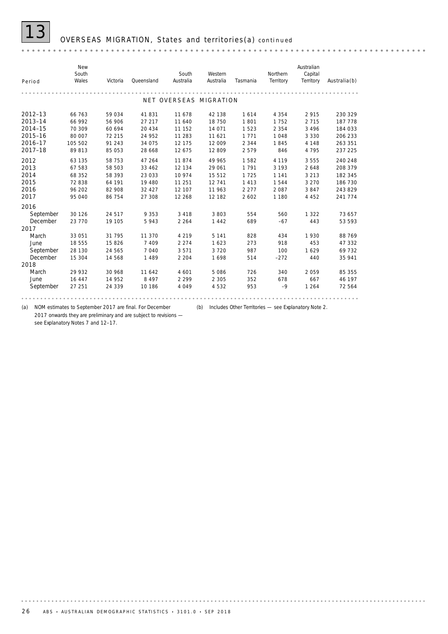

# 13 OVERSEAS MIGRATION, States and territories(a) *continued*

| Period                                                         | New<br>South<br>Wales                                    | Victoria                                                 | Queensland                                                 | South<br>Australia                                       | Western<br>Australia                                      | Tasmania                                                 | Northern<br>Territory                                       | Australian<br>Capital<br>Territory                       | $A$ ustralia $(b)$                                             |
|----------------------------------------------------------------|----------------------------------------------------------|----------------------------------------------------------|------------------------------------------------------------|----------------------------------------------------------|-----------------------------------------------------------|----------------------------------------------------------|-------------------------------------------------------------|----------------------------------------------------------|----------------------------------------------------------------|
|                                                                |                                                          |                                                          |                                                            | NET OVERSEAS MIGRATION                                   |                                                           |                                                          |                                                             |                                                          |                                                                |
| 2012-13<br>2013-14<br>2014-15<br>2015-16<br>2016-17<br>2017-18 | 66 763<br>66 992<br>70 309<br>80 007<br>105 502<br>89813 | 59 034<br>56 906<br>60 694<br>72 215<br>91 243<br>85 053 | 41 831<br>27 217<br>20 434<br>24 952<br>34 075<br>28 6 6 8 | 11 678<br>11 640<br>11 152<br>11 283<br>12 175<br>12 675 | 42 138<br>18 750<br>14 071<br>11 621<br>12 009<br>12 809  | 1614<br>1801<br>1 5 2 3<br>1 7 7 1<br>2 3 4 4<br>2579    | 4 3 5 4<br>1752<br>2 3 5 4<br>1048<br>1845<br>846           | 2915<br>2 7 1 5<br>3 4 9 6<br>3 3 3 0<br>4 1 4 8<br>4795 | 230 329<br>187 778<br>184 033<br>206 233<br>263 351<br>237 225 |
| 2012<br>2013<br>2014<br>2015<br>2016<br>2017                   | 63 135<br>67 583<br>68 352<br>72 838<br>96 202<br>95 040 | 58 753<br>58 503<br>58 393<br>64 191<br>82 908<br>86 754 | 47 264<br>33 462<br>23 033<br>19 480<br>32 4 27<br>27 308  | 11874<br>12 134<br>10 974<br>11 251<br>12 107<br>12 268  | 49 965<br>29 061<br>15 5 12<br>12 741<br>11 963<br>12 182 | 1582<br>1 7 9 1<br>1725<br>1 4 1 3<br>2 2 7 7<br>2 6 0 2 | 4 1 1 9<br>3 1 9 3<br>1 1 4 1<br>1544<br>2 0 8 7<br>1 1 8 0 | 3555<br>2648<br>3 2 1 3<br>3 2 7 0<br>3847<br>4 4 5 2    | 240 248<br>208 379<br>182 345<br>186 730<br>243 829<br>241 774 |
| 2016<br>September<br>December<br>2017                          | 30 1 26<br>23 770                                        | 24 517<br>19 105                                         | 9 3 5 3<br>5943                                            | 3 4 1 8<br>2 2 6 4                                       | 3803<br>1 4 4 2                                           | 554<br>689                                               | 560<br>$-67$                                                | 1 3 2 2<br>443                                           | 73 657<br>53 593                                               |
| March<br>June<br>September<br>December<br>2018                 | 33 051<br>18 555<br>28 130<br>15 304                     | 31 795<br>15 8 26<br>24 565<br>14 568                    | 11 370<br>7 4 0 9<br>7040<br>1 4 8 9                       | 4 2 1 9<br>2 2 7 4<br>3571<br>2 2 0 4                    | 5 1 4 1<br>1623<br>3720<br>1698                           | 828<br>273<br>987<br>514                                 | 434<br>918<br>100<br>$-272$                                 | 1930<br>453<br>1629<br>440                               | 88 769<br>47 332<br>69732<br>35 941                            |
| March<br>June<br>September                                     | 29 932<br>16 447<br>27 251                               | 30 968<br>14 952<br>24 339                               | 11 642<br>8 4 9 7<br>10 18 6                               | 4 601<br>2 2 9 9<br>4 0 4 9                              | 5 0 8 6<br>2 3 0 5<br>4532                                | 726<br>352<br>953                                        | 340<br>678<br>$-9$                                          | 2059<br>667<br>1 2 6 4                                   | 85 355<br>46 197<br>72 564                                     |

(a) NOM estimates to September 2017 are final. For December (b) Includes Other Territories — see Explanatory Note 2. 2017 onwards they are preliminary and are subject to revisions —

see Explanatory Notes 7 and 12–17.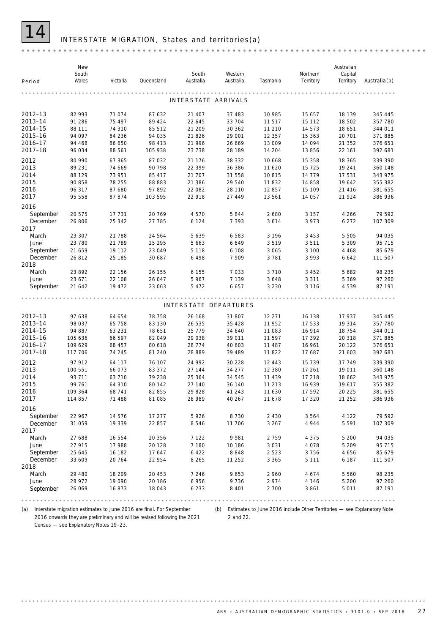

### INTERSTATE MIGRATION, States and territories(a)

|                       | New<br>South     |                  |                  | South                 | Western           |                    | Northern         | Australian<br>Capital |                    |
|-----------------------|------------------|------------------|------------------|-----------------------|-------------------|--------------------|------------------|-----------------------|--------------------|
| Period                | Wales            | Victoria         | Queensland       | Australia             | Australia         | Tasmania           | Territory        | Territory             | $A$ ustralia $(b)$ |
|                       |                  |                  |                  | INTERSTATE ARRIVALS   |                   |                    |                  |                       |                    |
|                       |                  |                  |                  |                       |                   |                    |                  |                       |                    |
| 2012-13               | 82 993           | 71 074           | 87 632           | 21 407                | 37 483            | 10 985             | 15 657           | 18 139                | 345 445            |
| 2013-14               | 91 286           | 75 497           | 89 4 24          | 22 645                | 33 704            | 11517              | 15 112           | 18 502                | 357 780            |
| 2014-15<br>2015-16    | 88 111<br>94 097 | 74 310           | 85 512<br>94 035 | 21 209                | 30 362<br>29 001  | 11 210             | 14 573           | 18 651<br>20 701      | 344 011<br>371885  |
| 2016-17               | 94 4 68          | 84 236<br>86 650 | 98 413           | 21 8 26<br>21 996     | 26 669            | 12 3 5 7<br>13 009 | 15 363<br>14 094 | 21 352                | 376 651            |
| 2017-18               | 96 034           | 88 561           | 105 938          | 23 7 38               | 28 189            | 14 204             | 13 856           | 22 161                | 392 681            |
| 2012                  | 80 990           | 67 365           | 87 032           | 21 176                | 38 332            | 10 6 68            | 15 358           | 18 365                | 339 390            |
| 2013                  | 89 231           | 74 669           | 90 798           | 22 399                | 36 386            | 11 6 20            | 15 7 25          | 19 241                | 360 148            |
| 2014                  | 88 129           | 73 951           | 85 417           | 21 707                | 31 558            | 10815              | 14 7 7 9         | 17 531                | 343 975            |
| 2015                  | 90 858           | 78 255           | 88 883           | 21 386                | 29 540            | 11832              | 14 858           | 19 642                | 355 382            |
| 2016                  | 96 317           | 87 680           | 97892            | 22 082                | 28 110            | 12 857             | 15 109           | 21 4 16               | 381 655            |
| 2017                  | 95 558           | 87 874           | 103 595          | 22 918                | 27 449            | 13 561             | 14 057           | 21 924                | 386 936            |
| 2016                  |                  |                  |                  |                       |                   |                    |                  |                       |                    |
| September             | 20 575           | 17 731           | 20769            | 4 5 7 0               | 5844              | 2 6 8 0            | 3 1 5 7          | 4 2 6 6               | 79 592             |
| December              | 26 806           | 25 342           | 27 785           | 6 1 2 4               | 7 3 9 3           | 3614               | 3 9 7 3          | 6 2 7 2               | 107 309            |
| 2017                  |                  |                  |                  |                       |                   |                    |                  |                       |                    |
| March                 | 23 307           | 21 788           | 24 564           | 5 6 3 9               | 6583              | 3 1 9 6            | 3 4 5 3          | 5 5 0 5               | 94 035             |
| June                  | 23 780           | 21 789           | 25 295           | 5 6 6 3               | 6849              | 3519               | 3511             | 5 3 0 9               | 95 715             |
| September<br>December | 21 659           | 19 112           | 23 049           | 5 1 1 8               | 6 1 0 8           | 3 0 6 5            | 3 100            | 4 4 6 8<br>6 6 4 2    | 85 679<br>111 507  |
| 2018                  | 26812            | 25 185           | 30 687           | 6 4 9 8               | 7 9 0 9           | 3781               | 3 9 9 3          |                       |                    |
| March                 | 23 892           | 22 156           | 26 155           | 6 1 5 5               | 7033              | 3710               | 3 4 5 2          | 5 6 8 2               | 98 235             |
| June                  | 23 671           | 22 108           | 26 047           | 5 9 6 7               | 7 1 3 9           | 3648               | 3 3 1 1          | 5 3 6 9               | 97 260             |
| September             | 21 642           | 19 472           | 23 063           | 5 4 7 2               | 6657              | 3 2 3 0            | 3 1 1 6          | 4539                  | 87 191             |
|                       |                  |                  |                  |                       |                   |                    |                  |                       |                    |
|                       |                  |                  |                  | INTERSTATE DEPARTURES |                   |                    |                  |                       |                    |
| 2012-13               | 97 638           | 64 654           | 78 758           | 26 168                | 31 807            | 12 271             | 16 138           | 17 937                | 345 445            |
| 2013-14               | 98 037           | 65 758           | 83 130           | 26 535                | 35 4 28           | 11 952             | 17 533           | 19 314                | 357 780            |
| 2014-15               | 94 887           | 63 231           | 78 651           | 25 7 7 9              | 34 640            | 11 083             | 16 914           | 18 754                | 344 011            |
| 2015-16               | 105 636          | 66 597           | 82 049           | 29 038                | 39 011            | 11 597             | 17 392           | 20 318                | 371885             |
| 2016-17               | 109 629          | 68 457           | 80 618           | 28 7 7 4              | 40 603            | 11 487             | 16 961           | 20 122                | 376 651            |
| 2017-18               | 117 706          | 74 245           | 81 240           | 28 889                | 39 489            | 11822              | 17 687           | 21 603                | 392 681            |
| 2012                  | 97 912           | 64 117           | 76 107           | 24 992                | 30 228            | 12 4 4 3           | 15 7 39          | 17 749                | 339 390            |
| 2013                  | 100 551          | 66 073           | 83 372           | 27 144                | 34 277            | 12 380             | 17 261           | 19 011                | 360 148            |
| 2014                  | 93 711           | 63 710           | 79 238           | 25 364                | 34 545            | 11 439             | 17 218           | 18 6 62               | 343 975            |
| 2015                  | 99 761           | 64 310           | 80 142           | 27 140                | 36 140            | 11 213             | 16 939           | 19617                 | 355 382            |
| 2016<br>2017          | 109 364          | 68 741           | 82 855           | 29 828                | 41 243            | 11 630             | 17 592           | 20 225                | 381 655            |
|                       | 114 857          | 71 488           | 81 085           | 28 989                | 40 267            | 11 678             | 17 320           | 21 25 2               | 386 936            |
| 2016                  |                  |                  |                  |                       |                   |                    |                  |                       |                    |
| September<br>December | 22 967<br>31 059 | 14 576<br>19 339 | 17 277<br>22 857 | 5926<br>8546          | 8 7 3 0<br>11 706 | 2 4 3 0<br>3 2 6 7 | 3564<br>4 9 4 4  | 4 1 2 2<br>5 5 9 1    | 79 592<br>107 309  |
| 2017                  |                  |                  |                  |                       |                   |                    |                  |                       |                    |
| March                 | 27 688           | 16 554           | 20 356           | 7 1 2 2               | 9981              | 2759               | 4 3 7 5          | 5 200                 | 94 035             |
| June                  | 27 915           | 17 988           | 20 1 28          | 7 1 8 0               | 10 186            | 3 0 3 1            | 4 0 7 8          | 5 2 0 9               | 95 715             |
| September             | 25 645           | 16 182           | 17 647           | 6 4 2 2               | 8848              | 2523               | 3756             | 4 6 5 6               | 85 679             |
| December              | 33 609           | 20 764           | 22 954           | 8 2 6 5               | 11 252            | 3 3 6 5            | 5 1 1 1          | 6 187                 | 111 507            |
| 2018                  |                  |                  |                  |                       |                   |                    |                  |                       |                    |
| March                 | 29 480           | 18 209           | 20 453           | 7 2 4 6               | 9653              | 2 960              | 4674             | 5 5 6 0               | 98 235             |
| June                  | 28 972           | 19 090           | 20 186           | 6 9 5 6               | 9736              | 2974               | 4 1 4 6          | 5 200                 | 97 260             |
| September             | 26 069           | 16873            | 18 043           | 6 2 3 3               | 8 4 0 1           | 2 700              | 3861             | 5 0 1 1               | 87 191             |
|                       |                  |                  |                  |                       |                   |                    |                  |                       |                    |

(a) Interstate migration estimates to June 2016 are final. For September 2016 onwards they are preliminary and will be revised following the 2021 Census — see Explanatory Notes 19–23.

. . . . . . . . . . . . . . . .

(b) Estimates to June 2016 include Other Territories — see Explanatory Note 2 and 22.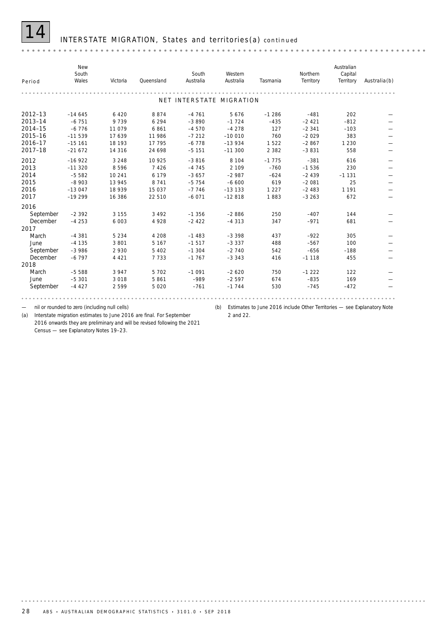### 14 INTERSTATE MIGRATION, States and territories(a) *continued*

| Period      | New<br>South<br>Wales | Victoria | Queensland | South<br>Australia       | Western<br>Australia | Tasmania | Northern<br>Territory | Australian<br>Capital<br>Territory | $A$ ustralia(b) |
|-------------|-----------------------|----------|------------|--------------------------|----------------------|----------|-----------------------|------------------------------------|-----------------|
|             |                       |          |            | NET INTERSTATE MIGRATION |                      |          |                       |                                    |                 |
| $2012 - 13$ | $-14645$              | 6 4 2 0  | 8874       | $-4761$                  | 5676                 | $-1286$  | $-481$                | 202                                |                 |
| 2013-14     | $-6751$               | 9739     | 6 2 9 4    | $-3890$                  | $-1724$              | $-435$   | $-2421$               | $-812$                             |                 |
| 2014-15     | $-6776$               | 11 0 79  | 6861       | $-4570$                  | $-4278$              | 127      | $-2341$               | $-103$                             |                 |
| 2015-16     | $-11539$              | 17639    | 11 986     | $-7212$                  | $-100010$            | 760      | $-2029$               | 383                                |                 |
| 2016-17     | $-15161$              | 18 193   | 17 7 95    | $-6778$                  | $-13934$             | 1522     | $-2867$               | 1 2 3 0                            |                 |
| 2017-18     | $-21672$              | 14 3 16  | 24 6 98    | $-5151$                  | $-11300$             | 2 3 8 2  | $-3831$               | 558                                |                 |
| 2012        | $-16922$              | 3 2 4 8  | 10 9 25    | $-3816$                  | 8 1 0 4              | $-1775$  | $-381$                | 616                                |                 |
| 2013        | $-11320$              | 8596     | 7 4 2 6    | $-4745$                  | 2 1 0 9              | $-760$   | $-1536$               | 230                                |                 |
| 2014        | $-5582$               | 10 241   | 6 1 7 9    | $-3657$                  | $-2987$              | $-624$   | $-2439$               | $-1131$                            |                 |
| 2015        | $-8903$               | 13 945   | 8 7 4 1    | $-5754$                  | $-6600$              | 619      | $-2081$               | 25                                 |                 |
| 2016        | $-13047$              | 18 939   | 15 0 37    | $-7746$                  | $-13133$             | 1 2 2 7  | $-2483$               | 1 1 9 1                            |                 |
| 2017        | $-19299$              | 16 386   | 22 510     | $-6071$                  | $-12818$             | 1883     | $-3263$               | 672                                |                 |
| 2016        |                       |          |            |                          |                      |          |                       |                                    |                 |
| September   | $-2392$               | 3 1 5 5  | 3 4 9 2    | $-1356$                  | $-2886$              | 250      | $-407$                | 144                                |                 |
| December    | $-4253$               | 6 0 0 3  | 4928       | $-2422$                  | $-4313$              | 347      | $-971$                | 681                                |                 |
| 2017        |                       |          |            |                          |                      |          |                       |                                    |                 |
| March       | $-4381$               | 5 2 3 4  | 4 2 0 8    | $-1483$                  | $-3.398$             | 437      | $-922$                | 305                                |                 |
| June        | $-4135$               | 3 8 0 1  | 5 1 6 7    | $-1517$                  | $-3337$              | 488      | $-567$                | 100                                |                 |
| September   | $-3986$               | 2930     | 5 4 0 2    | $-1.304$                 | $-2740$              | 542      | $-656$                | $-188$                             |                 |
| December    | $-6797$               | 4 4 2 1  | 7733       | $-1767$                  | $-3343$              | 416      | $-1118$               | 455                                |                 |
| 2018        |                       |          |            |                          |                      |          |                       |                                    |                 |
| March       | $-5588$               | 3 9 4 7  | 5 7 0 2    | $-1091$                  | $-2620$              | 750      | $-1222$               | 122                                |                 |
| June        | $-5301$               | 3018     | 5861       | $-989$                   | $-2597$              | 674      | $-835$                | 169                                |                 |
| September   | $-4427$               | 2599     | 5 0 2 0    | $-761$                   | $-1744$              | 530      | $-745$                | $-472$                             |                 |
|             |                       |          |            |                          |                      |          |                       |                                    |                 |

— nil or rounded to zero (including null cells)

(a) Interstate migration estimates to June 2016 are final. For September 2016 onwards they are preliminary and will be revised following the 2021 Census — see Explanatory Notes 19–23.

(b) Estimates to June 2016 include Other Territories — see Explanatory Note 2 and 22.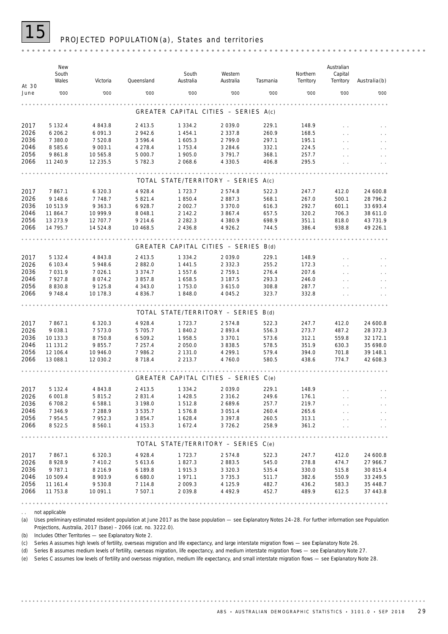

## PROJECTED POPULATION (a), States and territories

|               | New<br>South<br>Wales | Victoria                 | Queensland         | South<br>Australia                   | Western<br>Australia     | Tasmania       | Northern<br>Territory | Australian<br>Capital<br>Territory | $A$ ustralia $(b)$   |
|---------------|-----------------------|--------------------------|--------------------|--------------------------------------|--------------------------|----------------|-----------------------|------------------------------------|----------------------|
| At 30<br>June | '000                  | '000                     | '000               | '000                                 | '000                     | '000           | '000                  | '000                               | '000                 |
|               |                       |                          |                    |                                      |                          |                |                       |                                    |                      |
|               |                       |                          |                    | GREATER CAPITAL CITIES - SERIES A(c) |                          |                |                       |                                    |                      |
| 2017          | 5 132.4               | 4 843.8                  | 2 413.5            | 1 3 3 4 . 2                          | 2 0 3 9 . 0              | 229.1          | 148.9                 |                                    |                      |
| 2026<br>2036  | 6 206.2<br>7 380.0    | 6 0 9 1 . 3<br>7 5 2 0.8 | 2 942.6<br>3 596.4 | 1 4 5 4 . 1<br>1 605.3               | 2 3 3 7 . 8<br>2 799.0   | 260.9<br>297.1 | 168.5<br>195.1        |                                    |                      |
| 2046          | 8 5 8 5.6             | 9 0 0 3.1                | 4 278.4            | 1 7 5 3 . 4                          | 3 2 8 4 . 6              | 332.1          | 224.5                 |                                    |                      |
| 2056          | 9 8 6 1.8             | 10 565.8                 | 5 000.7            | 1 905.0                              | 3 7 9 1 . 7              | 368.1          | 257.7                 |                                    |                      |
| 2066          | 11 240.9              | 12 235.5                 | 5 782.3            | 2 068.6                              | 4 3 3 0.5                | 406.8          | 295.5                 |                                    |                      |
|               |                       |                          |                    |                                      |                          |                |                       |                                    |                      |
|               |                       |                          |                    | TOTAL STATE/TERRITORY - SERIES A(c)  |                          |                |                       |                                    |                      |
| 2017          | 7 867.1               | 6 3 2 0.3                | 4 9 28.4           | 1 7 2 3 . 7                          | 2574.8                   | 522.3          | 247.7                 | 412.0                              | 24 600.8             |
| 2026          | 9 148.6               | 7 7 4 8 . 7              | 5 821.4            | 1850.4                               | 2887.3                   | 568.1          | 267.0                 | 500.1                              | 28 796.2             |
| 2036          | 10 513.9              | 9 3 6 3 . 3              | 6 928.7            | 2 002.7                              | 3 3 7 0 . 0              | 616.3          | 292.7                 | 601.1                              | 33 693.4             |
| 2046          | 11 864.7              | 10 999.9                 | 8 0 4 8 . 1        | 2 142.2                              | 3 867.4                  | 657.5          | 320.2                 | 706.3                              | 38 611.0             |
| 2056          | 13 273.9              | 12 707.7                 | 9 2 1 4 . 6        | 2 2 8 2 . 3                          | 4 380.9                  | 698.9          | 351.1                 | 818.0                              | 43 731.9             |
| 2066          | 14 795.7              | 14 524.8                 | 10 4 68.5          | 2 4 3 6.8                            | 4 9 2 6.2                | 744.5          | 386.4                 | 938.8                              | 49 226.1             |
|               |                       |                          |                    |                                      |                          |                |                       |                                    |                      |
|               |                       |                          |                    | GREATER CAPITAL CITIES - SERIES B(d) |                          |                |                       |                                    |                      |
| 2017          | 5 132.4               | 4 843.8                  | 2 413.5            | 1 3 3 4 . 2                          | 2 0 3 9 . 0              | 229.1          | 148.9                 |                                    |                      |
| 2026          | 6 103.4               | 5 948.6                  | 2 882.0            | 1 4 4 1 .5                           | 2 3 3 2 . 3              | 255.2          | 172.3                 |                                    |                      |
| 2036          | 7 031.9               | 7 0 2 6.1                | 3 3 7 4 . 7        | 1 557.6                              | 2 759.1                  | 276.4          | 207.6                 |                                    |                      |
| 2046          | 7 9 2 7 . 8           | 8 0 7 4 . 2              | 3 857.8            | 1658.5                               | 3 187.5                  | 293.3          | 246.0                 |                                    |                      |
| 2056          | 8 8 3 0.8             | 9 1 2 5 . 8              | 4 3 4 3 .0         | 1 753.0                              | 3 6 1 5 . 0              | 308.8          | 287.7                 |                                    |                      |
| 2066          | 9 7 4 8.4             | 10 178.3                 | 4 8 3 6 . 7        | 1848.0                               | 4 0 4 5 . 2              | 323.7          | 332.8                 |                                    |                      |
|               |                       |                          |                    | TOTAL STATE/TERRITORY - SERIES B(d)  |                          |                |                       |                                    |                      |
| 2017          | 7 867.1               | 6 3 2 0.3                | 4 9 28.4           | 1 7 2 3 . 7                          | 2 5 7 4 . 8              | 522.3          | 247.7                 | 412.0                              | 24 600.8             |
| 2026          | 9 0 38.1              | 7 573.0                  | 5 705.7            | 1840.2                               | 2 893.4                  | 556.3          | 273.7                 | 487.2                              | 28 372.3             |
| 2036          | 10 133.3              | 8 7 5 0.8                | 6 509.2            | 1958.5                               | 3 3 7 0 . 1              | 573.6          | 312.1                 | 559.8                              | 32 172.1             |
| 2046          | 11 131.2              | 9855.7                   | 7 257.4            | 2 050.0                              | 3 8 3 8 .5               | 578.5          | 351.9                 | 630.3                              | 35 698.0             |
| 2056          | 12 106.4              | 10 946.0                 | 7 986.2            | 2 1 3 1 . 0                          | 4 299.1                  | 579.4          | 394.0                 | 701.8                              | 39 148.1             |
| 2066          | 13 088.1              | 12 030.2                 | 8 7 1 8 . 4        | 2 2 1 3 . 7                          | 4 760.0                  | 580.5          | 438.6                 | 774.7                              | 42 608.3             |
|               |                       |                          |                    |                                      |                          |                |                       |                                    |                      |
|               |                       |                          |                    | GREATER CAPITAL CITIES - SERIES C(e) |                          |                |                       |                                    |                      |
| 2017          | 5 132.4               | 4 843.8                  | 2 413.5            | 1 3 3 4 . 2                          | 2 0 3 9 . 0              | 229.1          | 148.9                 |                                    |                      |
| 2026          | 6 001.8               | 5 8 1 5 . 2              | 2 8 3 1 . 4        | 1 4 2 8 .5                           | 2 3 1 6 . 2              | 249.6          | 176.1                 |                                    |                      |
| 2036          | 6 708.2               | 6 5 8 8.1                | 3 198.0            | 1512.8                               | 2 689.6                  | 257.7          | 219.7                 |                                    |                      |
| 2046          | 7 3 4 6.9             | 7 288.9                  | 3 5 3 5 . 7        | 1576.8                               | 3 0 5 1 . 4              | 260.4          | 265.6                 |                                    |                      |
| 2056          | 7 9 5 4 . 5           | 7952.3                   | 3 854.7            | 1 628.4                              | 3 3 9 7 . 8              | 260.5          | 313.1                 |                                    |                      |
| 2066          | 8 5 2 2.5             | 8 5 6 0.1                | 4 153.3            | 1 672.4                              | 3 7 2 6 . 2              | 258.9          | 361.2                 |                                    |                      |
|               |                       |                          |                    | TOTAL STATE/TERRITORY - SERIES C(e)  |                          |                |                       |                                    |                      |
|               |                       |                          |                    |                                      |                          |                |                       |                                    |                      |
| 2017          | 7 867.1               | 6 3 2 0.3                | 4 9 28.4           | 1 7 2 3 . 7                          | 2 574.8                  | 522.3          | 247.7                 | 412.0                              | 24 600.8             |
| 2026          | 8 9 28.9              | 7 4 1 0.2                | 5 613.6            | 1827.3                               | 2 883.5                  | 545.0          | 278.8                 | 474.7                              | 27 966.7             |
| 2036<br>2046  | 9 7 8 7 . 1           | 8 2 1 6 . 9              | 6 189.8            | 1915.3                               | 3 3 2 0 . 3              | 535.4          | 330.0                 | 515.8                              | 30 815.4             |
| 2056          | 10 509.4              | 8 903.9                  | 6 680.0<br>7 114.8 | 1971.1                               | 3 7 3 5 . 3              | 511.7          | 382.6                 | 550.9                              | 33 249.5             |
| 2066          | 11 161.4<br>11 753.8  | 9 5 3 0.8<br>10 091.1    | 7 507.1            | 2 009.3<br>2 0 3 9 . 8               | 4 1 2 5 . 9<br>4 4 9 2.9 | 482.7<br>452.7 | 436.2<br>489.9        | 583.3<br>612.5                     | 35 448.7<br>37 443.8 |
|               |                       |                          |                    |                                      |                          |                |                       |                                    |                      |
|               |                       |                          |                    |                                      |                          |                |                       |                                    |                      |

. . not applicable

(a) Uses preliminary estimated resident population at June 2017 as the base population — see Explanatory Notes 24-28. For further information see Population Projections, Australia, 2017 (base) – 2066 (cat. no. 3222.0).

(b) Includes Other Territories — see Explanatory Note 2.

(c) Series A assumes high levels of fertility, overseas migration and life expectancy, and large interstate migration flows — see Explanatory Note 26.

(d) Series B assumes medium levels of fertility, overseas migration, life expectancy, and medium interstate migration flows — see Explanatory Note 27.

(e) Series C assumes low levels of fertility and overseas migration, medium life expectancy, and small interstate migration flows — see Explanatory Note 28.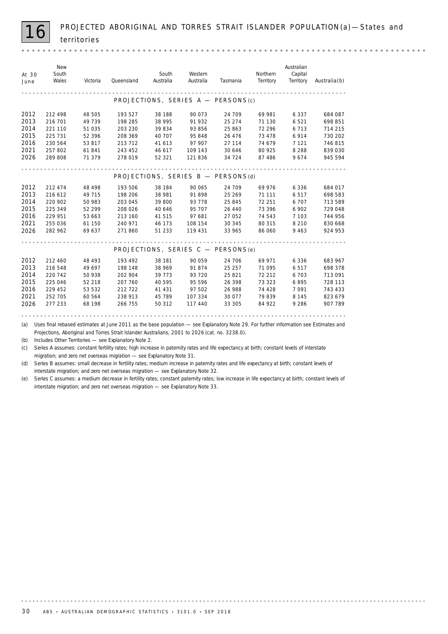*New Australian South Northern At 30 South Western Capital June Wales Victoria Queensland Australia Australia Tasmania Territory Australia*(b) *Territory* . . . . . . . . . . . . . . . . . . . . . . . . . . . . . . . . . PROJECTIONS, SERIES A - PERSONS(c) 2012 212 498 48 505 193 527 38 188 90 073 24 709 69 981 6 337 684 087 2013 216 701 49 739 198 285 38 995 91 932 25 274 71 130 6 521 698 851 2014 221 110 51 035 203 230 39 834 93 856 25 863 72 296 6 713 714 215<br>2015 225 731 52 396 208 369 40 707 95 848 26 476 73 478 6 914 730 202 2015 225 731 52 396 208 369 40 707 95 848 26 476 73 478 6 914 730 202 2016 230 564 53 817 213 712 41 613 97 907 27 114 74 679 7 121 746 815 2021 257 802 61 841 243 452 46 617 109 143 30 646 80 925 8 288 839 030 2026 289 808 71 379 278 019 52 321 121 836 34 724 87 486 9 674 945 594 PROJECTIONS, SERIES  $B - PERSONS(d)$ 2012 212 474 48 498 193 506 38 184 90 065 24 709 69 976 6 336 6 84 017<br>2013 216 612 49 715 198 206 38 981 91 898 25 269 71 111 6 517 698 583 2013 216 612 49 715 198 206 38 981 91 898 25 269 71 111 6517 698 583 2014 220 902 50 983 203 045 39 800 93 778 25 845 72 251 6 707 713 589 2015 225 349 52 299 208 026 40 646 95 707 26 440 73 396 6 902 729 048<br>2016 229 951 53 663 213 160 41 515 97 681 27 052 74 543 7 103 744 956 2016 229 951 53 663 213 160 41 515 97 681 27 052 74 543 7 103 744 956 2021 255 036 61 150 240 971 46 173 108 154 30 345 80 315 8210 830 668 2026 282 962 69 637 271 860 51 233 119 431 33 965 86 060 9 463 924 953 PROJECTIONS, SERIES  $C - PERSONS(e)$ 2012 212 460 48 493 193 492 38 181 90 059 24 706 69 971 6 336 683 967 2013 216 548 49 697 198 148 38 969 91 874 25 257 71 095 6 517 698 378 2014 220 742 50 938 202 904 39 773 93 720 25 821 72 212 6 703 713 091 2015 225 046 52 218 207 760 40 595 95 596 26 398 73 323 6 895 728 113 2016 229 452 53 532 212 722 41 431 97 502 26 988 74 428 7 091 **743 433** 2021 252 705 60 564 238 913 45 789 107 334 30 077 79 839 8 145 823 679 2026 277 233 68 198 266 755 50 312 117 440 33 305 84 922 9 286 907 789 

(a) Uses final rebased estimates at June 2011 as the base population — see Explanatory Note 29. For further information see *Estimates and Projections, Aboriginal and Torres Strait Islander Australians, 2001 to 2026* (cat. no. 3238.0).

(b) Includes Other Territories — see Explanatory Note 2.

(c) Series A assumes: constant fertility rates; high increase in paternity rates and life expectancy at birth; constant levels of interstate migration; and zero net overseas migration — see Explanatory Note 31.

(d) Series B assumes: small decrease in fertility rates; medium increase in paternity rates and life expectancy at birth; constant levels of interstate migration; and zero net overseas migration — see Explanatory Note 32.

(e) Series C assumes: a medium decrease in fertility rates; constant paternity rates; low increase in life expectancy at birth; constant levels of interstate migration; and zero net overseas migration — see Explanatory Note 33.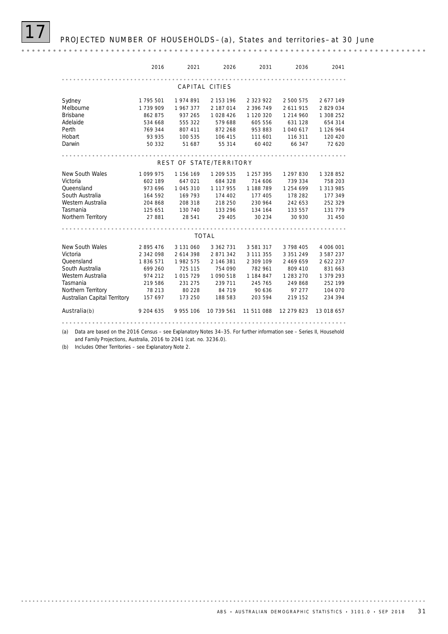PROJECTED NUMBER OF HOUSEHOLDS-(a), States and territories- at 30 June

*2016 2021 2026 2031 2036 2041* CAPITAL CITIES Sydney 1 795 501 1 974 891 2 153 196 2 323 922 2 500 575 2 677 149 Melbourne 1 739 909 1 967 377 2 187 014 2 396 749 2 611 915 2 829 034 Brisbane 862 875 937 265 1 028 426 1 120 320 1 214 960 1 308 252 Adelaide 534 668 555 322 579 688 605 556 631 128 654 314 Perth 769 344 807 411 872 268 953 883 1 040 617 1 126 964 Hobart 93 935 100 535 106 415 111 601 116 311 120 420 Darwin 50 332 51 687 55 314 60 402 66 347 72 620 REST OF STATE/TERRITORY New South Wales 1 099 975 1 156 169 1 209 535 1 257 395 1 297 830 1 328 852 Queensland 973 696 1 045 310 1 117 955 1 188 789 1 254 699 1 313 985 Victoria 602 189 647 021 684 328 714 606 739 334 758 203 South Australia 164 592 169 793 174 402 177 405 178 282 177 349<br>Western Australia 204 868 208 318 218 250 230 964 242 653 252 329 Western Australia 204 868 208 318 218 250 230 964 242 653 252 329 Tasmania 125 651 130 740 133 296 134 164 133 557 131 779 Northern Territory 27 881 28 541 29 405 30 234 30 930 31 450 TOTAL New South Wales 2 895 476 3 131 060 3 362 731 3 581 317 3 798 405 4 006 001 Victoria 2 342 098 2 614 398 2 871 342 3 111 355 3 351 249 3 587 237 Queensland 1 836 571 1 982 575 2 146 381 2 309 109 2 469 659 2 622 237 South Australia 699 260 725 115 754 090 782 961 809 410 831 663 Western Australia 974 212 1 015 729 1 090 518 1 184 847 1 283 270 1 379 293 Tasmania 219 586 231 275 239 711 245 765 249 868 252 199 Northern Territory 78 213 80 228 84 719 90 636 97 277 104 070 Australian Capital Territory 157 697 173 250 188 583 203 594 219 152 234 394 Australia(b) 9 204 635 9 955 106 10 739 561 11 511 088 12 279 823 13 018 657

(a) Data are based on the 2016 Census – see Explanatory Notes 34–35. For further information see – Series II, Household

and Family Projections, Australia, 2016 to 2041 (cat. no. 3236.0).

(b) Includes Other Territories – see Explanatory Note 2.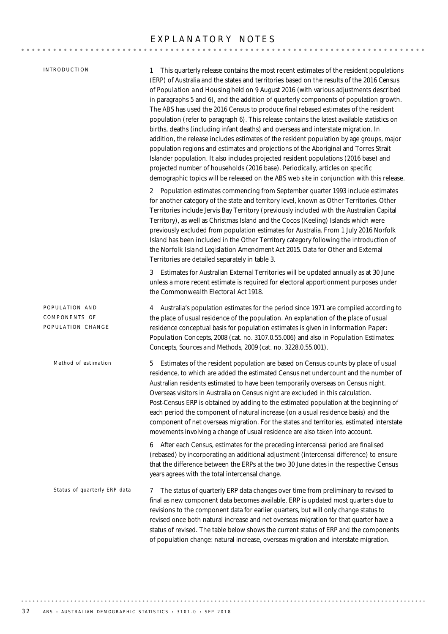### EXPLANATORY NOTES

|  |  | INTRODUCTION |  |
|--|--|--------------|--|
|--|--|--------------|--|

1 This quarterly release contains the most recent estimates of the resident populations (ERP) of Australia and the states and territories based on the results of the *2016 Census of Population and Housing* held on 9 August 2016 (with various adjustments described in paragraphs 5 and 6), and the addition of quarterly components of population growth. The ABS has used the 2016 Census to produce final rebased estimates of the resident population (refer to paragraph 6). This release contains the latest available statistics on births, deaths (including infant deaths) and overseas and interstate migration. In addition, the release includes estimates of the resident population by age groups, major population regions and estimates and projections of the Aboriginal and Torres Strait Islander population. It also includes projected resident populations (2016 base) and projected number of households (2016 base). Periodically, articles on specific demographic topics will be released on the ABS web site in conjunction with this release.

2 Population estimates commencing from September quarter 1993 include estimates for another category of the state and territory level, known as Other Territories. Other Territories include Jervis Bay Territory (previously included with the Australian Capital Territory), as well as Christmas Island and the Cocos (Keeling) Islands which were previously excluded from population estimates for Australia. From 1 July 2016 Norfolk Island has been included in the Other Territory category following the introduction of the *Norfolk Island Legislation Amendment Act 2015*. Data for Other and External Territories are detailed separately in table 3.

3 Estimates for Australian External Territories will be updated annually as at 30 June unless a more recent estimate is required for electoral apportionment purposes under the *Commonwealth Electoral Act 1918*.

5 Estimates of the resident population are based on Census counts by place of usual residence, to which are added the estimated Census net undercount and the number of Australian residents estimated to have been temporarily overseas on Census night. Overseas visitors in Australia on Census night are excluded in this calculation. Post-Census ERP is obtained by adding to the estimated population at the beginning of each period the component of natural increase (on a usual residence basis) and the component of net overseas migration. For the states and territories, estimated interstate movements involving a change of usual residence are also taken into account. *Method of estimation* 4 Australia's population estimates for the period since 1971 are compiled according to the place of usual residence of the population. An explanation of the place of usual residence conceptual basis for population estimates is given in *Information Paper: Population Concepts, 2008* (cat. no. 3107.0.55.006) and also in *Population Estimates: Concepts, Sources and Methods, 2009* (cat. no. 3228.0.55.001). POPULATION AND COMPONENTS OF POPULATION CHANGE

> 6 After each Census, estimates for the preceding intercensal period are finalised (rebased) by incorporating an additional adjustment (intercensal difference) to ensure that the difference between the ERPs at the two 30 June dates in the respective Census years agrees with the total intercensal change.

*Status of quarterly ERP data*

7 The status of quarterly ERP data changes over time from preliminary to revised to final as new component data becomes available. ERP is updated most quarters due to revisions to the component data for earlier quarters, but will only change status to revised once both natural increase and net overseas migration for that quarter have a status of revised. The table below shows the current status of ERP and the components of population change: natural increase, overseas migration and interstate migration.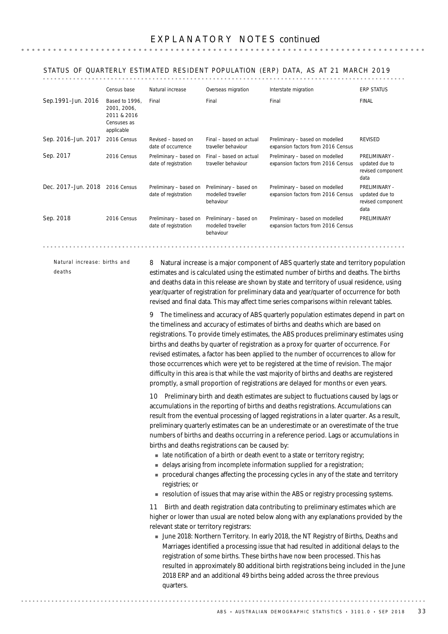### STATUS OF QUARTERLY ESTIMATED RESIDENT POPULATION (ERP) DATA, AS AT 21 MARCH 2019

|                     | Census base                                                               | Natural increase                               | Overseas migration                                        | Interstate migration                                                  | <b>ERP STATUS</b>                                            |
|---------------------|---------------------------------------------------------------------------|------------------------------------------------|-----------------------------------------------------------|-----------------------------------------------------------------------|--------------------------------------------------------------|
| Sep.1991-Jun. 2016  | Based to 1996.<br>2001, 2006,<br>2011 & 2016<br>Censuses as<br>applicable | Final                                          | Final                                                     | Final                                                                 | <b>FINAL</b>                                                 |
| Sep. 2016-Jun. 2017 | 2016 Census                                                               | Revised - based on<br>date of occurrence       | Final - based on actual<br>traveller behaviour            | Preliminary - based on modelled<br>expansion factors from 2016 Census | <b>REVISED</b>                                               |
| Sep. 2017           | 2016 Census                                                               | Preliminary - based on<br>date of registration | Final - based on actual<br>traveller behaviour            | Preliminary - based on modelled<br>expansion factors from 2016 Census | PRELIMINARY -<br>updated due to<br>revised component<br>data |
| Dec. 2017-Jun. 2018 | 2016 Census                                                               | Preliminary - based on<br>date of registration | Preliminary - based on<br>modelled traveller<br>behaviour | Preliminary - based on modelled<br>expansion factors from 2016 Census | PRELIMINARY -<br>updated due to<br>revised component<br>data |
| Sep. 2018           | 2016 Census                                                               | Preliminary - based on<br>date of registration | Preliminary - based on<br>modelled traveller<br>behaviour | Preliminary - based on modelled<br>expansion factors from 2016 Census | <b>PRFI IMINARY</b>                                          |

*Natural increase: births and*

*deaths*

8 Natural increase is a major component of ABS quarterly state and territory population estimates and is calculated using the estimated number of births and deaths. The births and deaths data in this release are shown by state and territory of usual residence, using year/quarter of registration for preliminary data and year/quarter of occurrence for both revised and final data. This may affect time series comparisons within relevant tables.

9 The timeliness and accuracy of ABS quarterly population estimates depend in part on the timeliness and accuracy of estimates of births and deaths which are based on registrations. To provide timely estimates, the ABS produces preliminary estimates using births and deaths by quarter of registration as a proxy for quarter of occurrence. For revised estimates, a factor has been applied to the number of occurrences to allow for those occurrences which were yet to be registered at the time of revision. The major difficulty in this area is that while the vast majority of births and deaths are registered promptly, a small proportion of registrations are delayed for months or even years.

10 Preliminary birth and death estimates are subject to fluctuations caused by lags or accumulations in the reporting of births and deaths registrations. Accumulations can result from the eventual processing of lagged registrations in a later quarter. As a result, preliminary quarterly estimates can be an underestimate or an overestimate of the true numbers of births and deaths occurring in a reference period. Lags or accumulations in births and deaths registrations can be caused by:

- I late notification of a birth or death event to a state or territory registry;
- **In delays arising from incomplete information supplied for a registration;**
- ! procedural changes affecting the processing cycles in any of the state and territory registries; or
- **Example 1** resolution of issues that may arise within the ABS or registry processing systems.

11 Birth and death registration data contributing to preliminary estimates which are higher or lower than usual are noted below along with any explanations provided by the relevant state or territory registrars:

! June 2018: Northern Territory. In early 2018, the NT Registry of Births, Deaths and Marriages identified a processing issue that had resulted in additional delays to the registration of some births. These births have now been processed. This has resulted in approximately 80 additional birth registrations being included in the June 2018 ERP and an additional 49 births being added across the three previous quarters.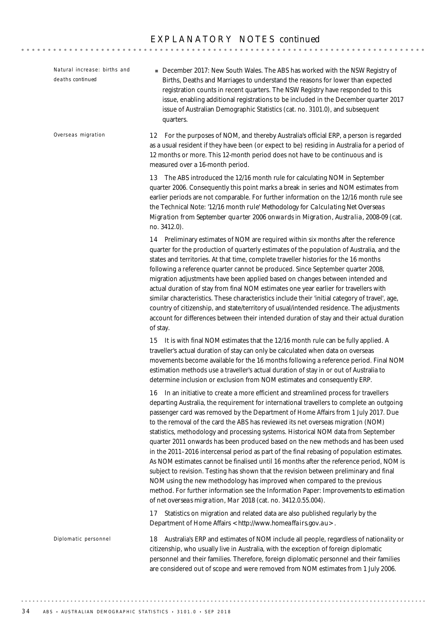18 Australia's ERP and estimates of NOM include all people, regardless of nationality or citizenship, who usually live in Australia, with the exception of foreign diplomatic personnel and their families. Therefore, foreign diplomatic personnel and their families are considered out of scope and were removed from NOM estimates from 1 July 2006. *Diplomatic personnel* 12 For the purposes of NOM, and thereby Australia's official ERP, a person is regarded as a usual resident if they have been (or expect to be) residing in Australia for a period of 12 months or more. This 12-month period does not have to be continuous and is measured over a 16-month period. 13 The ABS introduced the 12/16 month rule for calculating NOM in September quarter 2006. Consequently this point marks a break in series and NOM estimates from earlier periods are not comparable. For further information on the 12/16 month rule see the Technical Note: *'12/16 month rule' Methodology for Calculating Net Overseas Migration from September quarter 2006 onwards* in *Migration, Australia, 2008-09* (cat. no. 3412.0). 14 Preliminary estimates of NOM are required within six months after the reference quarter for the production of quarterly estimates of the population of Australia, and the states and territories. At that time, complete traveller histories for the 16 months following a reference quarter cannot be produced. Since September quarter 2008, migration adjustments have been applied based on changes between intended and actual duration of stay from final NOM estimates one year earlier for travellers with similar characteristics. These characteristics include their 'initial category of travel', age, country of citizenship, and state/territory of usual/intended residence. The adjustments account for differences between their intended duration of stay and their actual duration of stay. 15 It is with final NOM estimates that the 12/16 month rule can be fully applied. A traveller's actual duration of stay can only be calculated when data on overseas movements become available for the 16 months following a reference period. Final NOM estimation methods use a traveller's actual duration of stay in or out of Australia to determine inclusion or exclusion from NOM estimates and consequently ERP. 16 In an initiative to create a more efficient and streamlined process for travellers departing Australia, the requirement for international travellers to complete an outgoing passenger card was removed by the Department of Home Affairs from 1 July 2017. Due to the removal of the card the ABS has reviewed its net overseas migration (NOM) statistics, methodology and processing systems. Historical NOM data from September quarter 2011 onwards has been produced based on the new methods and has been used in the 2011–2016 intercensal period as part of the final rebasing of population estimates. As NOM estimates cannot be finalised until 16 months after the reference period, NOM is subject to revision. Testing has shown that the revision between preliminary and final NOM using the new methodology has improved when compared to the previous method. For further information see the Information Paper: *Improvements to estimation of net overseas migration, Mar 2018* (cat. no. 3412.0.55.004). 17 Statistics on migration and related data are also published regularly by the Department of Home Affairs <http://www.homeaffairs.gov.au>. *Overseas migration* **December 2017: New South Wales. The ABS has worked with the NSW Registry of** Births, Deaths and Marriages to understand the reasons for lower than expected registration counts in recent quarters. The NSW Registry have responded to this issue, enabling additional registrations to be included in the December quarter 2017 issue of Australian Demographic Statistics (cat. no. 3101.0), and subsequent quarters. *Natural increase: births and deaths continued*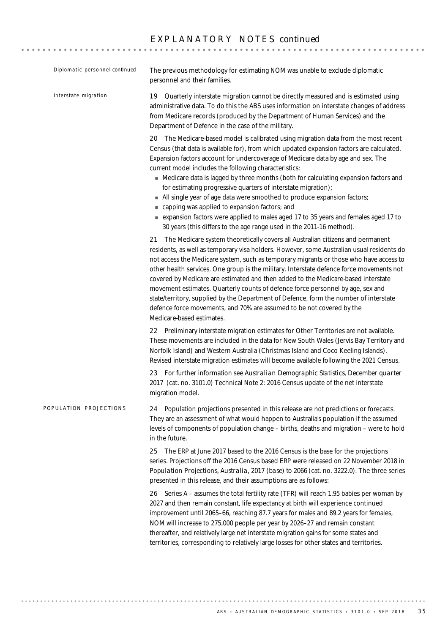## E X P L A N A T O R Y N O T E S *continued*

| Diplomatic personnel continued | The previous methodology for estimating NOM was unable to exclude diplomatic<br>personnel and their families.                                                                                                                                                                                                                                                                                                                                                                                                                                                                                                                                                                                                                                                                       |
|--------------------------------|-------------------------------------------------------------------------------------------------------------------------------------------------------------------------------------------------------------------------------------------------------------------------------------------------------------------------------------------------------------------------------------------------------------------------------------------------------------------------------------------------------------------------------------------------------------------------------------------------------------------------------------------------------------------------------------------------------------------------------------------------------------------------------------|
| Interstate migration           | 19 Quarterly interstate migration cannot be directly measured and is estimated using<br>administrative data. To do this the ABS uses information on interstate changes of address<br>from Medicare records (produced by the Department of Human Services) and the<br>Department of Defence in the case of the military.                                                                                                                                                                                                                                                                                                                                                                                                                                                             |
|                                | 20 The Medicare-based model is calibrated using migration data from the most recent<br>Census (that data is available for), from which updated expansion factors are calculated.<br>Expansion factors account for undercoverage of Medicare data by age and sex. The<br>current model includes the following characteristics:<br>• Medicare data is lagged by three months (both for calculating expansion factors and<br>for estimating progressive quarters of interstate migration);<br>All single year of age data were smoothed to produce expansion factors;<br>capping was applied to expansion factors; and<br>■ expansion factors were applied to males aged 17 to 35 years and females aged 17 to<br>30 years (this differs to the age range used in the 2011-16 method). |
|                                | 21 The Medicare system theoretically covers all Australian citizens and permanent<br>residents, as well as temporary visa holders. However, some Australian usual residents do<br>not access the Medicare system, such as temporary migrants or those who have access to<br>other health services. One group is the military. Interstate defence force movements not<br>covered by Medicare are estimated and then added to the Medicare-based interstate<br>movement estimates. Quarterly counts of defence force personnel by age, sex and<br>state/territory, supplied by the Department of Defence, form the number of interstate<br>defence force movements, and 70% are assumed to be not covered by the<br>Medicare-based estimates.                                         |
|                                | 22 Preliminary interstate migration estimates for Other Territories are not available.<br>These movements are included in the data for New South Wales (Jervis Bay Territory and<br>Norfolk Island) and Western Australia (Christmas Island and Coco Keeling Islands).<br>Revised interstate migration estimates will become available following the 2021 Census.                                                                                                                                                                                                                                                                                                                                                                                                                   |
|                                | 23 For further information see Australian Demographic Statistics, December quarter<br>2017 (cat. no. 3101.0) Technical Note 2: 2016 Census update of the net interstate<br>migration model.                                                                                                                                                                                                                                                                                                                                                                                                                                                                                                                                                                                         |
| POPULATION PROJECTIONS         | Population projections presented in this release are not predictions or forecasts.<br>24<br>They are an assessment of what would happen to Australia's population if the assumed<br>levels of components of population change - births, deaths and migration - were to hold<br>in the future.                                                                                                                                                                                                                                                                                                                                                                                                                                                                                       |
|                                | 25 The ERP at June 2017 based to the 2016 Census is the base for the projections<br>series. Projections off the 2016 Census based ERP were released on 22 November 2018 in<br>Population Projections, Australia, 2017 (base) to 2066 (cat. no. 3222.0). The three series<br>presented in this release, and their assumptions are as follows:                                                                                                                                                                                                                                                                                                                                                                                                                                        |
|                                | 26 Series A - assumes the total fertility rate (TFR) will reach 1.95 babies per woman by<br>2027 and then remain constant, life expectancy at birth will experience continued<br>improvement until 2065-66, reaching 87.7 years for males and 89.2 years for females,<br>NOM will increase to 275,000 people per year by 2026-27 and remain constant<br>thereafter, and relatively large net interstate migration gains for some states and<br>territories, corresponding to relatively large losses for other states and territories.                                                                                                                                                                                                                                              |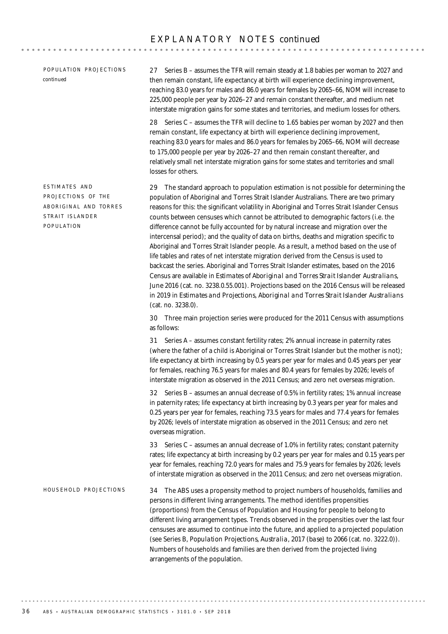### E X P L A N A T O R Y N O T E S *continued*

POPULATION PROJECTIONS *continued*

ESTIMATES AND PROJECTIONS OF THE ABORIGINAL AND TORRES

STRAIT ISLANDER POPULATION

27 Series B – assumes the TFR will remain steady at 1.8 babies per woman to 2027 and then remain constant, life expectancy at birth will experience declining improvement, reaching 83.0 years for males and 86.0 years for females by 2065–66, NOM will increase to 225,000 people per year by 2026–27 and remain constant thereafter, and medium net interstate migration gains for some states and territories, and medium losses for others.

28 Series C – assumes the TFR will decline to 1.65 babies per woman by 2027 and then remain constant, life expectancy at birth will experience declining improvement, reaching 83.0 years for males and 86.0 years for females by 2065–66, NOM will decrease to 175,000 people per year by 2026–27 and then remain constant thereafter, and relatively small net interstate migration gains for some states and territories and small losses for others.

29 The standard approach to population estimation is not possible for determining the population of Aboriginal and Torres Strait Islander Australians. There are two primary reasons for this: the significant volatility in Aboriginal and Torres Strait Islander Census counts between censuses which cannot be attributed to demographic factors (i.e. the difference cannot be fully accounted for by natural increase and migration over the intercensal period); and the quality of data on births, deaths and migration specific to Aboriginal and Torres Strait Islander people. As a result, a method based on the use of life tables and rates of net interstate migration derived from the Census is used to backcast the series. Aboriginal and Torres Strait Islander estimates, based on the 2016 Census are available in *Estimates of Aboriginal and Torres Strait Islander Australians, June 2016* (cat. no. 3238.0.55.001). Projections based on the 2016 Census will be released in 2019 in *Estimates and Projections, Aboriginal and Torres Strait Islander Australians* (cat. no. 3238.0).

30 Three main projection series were produced for the 2011 Census with assumptions as follows:

31 Series A – assumes constant fertility rates; 2% annual increase in paternity rates (where the father of a child is Aboriginal or Torres Strait Islander but the mother is not); life expectancy at birth increasing by 0.5 years per year for males and 0.45 years per year for females, reaching 76.5 years for males and 80.4 years for females by 2026; levels of interstate migration as observed in the 2011 Census; and zero net overseas migration.

32 Series B – assumes an annual decrease of 0.5% in fertility rates; 1% annual increase in paternity rates; life expectancy at birth increasing by 0.3 years per year for males and 0.25 years per year for females, reaching 73.5 years for males and 77.4 years for females by 2026; levels of interstate migration as observed in the 2011 Census; and zero net overseas migration.

33 Series C – assumes an annual decrease of 1.0% in fertility rates; constant paternity rates; life expectancy at birth increasing by 0.2 years per year for males and 0.15 years per year for females, reaching 72.0 years for males and 75.9 years for females by 2026; levels of interstate migration as observed in the 2011 Census; and zero net overseas migration.

34 The ABS uses a propensity method to project numbers of households, families and persons in different living arrangements. The method identifies propensities (proportions) from the Census of Population and Housing for people to belong to different living arrangement types. Trends observed in the propensities over the last four censuses are assumed to continue into the future, and applied to a projected population (see Series B, *Population Projections, Australia, 2017 (base) to 2066* (cat. no. 3222.0)). Numbers of households and families are then derived from the projected living arrangements of the population. HOUSEHOLD PROJECTIONS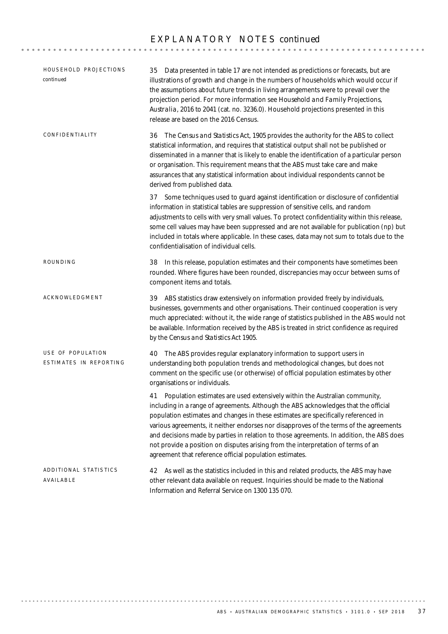### E X P L A N A T O R Y N O T E S *continued*

| HOUSEHOLD PROJECTIONS<br>continued          | 35 Data presented in table 17 are not intended as predictions or forecasts, but are<br>illustrations of growth and change in the numbers of households which would occur if<br>the assumptions about future trends in living arrangements were to prevail over the<br>projection period. For more information see Household and Family Projections,<br>Australia, 2016 to 2041 (cat. no. 3236.0). Household projections presented in this<br>release are based on the 2016 Census.                                                                                                                  |
|---------------------------------------------|-----------------------------------------------------------------------------------------------------------------------------------------------------------------------------------------------------------------------------------------------------------------------------------------------------------------------------------------------------------------------------------------------------------------------------------------------------------------------------------------------------------------------------------------------------------------------------------------------------|
| CONFIDENTIALITY                             | 36 The Census and Statistics Act, 1905 provides the authority for the ABS to collect<br>statistical information, and requires that statistical output shall not be published or<br>disseminated in a manner that is likely to enable the identification of a particular person<br>or organisation. This requirement means that the ABS must take care and make<br>assurances that any statistical information about individual respondents cannot be<br>derived from published data.                                                                                                                |
|                                             | 37 Some techniques used to guard against identification or disclosure of confidential<br>information in statistical tables are suppression of sensitive cells, and random<br>adjustments to cells with very small values. To protect confidentiality within this release,<br>some cell values may have been suppressed and are not available for publication (np) but<br>included in totals where applicable. In these cases, data may not sum to totals due to the<br>confidentialisation of individual cells.                                                                                     |
| ROUNDING                                    | 38 In this release, population estimates and their components have sometimes been<br>rounded. Where figures have been rounded, discrepancies may occur between sums of<br>component items and totals.                                                                                                                                                                                                                                                                                                                                                                                               |
| ACKNOWLEDGMENT                              | 39 ABS statistics draw extensively on information provided freely by individuals,<br>businesses, governments and other organisations. Their continued cooperation is very<br>much appreciated: without it, the wide range of statistics published in the ABS would not<br>be available. Information received by the ABS is treated in strict confidence as required<br>by the Census and Statistics Act 1905.                                                                                                                                                                                       |
| USE OF POPULATION<br>ESTIMATES IN REPORTING | 40 The ABS provides regular explanatory information to support users in<br>understanding both population trends and methodological changes, but does not<br>comment on the specific use (or otherwise) of official population estimates by other<br>organisations or individuals.                                                                                                                                                                                                                                                                                                                   |
|                                             | Population estimates are used extensively within the Australian community,<br>41<br>including in a range of agreements. Although the ABS acknowledges that the official<br>population estimates and changes in these estimates are specifically referenced in<br>various agreements, it neither endorses nor disapproves of the terms of the agreements<br>and decisions made by parties in relation to those agreements. In addition, the ABS does<br>not provide a position on disputes arising from the interpretation of terms of an<br>agreement that reference official population estimates. |
| ADDITIONAL STATISTICS<br>AVAILABLE          | 42 As well as the statistics included in this and related products, the ABS may have<br>other relevant data available on request. Inquiries should be made to the National<br>Information and Referral Service on 1300 135 070.                                                                                                                                                                                                                                                                                                                                                                     |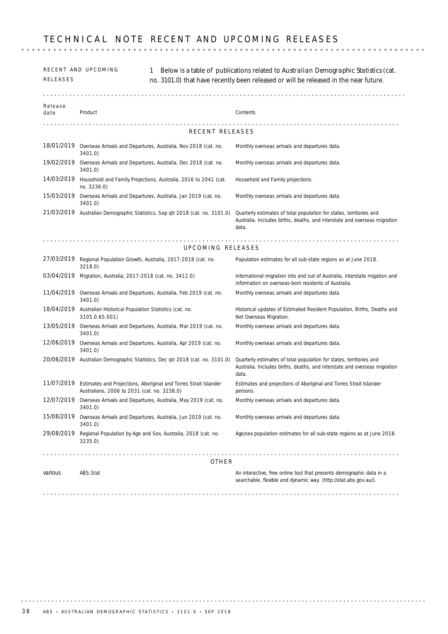| RELEASES        | RECENT AND UPCOMING                                                                                             | Below is a table of publications related to Australian Demographic Statistics (cat.<br>no. 3101.0) that have recently been released or will be released in the near future. |
|-----------------|-----------------------------------------------------------------------------------------------------------------|-----------------------------------------------------------------------------------------------------------------------------------------------------------------------------|
|                 |                                                                                                                 |                                                                                                                                                                             |
| Release<br>date | Product                                                                                                         | Contents                                                                                                                                                                    |
|                 | RECENT RELEASES                                                                                                 |                                                                                                                                                                             |
|                 | 18/01/2019 Overseas Arrivals and Departures, Australia, Nov 2018 (cat. no.<br>3401.0)                           | Monthly overseas arrivals and departures data.                                                                                                                              |
| 19/02/2019      | Overseas Arrivals and Departures, Australia, Dec 2018 (cat. no.<br>3401.0)                                      | Monthly overseas arrivals and departures data.                                                                                                                              |
| 14/03/2019      | Household and Family Projections, Australia, 2016 to 2041 (cat.<br>no. 3236.0)                                  | Household and Family projections.                                                                                                                                           |
| 15/03/2019      | Overseas Arrivals and Departures, Australia, Jan 2019 (cat. no.<br>3401.0)                                      | Monthly overseas arrivals and departures data.                                                                                                                              |
|                 | 21/03/2019 Australian Demographic Statistics, Sep qtr 2018 (cat. no. 3101.0)                                    | Quarterly estimates of total population for states, territories and<br>Australia. Includes births, deaths, and interstate and overseas migration<br>data.                   |
|                 | UPCOMING RELEASES                                                                                               |                                                                                                                                                                             |
|                 | 27/03/2019 Regional Population Growth, Australia, 2017-2018 (cat. no.<br>3218.0)                                | Population estimates for all sub-state regions as at June 2018.                                                                                                             |
| 03/04/2019      | Migration, Australia, 2017-2018 (cat. no. 3412.0)                                                               | International migration into and out of Australia, interstate migation and<br>information on overseas-born residents of Australia.                                          |
|                 | 11/04/2019 Overseas Arrivals and Departures, Australia, Feb 2019 (cat. no.<br>3401.0)                           | Monthly overseas arrivals and departures data.                                                                                                                              |
|                 | 18/04/2019 Australian Historical Population Statistics (cat. no.<br>3105.0.65.001)                              | Historical updates of Estimated Resident Population, Births, Deaths and<br>Net Overseas Migration.                                                                          |
| 13/05/2019      | Overseas Arrivals and Departures, Australia, Mar 2019 (cat. no.<br>3401.0)                                      | Monthly overseas arrivals and departures data.                                                                                                                              |
| 12/06/2019      | Overseas Arrivals and Departures, Australia, Apr 2019 (cat. no.<br>3401.0)                                      | Monthly overseas arrivals and departures data.                                                                                                                              |
|                 | 20/06/2019 Australian Demographic Statistics, Dec qtr 2018 (cat. no. 3101.0)                                    | Quarterly estimates of total population for states, territories and<br>Australia. Includes births, deaths, and interstate and overseas migration<br>data.                   |
| 11/07/2019      | Estimates and Projections, Aboriginal and Torres Strait Islander<br>Australians, 2006 to 2031 (cat. no. 3238.0) | Estimates and projections of Aboriginal and Torres Strait Islander<br>persons.                                                                                              |
|                 | 12/07/2019 Overseas Arrivals and Departures, Australia, May 2019 (cat. no.<br>3401.0)                           | Monthly overseas arrivals and departures data.                                                                                                                              |
|                 | 15/08/2019 Overseas Arrivals and Departures, Australia, Jun 2019 (cat. no.<br>3401.0)                           | Monthly overseas arrivals and departures data.                                                                                                                              |
| 29/08/2019      | Regional Population by Age and Sex, Australia, 2018 (cat. no.<br>3235.0)                                        | Age/sex population estimates for all sub-state regions as at June 2018.                                                                                                     |
|                 | .<br>OTHER                                                                                                      |                                                                                                                                                                             |
| various         | ABS.Stat                                                                                                        | An interactive, free online tool that presents demographic data in a<br>searchable, flexible and dynamic way. (http://stat.abs.gov.au/).                                    |
|                 |                                                                                                                 |                                                                                                                                                                             |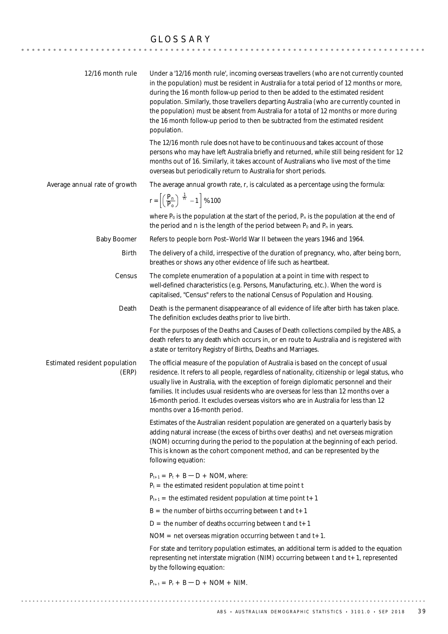### GLOSSARY

| 12/16 month rule                       | Under a '12/16 month rule', incoming overseas travellers (who <i>are not</i> currently counted<br>in the population) must be resident in Australia for a total period of 12 months or more,<br>during the 16 month follow-up period to then be added to the estimated resident<br>population. Similarly, those travellers departing Australia (who are currently counted in<br>the population) must be absent from Australia for a total of 12 months or more during<br>the 16 month follow-up period to then be subtracted from the estimated resident<br>population. |
|----------------------------------------|------------------------------------------------------------------------------------------------------------------------------------------------------------------------------------------------------------------------------------------------------------------------------------------------------------------------------------------------------------------------------------------------------------------------------------------------------------------------------------------------------------------------------------------------------------------------|
|                                        | The 12/16 month rule <i>does not have to be continuous</i> and takes account of those<br>persons who may have left Australia briefly and returned, while still being resident for 12<br>months out of 16. Similarly, it takes account of Australians who live most of the time<br>overseas but periodically return to Australia for short periods.                                                                                                                                                                                                                     |
| Average annual rate of growth          | The average annual growth rate, r, is calculated as a percentage using the formula:                                                                                                                                                                                                                                                                                                                                                                                                                                                                                    |
|                                        | $r = \left[\left(\frac{P_n}{P_o}\right)^{\frac{1}{n}} - 1\right]$ % 100                                                                                                                                                                                                                                                                                                                                                                                                                                                                                                |
|                                        | where $P_0$ is the population at the start of the period, $P_n$ is the population at the end of<br>the period and n is the length of the period between $P_0$ and $P_n$ in years.                                                                                                                                                                                                                                                                                                                                                                                      |
| <b>Baby Boomer</b>                     | Refers to people born Post-World War II between the years 1946 and 1964.                                                                                                                                                                                                                                                                                                                                                                                                                                                                                               |
| <b>Birth</b>                           | The delivery of a child, irrespective of the duration of pregnancy, who, after being born,<br>breathes or shows any other evidence of life such as heartbeat.                                                                                                                                                                                                                                                                                                                                                                                                          |
| Census                                 | The complete enumeration of a population at a point in time with respect to<br>well-defined characteristics (e.g. Persons, Manufacturing, etc.). When the word is<br>capitalised, "Census" refers to the national Census of Population and Housing.                                                                                                                                                                                                                                                                                                                    |
| Death                                  | Death is the permanent disappearance of all evidence of life after birth has taken place.<br>The definition excludes deaths prior to live birth.                                                                                                                                                                                                                                                                                                                                                                                                                       |
|                                        | For the purposes of the Deaths and Causes of Death collections compiled by the ABS, a<br>death refers to any death which occurs in, or en route to Australia and is registered with<br>a state or territory Registry of Births, Deaths and Marriages.                                                                                                                                                                                                                                                                                                                  |
| Estimated resident population<br>(ERP) | The official measure of the population of Australia is based on the concept of usual<br>residence. It refers to all people, regardless of nationality, citizenship or legal status, who<br>usually live in Australia, with the exception of foreign diplomatic personnel and their<br>families. It includes usual residents who are overseas for less than 12 months over a<br>16-month period. It excludes overseas visitors who are in Australia for less than 12<br>months over a 16-month period.                                                                  |
|                                        | Estimates of the Australian resident population are generated on a quarterly basis by<br>adding natural increase (the excess of births over deaths) and net overseas migration<br>(NOM) occurring during the period to the population at the beginning of each period.<br>This is known as the cohort component method, and can be represented by the<br>following equation:                                                                                                                                                                                           |
|                                        | $P_{t+1} = P_t + B - D + NOM$ , where:                                                                                                                                                                                                                                                                                                                                                                                                                                                                                                                                 |
|                                        | $P_t$ = the estimated resident population at time point t                                                                                                                                                                                                                                                                                                                                                                                                                                                                                                              |
|                                        | $P_{t+1}$ = the estimated resident population at time point t + 1                                                                                                                                                                                                                                                                                                                                                                                                                                                                                                      |
|                                        | $B =$ the number of births occurring between t and $t + 1$                                                                                                                                                                                                                                                                                                                                                                                                                                                                                                             |
|                                        | $D =$ the number of deaths occurring between t and t + 1<br>$NOM = net overseas migration occurring between t and t+1.$                                                                                                                                                                                                                                                                                                                                                                                                                                                |
|                                        | For state and territory population estimates, an additional term is added to the equation                                                                                                                                                                                                                                                                                                                                                                                                                                                                              |
|                                        | representing net interstate migration (NIM) occurring between t and t+1, represented<br>by the following equation:                                                                                                                                                                                                                                                                                                                                                                                                                                                     |
|                                        | $P_{t+1} = P_t + B - D + NOM + NIM.$                                                                                                                                                                                                                                                                                                                                                                                                                                                                                                                                   |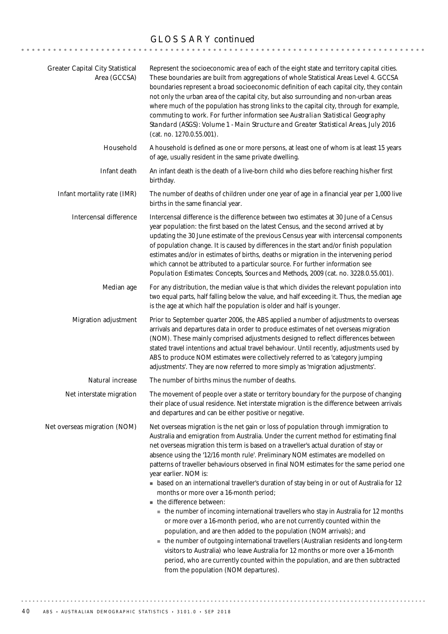# GLOSSARY *continued*

| Greater Capital City Statistical<br>Area (GCCSA) | Represent the socioeconomic area of each of the eight state and territory capital cities.<br>These boundaries are built from aggregations of whole Statistical Areas Level 4. GCCSA<br>boundaries represent a broad socioeconomic definition of each capital city, they contain<br>not only the urban area of the capital city, but also surrounding and non-urban areas<br>where much of the population has strong links to the capital city, through for example,<br>commuting to work. For further information see Australian Statistical Geography<br>Standard (ASGS): Volume 1 - Main Structure and Greater Statistical Areas, July 2016<br>(cat. no. 1270.0.55.001).                                                                                                                                                                                                                                                                                                                                                                                                                                                                                                                                 |
|--------------------------------------------------|------------------------------------------------------------------------------------------------------------------------------------------------------------------------------------------------------------------------------------------------------------------------------------------------------------------------------------------------------------------------------------------------------------------------------------------------------------------------------------------------------------------------------------------------------------------------------------------------------------------------------------------------------------------------------------------------------------------------------------------------------------------------------------------------------------------------------------------------------------------------------------------------------------------------------------------------------------------------------------------------------------------------------------------------------------------------------------------------------------------------------------------------------------------------------------------------------------|
| Household                                        | A household is defined as one or more persons, at least one of whom is at least 15 years<br>of age, usually resident in the same private dwelling.                                                                                                                                                                                                                                                                                                                                                                                                                                                                                                                                                                                                                                                                                                                                                                                                                                                                                                                                                                                                                                                         |
| Infant death                                     | An infant death is the death of a live-born child who dies before reaching his/her first<br>birthday.                                                                                                                                                                                                                                                                                                                                                                                                                                                                                                                                                                                                                                                                                                                                                                                                                                                                                                                                                                                                                                                                                                      |
| Infant mortality rate (IMR)                      | The number of deaths of children under one year of age in a financial year per 1,000 live<br>births in the same financial year.                                                                                                                                                                                                                                                                                                                                                                                                                                                                                                                                                                                                                                                                                                                                                                                                                                                                                                                                                                                                                                                                            |
| Intercensal difference                           | Intercensal difference is the difference between two estimates at 30 June of a Census<br>year population: the first based on the latest Census, and the second arrived at by<br>updating the 30 June estimate of the previous Census year with intercensal components<br>of population change. It is caused by differences in the start and/or finish population<br>estimates and/or in estimates of births, deaths or migration in the intervening period<br>which cannot be attributed to a particular source. For further information see<br>Population Estimates: Concepts, Sources and Methods, 2009 (cat. no. 3228.0.55.001).                                                                                                                                                                                                                                                                                                                                                                                                                                                                                                                                                                        |
| Median age                                       | For any distribution, the median value is that which divides the relevant population into<br>two equal parts, half falling below the value, and half exceeding it. Thus, the median age<br>is the age at which half the population is older and half is younger.                                                                                                                                                                                                                                                                                                                                                                                                                                                                                                                                                                                                                                                                                                                                                                                                                                                                                                                                           |
| Migration adjustment                             | Prior to September quarter 2006, the ABS applied a number of adjustments to overseas<br>arrivals and departures data in order to produce estimates of net overseas migration<br>(NOM). These mainly comprised adjustments designed to reflect differences between<br>stated travel intentions and actual travel behaviour. Until recently, adjustments used by<br>ABS to produce NOM estimates were collectively referred to as 'category jumping<br>adjustments'. They are now referred to more simply as 'migration adjustments'.                                                                                                                                                                                                                                                                                                                                                                                                                                                                                                                                                                                                                                                                        |
| Natural increase                                 | The number of births minus the number of deaths.                                                                                                                                                                                                                                                                                                                                                                                                                                                                                                                                                                                                                                                                                                                                                                                                                                                                                                                                                                                                                                                                                                                                                           |
| Net interstate migration                         | The movement of people over a state or territory boundary for the purpose of changing<br>their place of usual residence. Net interstate migration is the difference between arrivals<br>and departures and can be either positive or negative.                                                                                                                                                                                                                                                                                                                                                                                                                                                                                                                                                                                                                                                                                                                                                                                                                                                                                                                                                             |
| Net overseas migration (NOM)                     | Net overseas migration is the net gain or loss of population through immigration to<br>Australia and emigration from Australia. Under the current method for estimating final<br>net overseas migration this term is based on a traveller's actual duration of stay or<br>absence using the '12/16 month rule'. Preliminary NOM estimates are modelled on<br>patterns of traveller behaviours observed in final NOM estimates for the same period one<br>year earlier. NOM is:<br>• based on an international traveller's duration of stay being in or out of Australia for 12<br>months or more over a 16-month period;<br>the difference between:<br>• the number of incoming international travellers who stay in Australia for 12 months<br>or more over a 16-month period, who are not currently counted within the<br>population, and are then added to the population (NOM arrivals); and<br>• the number of outgoing international travellers (Australian residents and long-term<br>visitors to Australia) who leave Australia for 12 months or more over a 16-month<br>period, who are currently counted within the population, and are then subtracted<br>from the population (NOM departures). |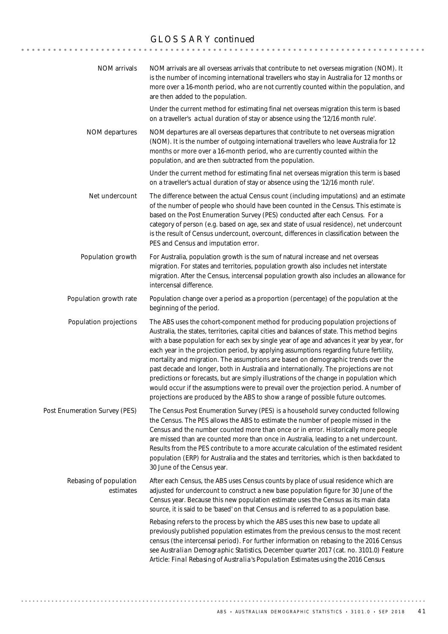### GLOSSARY *continued*

| <b>NOM</b> arrivals                 | NOM arrivals are all overseas arrivals that contribute to net overseas migration (NOM). It<br>is the number of incoming international travellers who stay in Australia for 12 months or<br>more over a 16-month period, who are not currently counted within the population, and<br>are then added to the population.                                                                                                                                                                                                                                                                                                                                                                                                                                                                                                               |
|-------------------------------------|-------------------------------------------------------------------------------------------------------------------------------------------------------------------------------------------------------------------------------------------------------------------------------------------------------------------------------------------------------------------------------------------------------------------------------------------------------------------------------------------------------------------------------------------------------------------------------------------------------------------------------------------------------------------------------------------------------------------------------------------------------------------------------------------------------------------------------------|
|                                     | Under the current method for estimating final net overseas migration this term is based<br>on a traveller's <i>actual</i> duration of stay or absence using the '12/16 month rule'.                                                                                                                                                                                                                                                                                                                                                                                                                                                                                                                                                                                                                                                 |
| NOM departures                      | NOM departures are all overseas departures that contribute to net overseas migration<br>(NOM). It is the number of outgoing international travellers who leave Australia for 12<br>months or more over a 16-month period, who are currently counted within the<br>population, and are then subtracted from the population.                                                                                                                                                                                                                                                                                                                                                                                                                                                                                                          |
|                                     | Under the current method for estimating final net overseas migration this term is based<br>on a traveller's <i>actual</i> duration of stay or absence using the '12/16 month rule'.                                                                                                                                                                                                                                                                                                                                                                                                                                                                                                                                                                                                                                                 |
| Net undercount                      | The difference between the actual Census count (including imputations) and an estimate<br>of the number of people who should have been counted in the Census. This estimate is<br>based on the Post Enumeration Survey (PES) conducted after each Census. For a<br>category of person (e.g. based on age, sex and state of usual residence), net undercount<br>is the result of Census undercount, overcount, differences in classification between the<br>PES and Census and imputation error.                                                                                                                                                                                                                                                                                                                                     |
| Population growth                   | For Australia, population growth is the sum of natural increase and net overseas<br>migration. For states and territories, population growth also includes net interstate<br>migration. After the Census, intercensal population growth also includes an allowance for<br>intercensal difference.                                                                                                                                                                                                                                                                                                                                                                                                                                                                                                                                   |
| Population growth rate              | Population change over a period as a proportion (percentage) of the population at the<br>beginning of the period.                                                                                                                                                                                                                                                                                                                                                                                                                                                                                                                                                                                                                                                                                                                   |
| Population projections              | The ABS uses the cohort-component method for producing population projections of<br>Australia, the states, territories, capital cities and balances of state. This method begins<br>with a base population for each sex by single year of age and advances it year by year, for<br>each year in the projection period, by applying assumptions regarding future fertility,<br>mortality and migration. The assumptions are based on demographic trends over the<br>past decade and longer, both in Australia and internationally. The projections are not<br>predictions or forecasts, but are simply illustrations of the change in population which<br>would occur if the assumptions were to prevail over the projection period. A number of<br>projections are produced by the ABS to show a range of possible future outcomes. |
| Post Enumeration Survey (PES)       | The Census Post Enumeration Survey (PES) is a household survey conducted following<br>the Census. The PES allows the ABS to estimate the number of people missed in the<br>Census and the number counted more than once or in error. Historically more people<br>are missed than are counted more than once in Australia, leading to a net undercount.<br>Results from the PES contribute to a more accurate calculation of the estimated resident<br>population (ERP) for Australia and the states and territories, which is then backdated to<br>30 June of the Census year.                                                                                                                                                                                                                                                      |
| Rebasing of population<br>estimates | After each Census, the ABS uses Census counts by place of usual residence which are<br>adjusted for undercount to construct a new base population figure for 30 June of the<br>Census year. Because this new population estimate uses the Census as its main data<br>source, it is said to be 'based' on that Census and is referred to as a population base.                                                                                                                                                                                                                                                                                                                                                                                                                                                                       |
|                                     | Rebasing refers to the process by which the ABS uses this new base to update all<br>previously published population estimates from the previous census to the most recent<br>census (the intercensal period). For further information on rebasing to the 2016 Census<br>see Australian Demographic Statistics, December quarter 2017 (cat. no. 3101.0) Feature<br>Article: Final Rebasing of Australia's Population Estimates using the 2016 Census.                                                                                                                                                                                                                                                                                                                                                                                |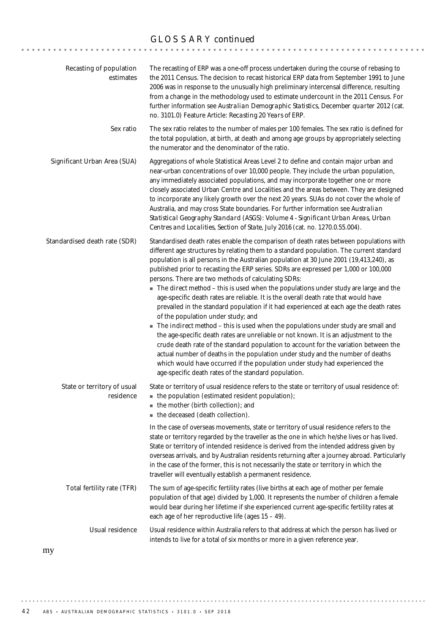# GLOSSARY *continued*

| Recasting of population<br>estimates     | The recasting of ERP was a one-off process undertaken during the course of rebasing to<br>the 2011 Census. The decision to recast historical ERP data from September 1991 to June<br>2006 was in response to the unusually high preliminary intercensal difference, resulting<br>from a change in the methodology used to estimate undercount in the 2011 Census. For<br>further information see Australian Demographic Statistics, December quarter 2012 (cat.<br>no. 3101.0) Feature Article: Recasting 20 Years of ERP.                                                                                                                                                                                                                                                                                                                                                                                                                                                                                                                                                                                                                                                                                                                             |
|------------------------------------------|--------------------------------------------------------------------------------------------------------------------------------------------------------------------------------------------------------------------------------------------------------------------------------------------------------------------------------------------------------------------------------------------------------------------------------------------------------------------------------------------------------------------------------------------------------------------------------------------------------------------------------------------------------------------------------------------------------------------------------------------------------------------------------------------------------------------------------------------------------------------------------------------------------------------------------------------------------------------------------------------------------------------------------------------------------------------------------------------------------------------------------------------------------------------------------------------------------------------------------------------------------|
| Sex ratio                                | The sex ratio relates to the number of males per 100 females. The sex ratio is defined for<br>the total population, at birth, at death and among age groups by appropriately selecting<br>the numerator and the denominator of the ratio.                                                                                                                                                                                                                                                                                                                                                                                                                                                                                                                                                                                                                                                                                                                                                                                                                                                                                                                                                                                                              |
| Significant Urban Area (SUA)             | Aggregations of whole Statistical Areas Level 2 to define and contain major urban and<br>near-urban concentrations of over 10,000 people. They include the urban population,<br>any immediately associated populations, and may incorporate together one or more<br>closely associated Urban Centre and Localities and the areas between. They are designed<br>to incorporate any likely growth over the next 20 years. SUAs do not cover the whole of<br>Australia, and may cross State boundaries. For further information see Australian<br>Statistical Geography Standard (ASGS): Volume 4 - Significant Urban Areas, Urban<br>Centres and Localities, Section of State, July 2016 (cat. no. 1270.0.55.004).                                                                                                                                                                                                                                                                                                                                                                                                                                                                                                                                       |
| Standardised death rate (SDR)            | Standardised death rates enable the comparison of death rates between populations with<br>different age structures by relating them to a standard population. The current standard<br>population is all persons in the Australian population at 30 June 2001 (19,413,240), as<br>published prior to recasting the ERP series. SDRs are expressed per 1,000 or 100,000<br>persons. There are two methods of calculating SDRs:<br>The <i>direct method</i> - this is used when the populations under study are large and the<br>age-specific death rates are reliable. It is the overall death rate that would have<br>prevailed in the standard population if it had experienced at each age the death rates<br>of the population under study; and<br>The <i>indirect method</i> - this is used when the populations under study are small and<br>the age-specific death rates are unreliable or not known. It is an adjustment to the<br>crude death rate of the standard population to account for the variation between the<br>actual number of deaths in the population under study and the number of deaths<br>which would have occurred if the population under study had experienced the<br>age-specific death rates of the standard population. |
| State or territory of usual<br>residence | State or territory of usual residence refers to the state or territory of usual residence of:<br>• the population (estimated resident population);<br>$\blacksquare$ the mother (birth collection); and<br>the deceased (death collection).                                                                                                                                                                                                                                                                                                                                                                                                                                                                                                                                                                                                                                                                                                                                                                                                                                                                                                                                                                                                            |
|                                          | In the case of overseas movements, state or territory of usual residence refers to the<br>state or territory regarded by the traveller as the one in which he/she lives or has lived.<br>State or territory of intended residence is derived from the intended address given by<br>overseas arrivals, and by Australian residents returning after a journey abroad. Particularly<br>in the case of the former, this is not necessarily the state or territory in which the<br>traveller will eventually establish a permanent residence.                                                                                                                                                                                                                                                                                                                                                                                                                                                                                                                                                                                                                                                                                                               |
| Total fertility rate (TFR)               | The sum of age-specific fertility rates (live births at each age of mother per female<br>population of that age) divided by 1,000. It represents the number of children a female<br>would bear during her lifetime if she experienced current age-specific fertility rates at<br>each age of her reproductive life (ages 15 - 49).                                                                                                                                                                                                                                                                                                                                                                                                                                                                                                                                                                                                                                                                                                                                                                                                                                                                                                                     |
| Usual residence                          | Usual residence within Australia refers to that address at which the person has lived or<br>intends to live for a total of six months or more in a given reference year.                                                                                                                                                                                                                                                                                                                                                                                                                                                                                                                                                                                                                                                                                                                                                                                                                                                                                                                                                                                                                                                                               |

my